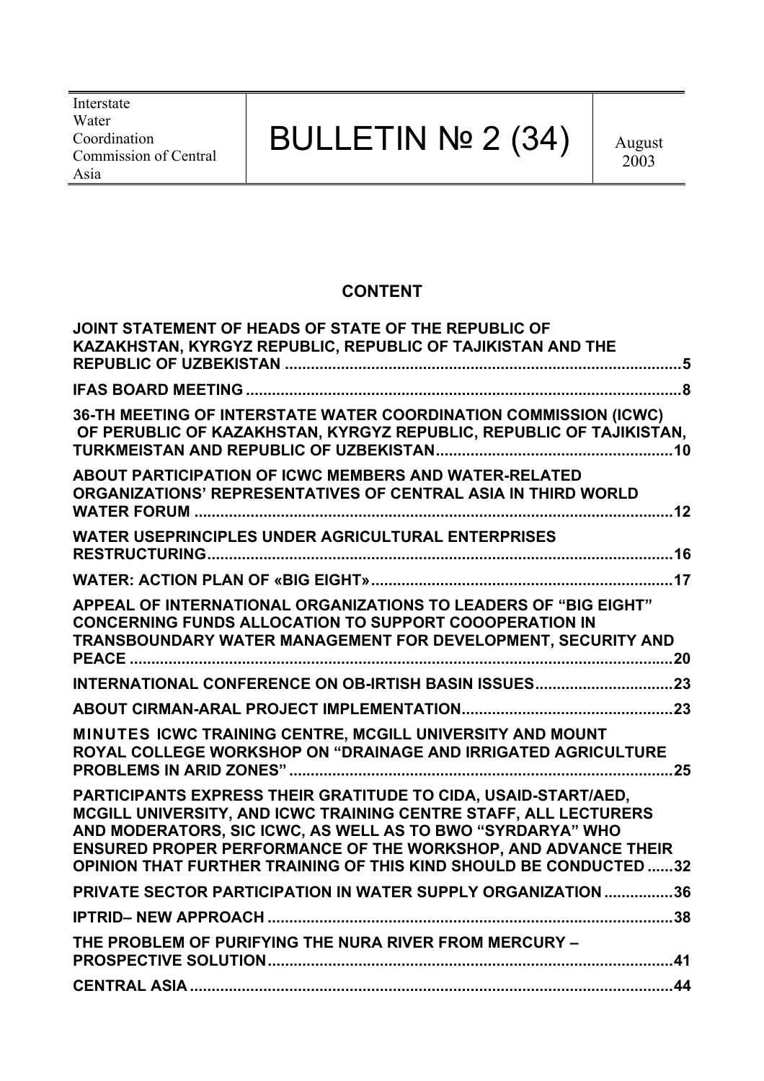Interstate Water Coordination Commission of Central Asia

# BULLETIN Nº 2 (34)  $\Big|$  August

# **CONTENT**

| JOINT STATEMENT OF HEADS OF STATE OF THE REPUBLIC OF<br>KAZAKHSTAN, KYRGYZ REPUBLIC, REPUBLIC OF TAJIKISTAN AND THE                                                                                                                                                                                                                           |
|-----------------------------------------------------------------------------------------------------------------------------------------------------------------------------------------------------------------------------------------------------------------------------------------------------------------------------------------------|
|                                                                                                                                                                                                                                                                                                                                               |
| 36-TH MEETING OF INTERSTATE WATER COORDINATION COMMISSION (ICWC)<br>OF PERUBLIC OF KAZAKHSTAN, KYRGYZ REPUBLIC, REPUBLIC OF TAJIKISTAN,                                                                                                                                                                                                       |
| <b>ABOUT PARTICIPATION OF ICWC MEMBERS AND WATER-RELATED</b><br>ORGANIZATIONS' REPRESENTATIVES OF CENTRAL ASIA IN THIRD WORLD<br><b>WATER FORUM</b>                                                                                                                                                                                           |
| WATER USEPRINCIPLES UNDER AGRICULTURAL ENTERPRISES                                                                                                                                                                                                                                                                                            |
|                                                                                                                                                                                                                                                                                                                                               |
| APPEAL OF INTERNATIONAL ORGANIZATIONS TO LEADERS OF "BIG EIGHT"<br><b>CONCERNING FUNDS ALLOCATION TO SUPPORT COOOPERATION IN</b><br>TRANSBOUNDARY WATER MANAGEMENT FOR DEVELOPMENT, SECURITY AND                                                                                                                                              |
| INTERNATIONAL CONFERENCE ON OB-IRTISH BASIN ISSUES23                                                                                                                                                                                                                                                                                          |
|                                                                                                                                                                                                                                                                                                                                               |
| MINUTES ICWC TRAINING CENTRE, MCGILL UNIVERSITY AND MOUNT<br>ROYAL COLLEGE WORKSHOP ON "DRAINAGE AND IRRIGATED AGRICULTURE                                                                                                                                                                                                                    |
| PARTICIPANTS EXPRESS THEIR GRATITUDE TO CIDA, USAID-START/AED,<br>MCGILL UNIVERSITY, AND ICWC TRAINING CENTRE STAFF, ALL LECTURERS<br>AND MODERATORS, SIC ICWC, AS WELL AS TO BWO "SYRDARYA" WHO<br>ENSURED PROPER PERFORMANCE OF THE WORKSHOP, AND ADVANCE THEIR<br><b>OPINION THAT FURTHER TRAINING OF THIS KIND SHOULD BE CONDUCTED 32</b> |
| PRIVATE SECTOR PARTICIPATION IN WATER SUPPLY ORGANIZATION 36                                                                                                                                                                                                                                                                                  |
|                                                                                                                                                                                                                                                                                                                                               |
| THE PROBLEM OF PURIFYING THE NURA RIVER FROM MERCURY -                                                                                                                                                                                                                                                                                        |
|                                                                                                                                                                                                                                                                                                                                               |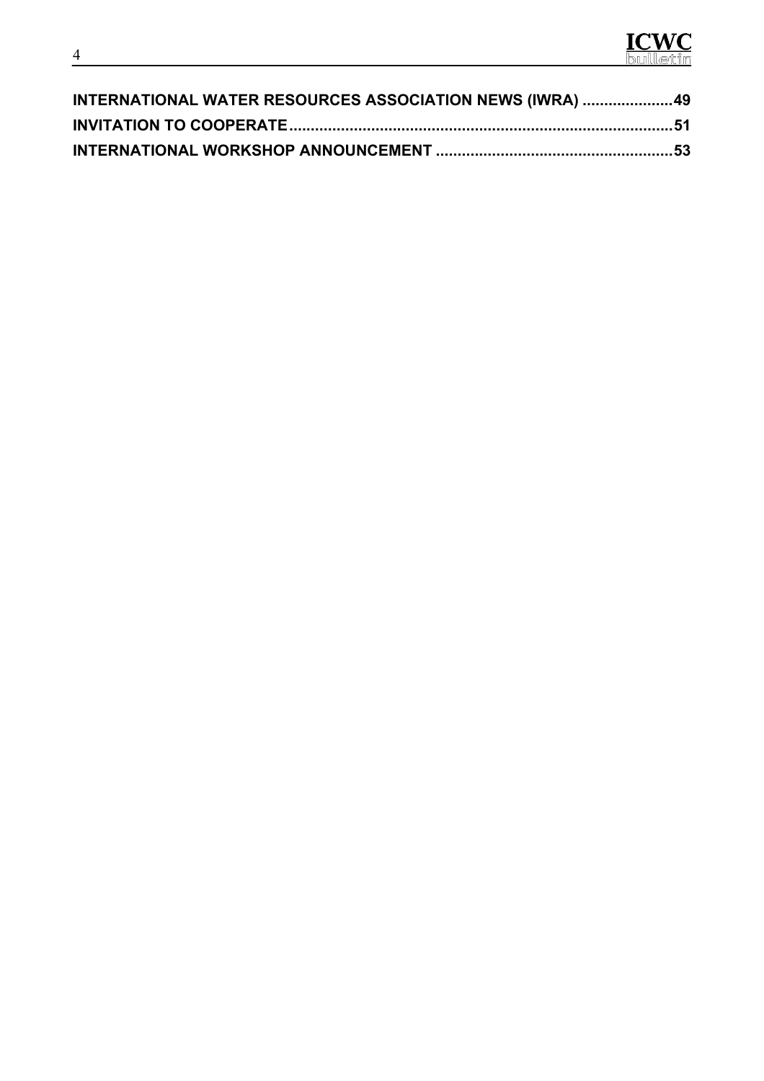

| INTERNATIONAL WATER RESOURCES ASSOCIATION NEWS (IWRA) 49 |  |
|----------------------------------------------------------|--|
|                                                          |  |
|                                                          |  |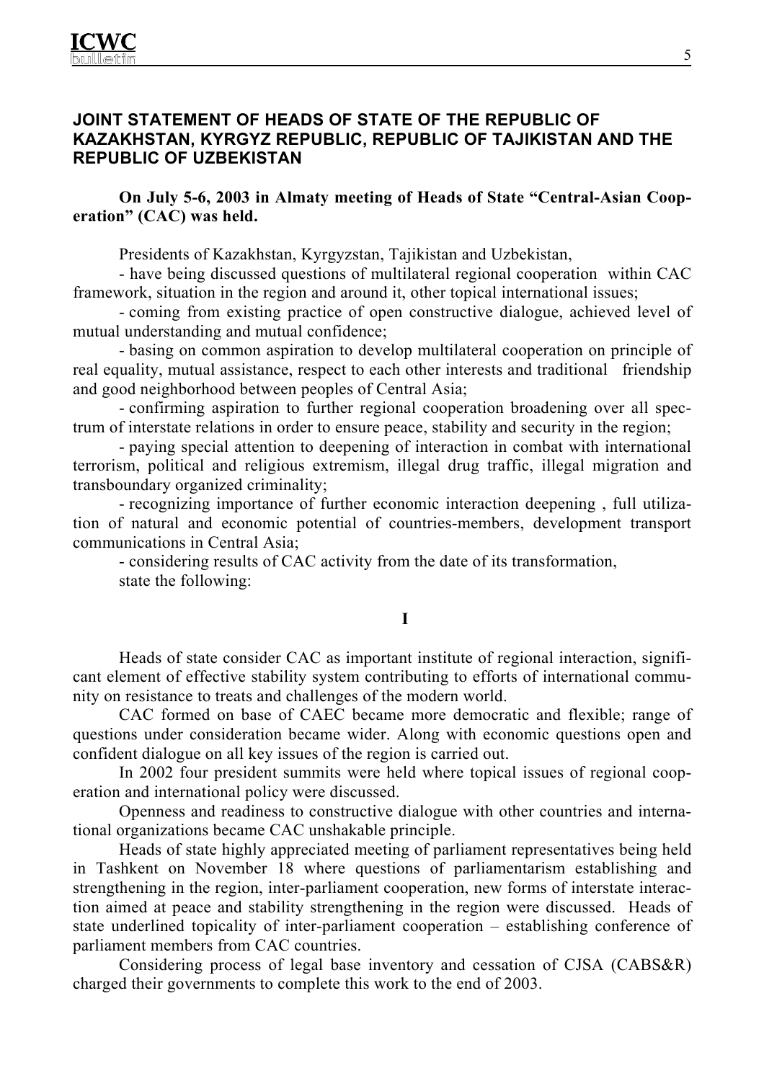## **JOINT STATEMENT OF HEADS OF STATE OF THE REPUBLIC OF KAZAKHSTAN, KYRGYZ REPUBLIC, REPUBLIC OF TAJIKISTAN AND THE REPUBLIC OF UZBEKISTAN**

## **On July 5-6, 2003 in Almaty meeting of Heads of State "Central-Asian Cooperation" (CAC) was held.**

Presidents of Kazakhstan, Kyrgyzstan, Tajikistan and Uzbekistan,

- have being discussed questions of multilateral regional cooperation within CAC framework, situation in the region and around it, other topical international issues;

- coming from existing practice of open constructive dialogue, achieved level of mutual understanding and mutual confidence;

- basing on common aspiration to develop multilateral cooperation on principle of real equality, mutual assistance, respect to each other interests and traditional friendship and good neighborhood between peoples of Central Asia;

- confirming aspiration to further regional cooperation broadening over all spectrum of interstate relations in order to ensure peace, stability and security in the region;

- paying special attention to deepening of interaction in combat with international terrorism, political and religious extremism, illegal drug traffic, illegal migration and transboundary organized criminality;

- recognizing importance of further economic interaction deepening , full utilization of natural and economic potential of countries-members, development transport communications in Central Asia;

- considering results of CAC activity from the date of its transformation, state the following:

#### **I**

Heads of state consider CAC as important institute of regional interaction, significant element of effective stability system contributing to efforts of international community on resistance to treats and challenges of the modern world.

CAC formed on base of CAEC became more democratic and flexible; range of questions under consideration became wider. Along with economic questions open and confident dialogue on all key issues of the region is carried out.

In 2002 four president summits were held where topical issues of regional cooperation and international policy were discussed.

Openness and readiness to constructive dialogue with other countries and international organizations became CAC unshakable principle.

Heads of state highly appreciated meeting of parliament representatives being held in Tashkent on November 18 where questions of parliamentarism establishing and strengthening in the region, inter-parliament cooperation, new forms of interstate interaction aimed at peace and stability strengthening in the region were discussed. Heads of state underlined topicality of inter-parliament cooperation – establishing conference of parliament members from CAC countries.

Considering process of legal base inventory and cessation of CJSA (CABS&R) charged their governments to complete this work to the end of 2003.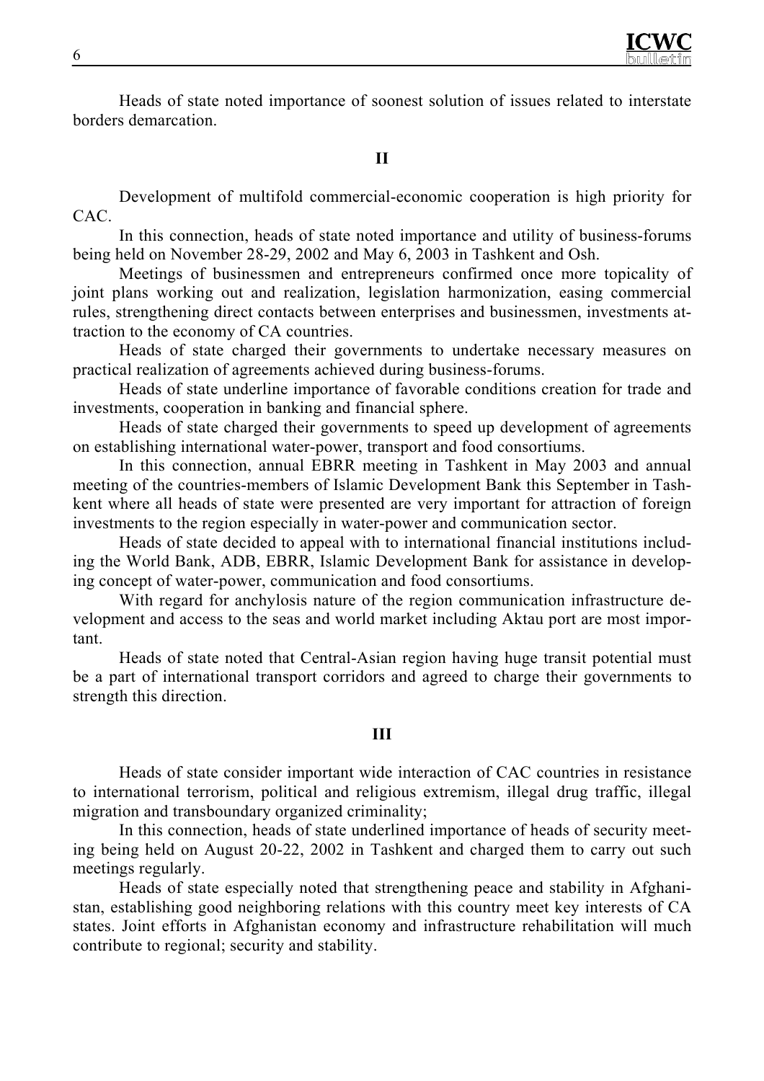Heads of state noted importance of soonest solution of issues related to interstate borders demarcation.

**II**

Development of multifold commercial-economic cooperation is high priority for CAC.

In this connection, heads of state noted importance and utility of business-forums being held on November 28-29, 2002 and May 6, 2003 in Tashkent and Osh.

Meetings of businessmen and entrepreneurs confirmed once more topicality of joint plans working out and realization, legislation harmonization, easing commercial rules, strengthening direct contacts between enterprises and businessmen, investments attraction to the economy of CA countries.

Heads of state charged their governments to undertake necessary measures on practical realization of agreements achieved during business-forums.

Heads of state underline importance of favorable conditions creation for trade and investments, cooperation in banking and financial sphere.

Heads of state charged their governments to speed up development of agreements on establishing international water-power, transport and food consortiums.

In this connection, annual EBRR meeting in Tashkent in May 2003 and annual meeting of the countries-members of Islamic Development Bank this September in Tashkent where all heads of state were presented are very important for attraction of foreign investments to the region especially in water-power and communication sector.

Heads of state decided to appeal with to international financial institutions including the World Bank, ADB, EBRR, Islamic Development Bank for assistance in developing concept of water-power, communication and food consortiums.

With regard for anchylosis nature of the region communication infrastructure development and access to the seas and world market including Aktau port are most important.

Heads of state noted that Central-Asian region having huge transit potential must be a part of international transport corridors and agreed to charge their governments to strength this direction.

#### **III**

Heads of state consider important wide interaction of CAC countries in resistance to international terrorism, political and religious extremism, illegal drug traffic, illegal migration and transboundary organized criminality;

In this connection, heads of state underlined importance of heads of security meeting being held on August 20-22, 2002 in Tashkent and charged them to carry out such meetings regularly.

Heads of state especially noted that strengthening peace and stability in Afghanistan, establishing good neighboring relations with this country meet key interests of CA states. Joint efforts in Afghanistan economy and infrastructure rehabilitation will much contribute to regional; security and stability.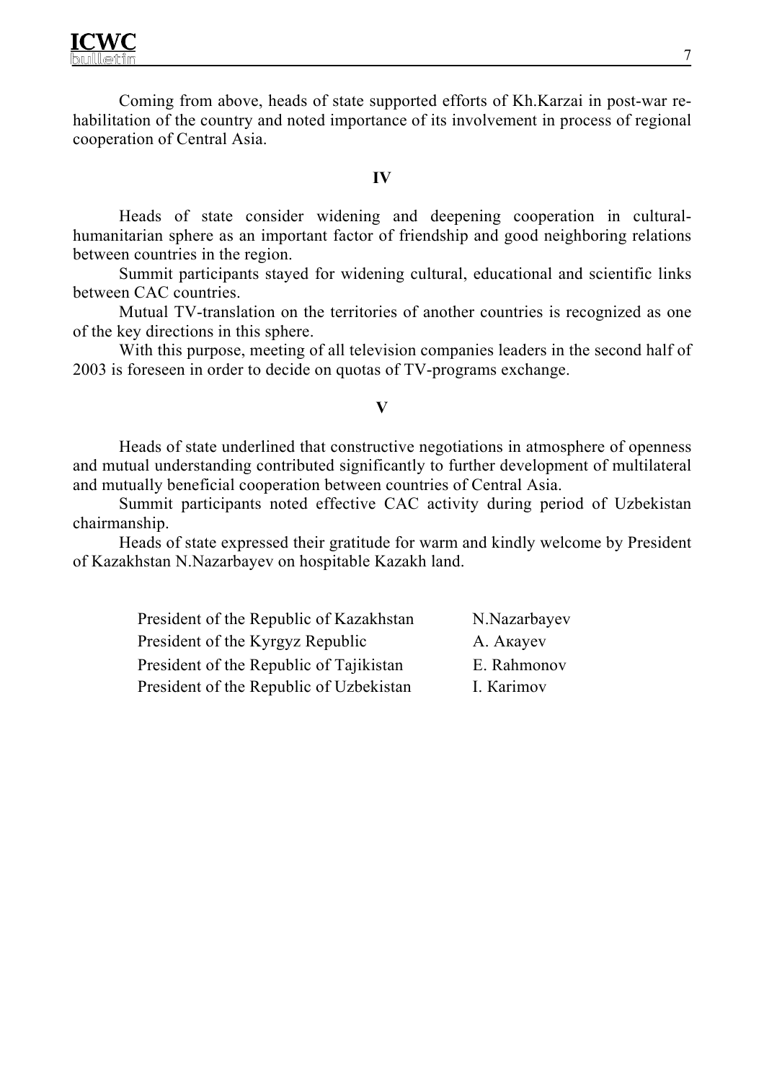Coming from above, heads of state supported efforts of Kh.Karzai in post-war rehabilitation of the country and noted importance of its involvement in process of regional cooperation of Central Asia.

**IV** 

Heads of state consider widening and deepening cooperation in culturalhumanitarian sphere as an important factor of friendship and good neighboring relations between countries in the region.

Summit participants stayed for widening cultural, educational and scientific links between CAC countries.

Mutual TV-translation on the territories of another countries is recognized as one of the key directions in this sphere.

With this purpose, meeting of all television companies leaders in the second half of 2003 is foreseen in order to decide on quotas of TV-programs exchange.

#### **V**

Heads of state underlined that constructive negotiations in atmosphere of openness and mutual understanding contributed significantly to further development of multilateral and mutually beneficial cooperation between countries of Central Asia.

Summit participants noted effective CAC activity during period of Uzbekistan chairmanship.

Heads of state expressed their gratitude for warm and kindly welcome by President of Kazakhstan N.Nazarbayev on hospitable Kazakh land.

| President of the Republic of Kazakhstan | N.Nazarbayev |
|-----------------------------------------|--------------|
| President of the Kyrgyz Republic        | A. Akayev    |
| President of the Republic of Tajikistan | E. Rahmonov  |
| President of the Republic of Uzbekistan | I. Karimov   |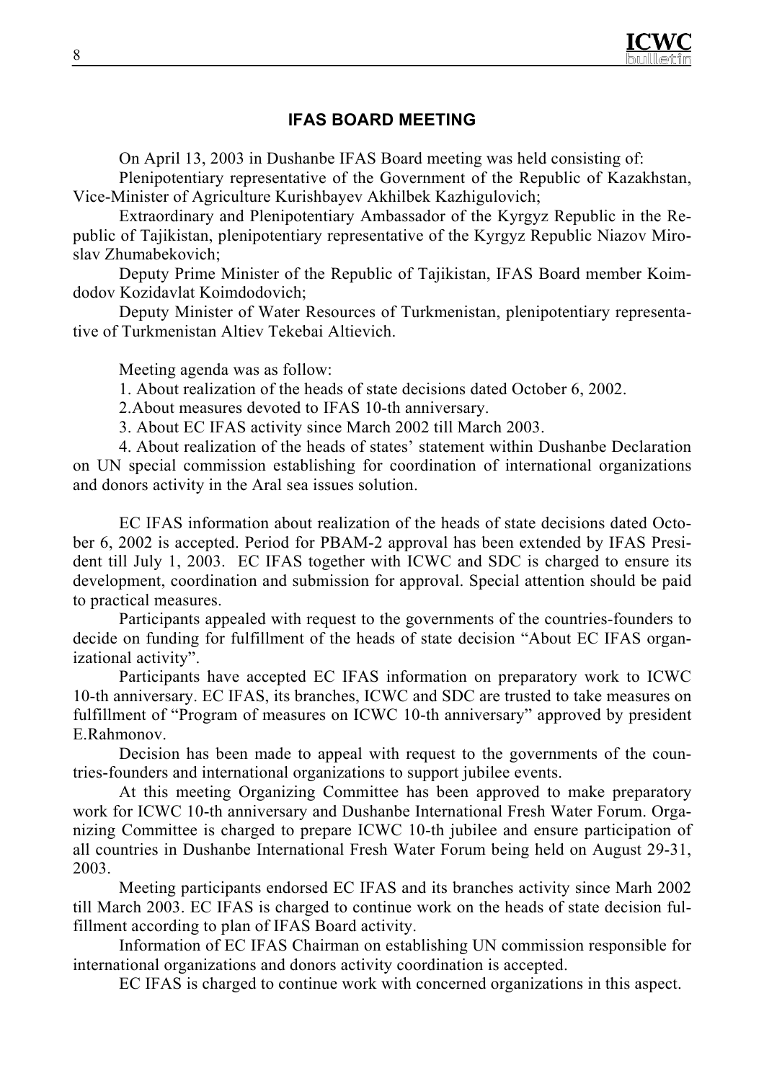

## **IFAS BOARD MEETING**

On April 13, 2003 in Dushanbe IFAS Board meeting was held consisting of:

Plenipotentiary representative of the Government of the Republic of Kazakhstan, Vice-Minister of Agriculture Kurishbayev Akhilbek Kazhigulovich;

Extraordinary and Plenipotentiary Ambassador of the Kyrgyz Republic in the Republic of Tajikistan, plenipotentiary representative of the Kyrgyz Republic Niazov Miroslav Zhumabekovich;

Deputy Prime Minister of the Republic of Tajikistan, IFAS Board member Koimdodov Kozidavlat Koimdodovich;

Deputy Minister of Water Resources of Turkmenistan, plenipotentiary representative of Turkmenistan Altiev Tekebai Altievich.

Meeting agenda was as follow:

1. About realization of the heads of state decisions dated October 6, 2002.

2.About measures devoted to IFAS 10-th anniversary.

3. About EC IFAS activity since March 2002 till March 2003.

4. About realization of the heads of states' statement within Dushanbe Declaration on UN special commission establishing for coordination of international organizations and donors activity in the Aral sea issues solution.

EC IFAS information about realization of the heads of state decisions dated October 6, 2002 is accepted. Period for PBAM-2 approval has been extended by IFAS President till July 1, 2003. EC IFAS together with ICWC and SDC is charged to ensure its development, coordination and submission for approval. Special attention should be paid to practical measures.

Participants appealed with request to the governments of the countries-founders to decide on funding for fulfillment of the heads of state decision "About EC IFAS organizational activity".

Participants have accepted EC IFAS information on preparatory work to ICWC 10-th anniversary. EC IFAS, its branches, ICWC and SDC are trusted to take measures on fulfillment of "Program of measures on ICWC 10-th anniversary" approved by president E.Rahmonov.

Decision has been made to appeal with request to the governments of the countries-founders and international organizations to support jubilee events.

At this meeting Organizing Committee has been approved to make preparatory work for ICWC 10-th anniversary and Dushanbe International Fresh Water Forum. Organizing Committee is charged to prepare ICWC 10-th jubilee and ensure participation of all countries in Dushanbe International Fresh Water Forum being held on August 29-31, 2003.

Meeting participants endorsed EC IFAS and its branches activity since Marh 2002 till March 2003. EC IFAS is charged to continue work on the heads of state decision fulfillment according to plan of IFAS Board activity.

Information of EC IFAS Chairman on establishing UN commission responsible for international organizations and donors activity coordination is accepted.

EC IFAS is charged to continue work with concerned organizations in this aspect.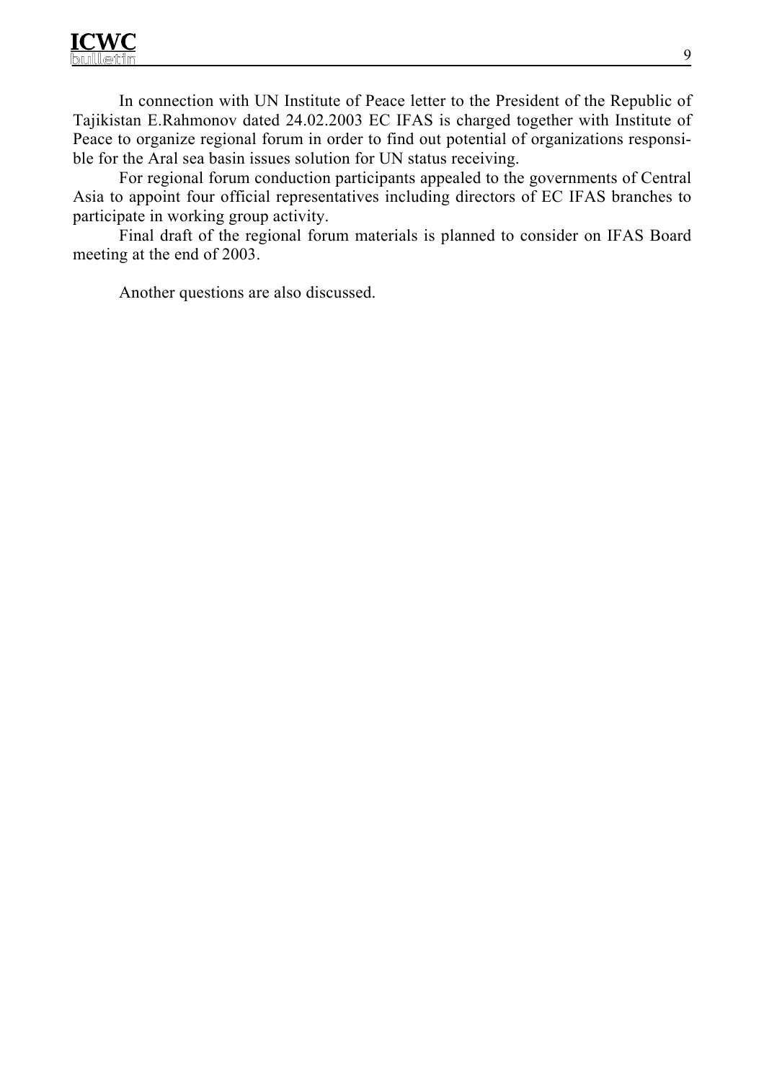In connection with UN Institute of Peace letter to the President of the Republic of Tajikistan E.Rahmonov dated 24.02.2003 EC IFAS is charged together with Institute of Peace to organize regional forum in order to find out potential of organizations responsible for the Aral sea basin issues solution for UN status receiving.

For regional forum conduction participants appealed to the governments of Central Asia to appoint four official representatives including directors of EC IFAS branches to participate in working group activity.

Final draft of the regional forum materials is planned to consider on IFAS Board meeting at the end of 2003.

Another questions are also discussed.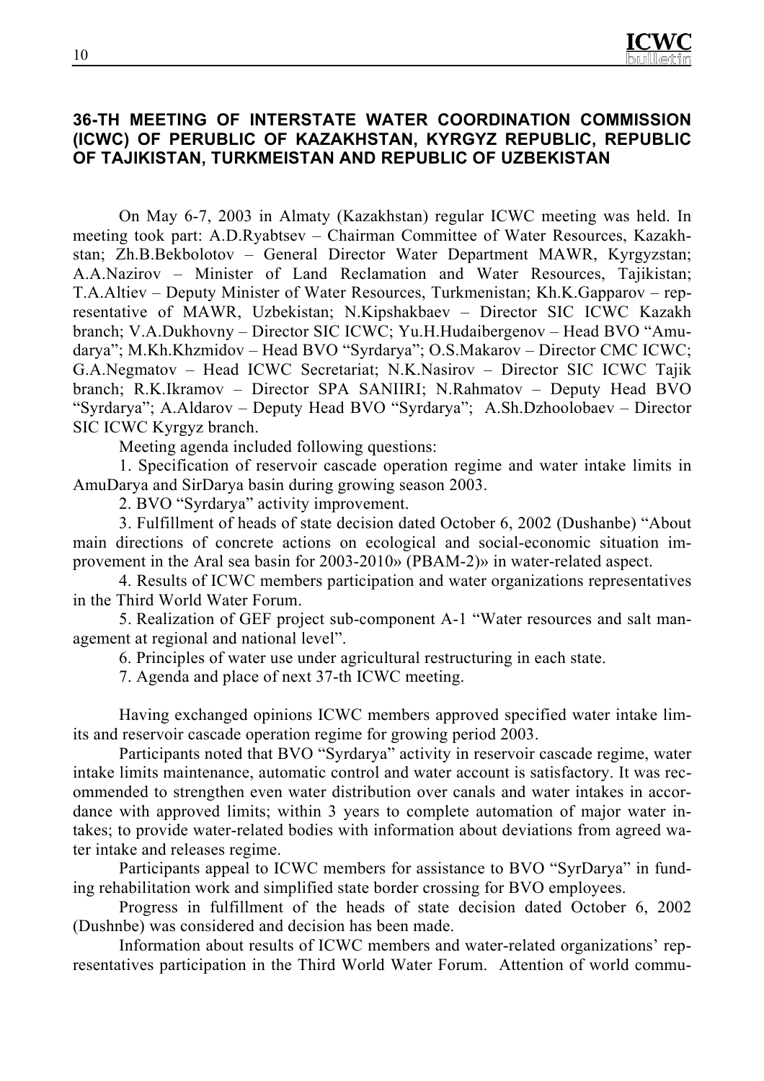## **36-TH MEETING OF INTERSTATE WATER COORDINATION COMMISSION (ICWC) OF PERUBLIC OF KAZAKHSTAN, KYRGYZ RЕPUBLIC, REPUBLIC OF TAJIKISTAN, TURKMEISTAN AND REPUBLIC OF UZBEKISTAN**

On May 6-7, 2003 in Almaty (Kazakhstan) regular ICWC meeting was held. In meeting took part: A.D.Ryabtsev – Chairman Committee of Water Resources, Kazakhstan; Zh.B.Bekbolotov – General Director Water Department MAWR, Kyrgyzstan; A.A.Nazirov – Minister of Land Reclamation and Water Resources, Tajikistan; T.A.Altiev – Deputy Minister of Water Resources, Turkmenistan; Kh.K.Gapparov – representative of MAWR, Uzbekistan; N.Kipshakbaev – Director SIC ICWC Kazakh branch; V.A.Dukhovny – Director SIC ICWC; Yu.H.Hudaibergenov – Head BVO "Amudarya"; M.Kh.Khzmidov – Head BVO "Syrdarya"; O.S.Makarov – Director CMC ICWC; G.A.Negmatov – Head ICWC Secretariat; N.K.Nasirov – Director SIC ICWC Tajik branch; R.K.Ikramov – Director SPA SANIIRI; N.Rahmatov – Deputy Head BVO "Syrdarya"; A.Aldarov – Deputy Head BVO "Syrdarya"; A.Sh.Dzhoolobaev – Director SIC ICWC Kyrgyz branch.

Meeting agenda included following questions:

1. Specification of reservoir cascade operation regime and water intake limits in AmuDarya and SirDarya basin during growing season 2003.

2. BVO "Syrdarya" activity improvement.

3. Fulfillment of heads of state decision dated October 6, 2002 (Dushanbe) "About main directions of concrete actions on ecological and social-economic situation improvement in the Aral sea basin for 2003-2010» (PBAM-2)» in water-related aspect.

4. Results of ICWC members participation and water organizations representatives in the Third World Water Forum.

5. Realization of GEF project sub-component A-1 "Water resources and salt management at regional and national level".

6. Principles of water use under agricultural restructuring in each state.

7. Agenda and place of next 37-th ICWC meeting.

Having exchanged opinions ICWC members approved specified water intake limits and reservoir cascade operation regime for growing period 2003.

Participants noted that BVO "Syrdarya" activity in reservoir cascade regime, water intake limits maintenance, automatic control and water account is satisfactory. It was recommended to strengthen even water distribution over canals and water intakes in accordance with approved limits; within 3 years to complete automation of major water intakes; to provide water-related bodies with information about deviations from agreed water intake and releases regime.

Participants appeal to ICWC members for assistance to BVO "SyrDarya" in funding rehabilitation work and simplified state border crossing for BVO employees.

Progress in fulfillment of the heads of state decision dated October 6, 2002 (Dushnbe) was considered and decision has been made.

Information about results of ICWC members and water-related organizations' representatives participation in the Third World Water Forum. Attention of world commu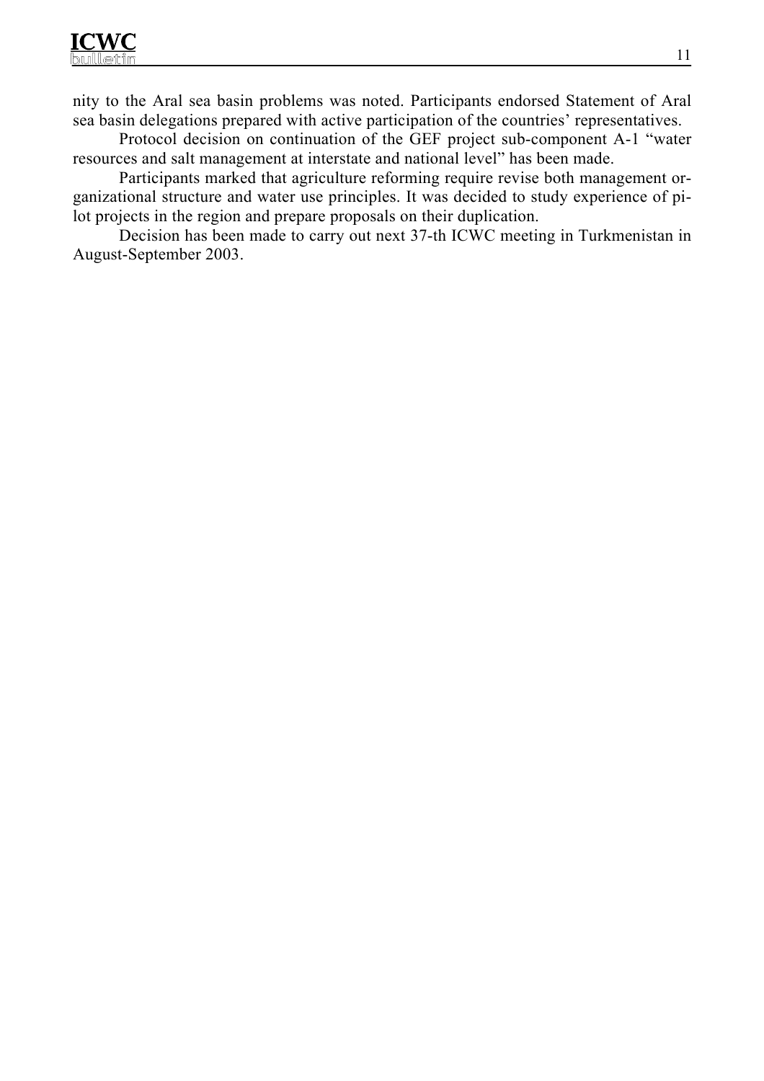nity to the Aral sea basin problems was noted. Participants endorsed Statement of Aral sea basin delegations prepared with active participation of the countries' representatives.

Protocol decision on continuation of the GEF project sub-component A-1 "water resources and salt management at interstate and national level" has been made.

Participants marked that agriculture reforming require revise both management organizational structure and water use principles. It was decided to study experience of pilot projects in the region and prepare proposals on their duplication.

Decision has been made to carry out next 37-th ICWC meeting in Turkmenistan in August-September 2003.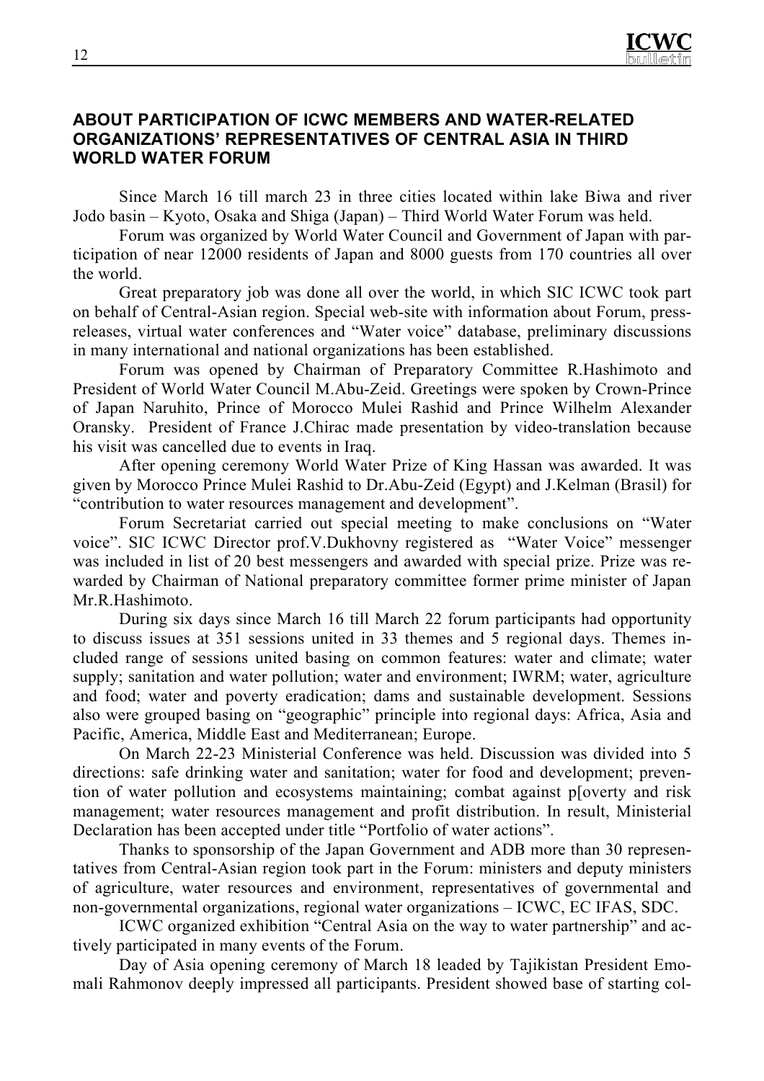## **ABOUT PARTICIPATION OF ICWC MEMBERS AND WATER-RELATED ORGANIZATIONS' REPRESENTATIVES OF CENTRAL ASIA IN THIRD WORLD WATER FORUM**

Since March 16 till march 23 in three cities located within lake Biwa and river Jodo basin – Kyoto, Osaka and Shiga (Japan) – Third World Water Forum was held.

Forum was organized by World Water Council and Government of Japan with participation of near 12000 residents of Japan and 8000 guests from 170 countries all over the world.

Great preparatory job was done all over the world, in which SIC ICWC took part on behalf of Central-Asian region. Special web-site with information about Forum, pressreleases, virtual water conferences and "Water voice" database, preliminary discussions in many international and national organizations has been established.

Forum was opened by Chairman of Preparatory Committee R.Hashimoto and President of World Water Council M.Abu-Zeid. Greetings were spoken by Crown-Prince of Japan Naruhito, Prince of Morocco Mulei Rashid and Prince Wilhelm Alexander Oransky. President of France J.Chirac made presentation by video-translation because his visit was cancelled due to events in Iraq.

After opening ceremony World Water Prize of King Hassan was awarded. It was given by Morocco Prince Mulei Rashid to Dr.Abu-Zeid (Egypt) and J.Kelman (Brasil) for "contribution to water resources management and development".

Forum Secretariat carried out special meeting to make conclusions on "Water voice". SIC ICWC Director prof.V.Dukhovny registered as "Water Voice" messenger was included in list of 20 best messengers and awarded with special prize. Prize was rewarded by Chairman of National preparatory committee former prime minister of Japan Mr.R.Hashimoto.

During six days since March 16 till March 22 forum participants had opportunity to discuss issues at 351 sessions united in 33 themes and 5 regional days. Themes included range of sessions united basing on common features: water and climate; water supply; sanitation and water pollution; water and environment; IWRM; water, agriculture and food; water and poverty eradication; dams and sustainable development. Sessions also were grouped basing on "geographic" principle into regional days: Africa, Asia and Pacific, America, Middle East and Mediterranean; Europe.

On March 22-23 Ministerial Conference was held. Discussion was divided into 5 directions: safe drinking water and sanitation; water for food and development; prevention of water pollution and ecosystems maintaining; combat against p[overty and risk management; water resources management and profit distribution. In result, Ministerial Declaration has been accepted under title "Portfolio of water actions".

Thanks to sponsorship of the Japan Government and ADB more than 30 representatives from Central-Asian region took part in the Forum: ministers and deputy ministers of agriculture, water resources and environment, representatives of governmental and non-governmental organizations, regional water organizations – ICWC, EC IFAS, SDC.

ICWC organized exhibition "Central Asia on the way to water partnership" and actively participated in many events of the Forum.

Day of Asia opening ceremony of March 18 leaded by Tajikistan President Emomali Rahmonov deeply impressed all participants. President showed base of starting col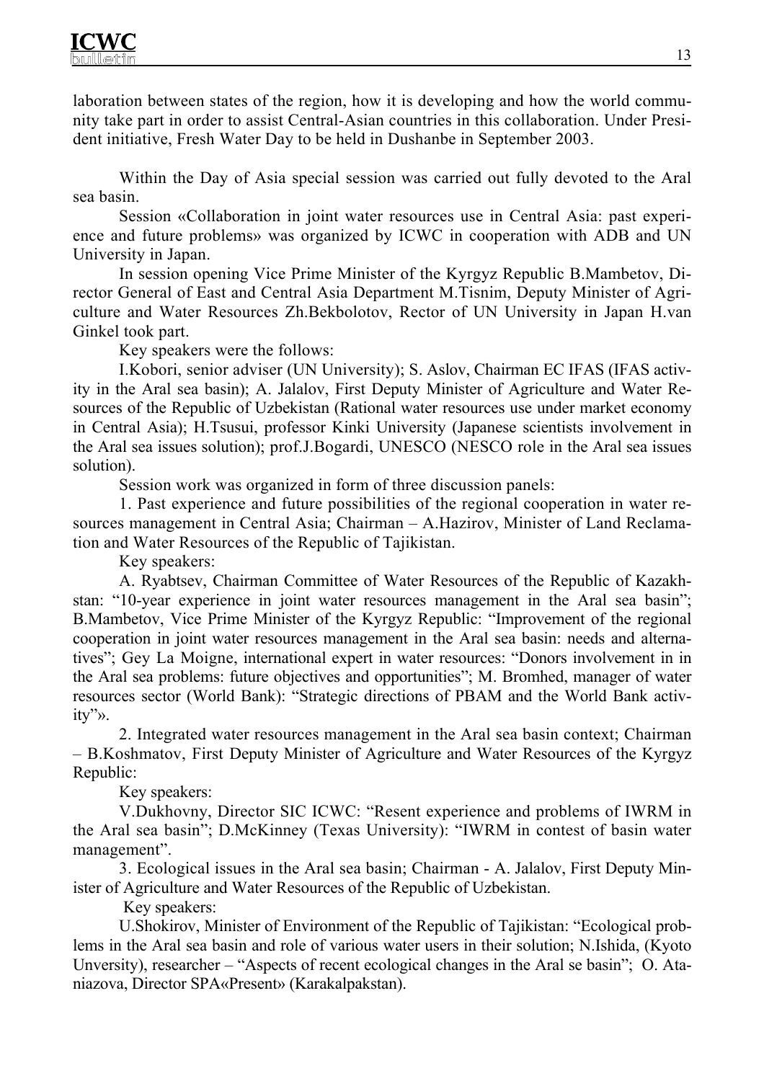laboration between states of the region, how it is developing and how the world community take part in order to assist Central-Asian countries in this collaboration. Under President initiative, Fresh Water Day to be held in Dushanbe in September 2003.

Within the Day of Asia special session was carried out fully devoted to the Aral sea basin.

Session «Collaboration in joint water resources use in Central Asia: past experience and future problems» was organized by ICWC in cooperation with ADB and UN University in Japan.

In session opening Vice Prime Minister of the Kyrgyz Republic B.Mambetov, Director General of East and Central Asia Department M.Tisnim, Deputy Minister of Agriculture and Water Resources Zh.Bekbolotov, Rector of UN University in Japan H.van Ginkel took part.

Key speakers were the follows:

I.Kobori, senior adviser (UN University); S. Aslov, Chairman EC IFAS (IFAS activity in the Aral sea basin); А. Jalalov, First Deputy Minister of Agriculture and Water Resources of the Republic of Uzbekistan (Rational water resources use under market economy in Central Asia); H.Tsusui, professor Kinki University (Japanese scientists involvement in the Aral sea issues solution); prof.J.Bogardi, UNESCO (NESCO role in the Aral sea issues solution).

Session work was organized in form of three discussion panels:

1. Past experience and future possibilities of the regional cooperation in water resources management in Central Asia; Chairman – A.Hazirov, Minister of Land Reclamation and Water Resources of the Republic of Tajikistan.

Key speakers:

А. Ryabtsev, Chairman Committee of Water Resources of the Republic of Kazakhstan: "10-year experience in joint water resources management in the Aral sea basin"; B.Mambetov, Vice Prime Minister of the Kyrgyz Republic: "Improvement of the regional cooperation in joint water resources management in the Aral sea basin: needs and alternatives"; Gey La Moigne, international expert in water resources: "Donors involvement in in the Aral sea problems: future objectives and opportunities"; М. Bromhed, manager of water resources sector (World Bank): "Strategic directions of PBAM and the World Bank activity"».

2. Integrated water resources management in the Aral sea basin context; Chairman – B.Koshmatov, First Deputy Minister of Agriculture and Water Resources of the Kyrgyz Republic:

Key speakers:

V.Dukhovny, Director SIC ICWC: "Resent experience and problems of IWRM in the Aral sea basin"; D.McKinney (Texas University): "IWRM in contest of basin water management".

3. Ecological issues in the Aral sea basin; Chairman - А. Jalalov, First Deputy Minister of Agriculture and Water Resources of the Republic of Uzbekistan.

Key speakers:

U.Shokirov, Minister of Environment of the Republic of Tajikistan: "Ecological problems in the Aral sea basin and role of various water users in their solution; N.Ishida, (Kyoto Unversity), researcher – "Aspects of recent ecological changes in the Aral se basin"; О. Аtaniazova, Director SPA«Present» (Karakalpakstan).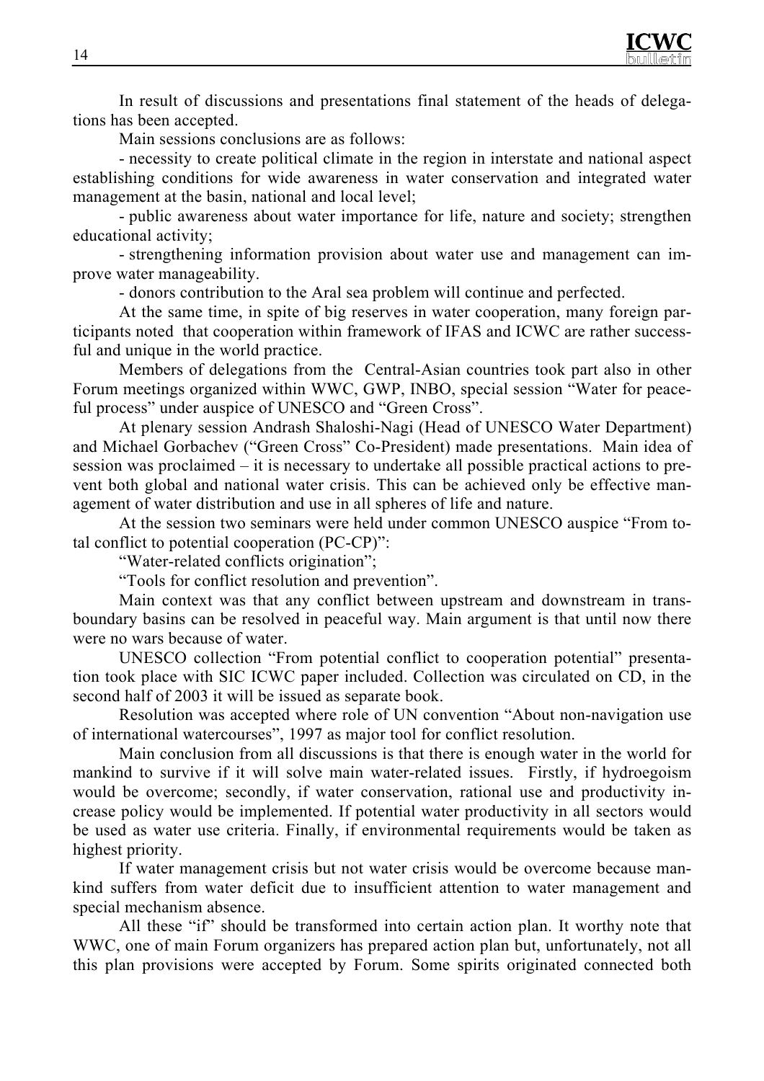In result of discussions and presentations final statement of the heads of delegations has been accepted.

Main sessions conclusions are as follows:

- necessity to create political climate in the region in interstate and national aspect establishing conditions for wide awareness in water conservation and integrated water management at the basin, national and local level;

- public awareness about water importance for life, nature and society; strengthen educational activity;

- strengthening information provision about water use and management can improve water manageability.

- donors contribution to the Aral sea problem will continue and perfected.

At the same time, in spite of big reserves in water cooperation, many foreign participants noted that cooperation within framework of IFAS and ICWC are rather successful and unique in the world practice.

Members of delegations from the Central-Asian countries took part also in other Forum meetings organized within WWC, GWP, INBO, special session "Water for peaceful process" under auspice of UNESCO and "Green Cross".

At plenary session Andrash Shaloshi-Nagi (Head of UNESCO Water Department) and Michael Gorbachev ("Green Cross" Co-President) made presentations. Main idea of session was proclaimed – it is necessary to undertake all possible practical actions to prevent both global and national water crisis. This can be achieved only be effective management of water distribution and use in all spheres of life and nature.

At the session two seminars were held under common UNESCO auspice "From total conflict to potential cooperation (PC-CP)":

"Water-related conflicts origination";

"Tools for conflict resolution and prevention".

Main context was that any conflict between upstream and downstream in transboundary basins can be resolved in peaceful way. Main argument is that until now there were no wars because of water.

UNESCO collection "From potential conflict to cooperation potential" presentation took place with SIC ICWC paper included. Collection was circulated on CD, in the second half of 2003 it will be issued as separate book.

Resolution was accepted where role of UN convention "About non-navigation use of international watercourses", 1997 as major tool for conflict resolution.

Main conclusion from all discussions is that there is enough water in the world for mankind to survive if it will solve main water-related issues. Firstly, if hydroegoism would be overcome; secondly, if water conservation, rational use and productivity increase policy would be implemented. If potential water productivity in all sectors would be used as water use criteria. Finally, if environmental requirements would be taken as highest priority.

If water management crisis but not water crisis would be overcome because mankind suffers from water deficit due to insufficient attention to water management and special mechanism absence.

All these "if" should be transformed into certain action plan. It worthy note that WWC, one of main Forum organizers has prepared action plan but, unfortunately, not all this plan provisions were accepted by Forum. Some spirits originated connected both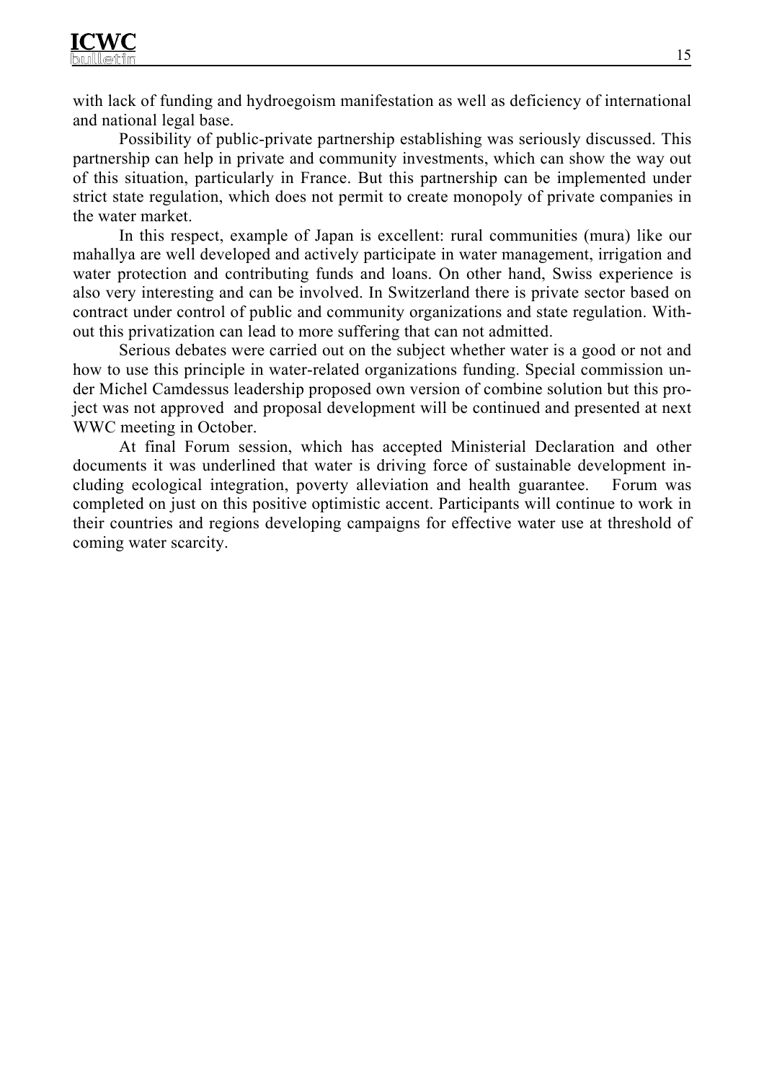with lack of funding and hydroegoism manifestation as well as deficiency of international and national legal base.

Possibility of public-private partnership establishing was seriously discussed. This partnership can help in private and community investments, which can show the way out of this situation, particularly in France. But this partnership can be implemented under strict state regulation, which does not permit to create monopoly of private companies in the water market.

In this respect, example of Japan is excellent: rural communities (mura) like our mahallya are well developed and actively participate in water management, irrigation and water protection and contributing funds and loans. On other hand, Swiss experience is also very interesting and can be involved. In Switzerland there is private sector based on contract under control of public and community organizations and state regulation. Without this privatization can lead to more suffering that can not admitted.

Serious debates were carried out on the subject whether water is a good or not and how to use this principle in water-related organizations funding. Special commission under Michel Camdessus leadership proposed own version of combine solution but this project was not approved and proposal development will be continued and presented at next WWC meeting in October.

At final Forum session, which has accepted Ministerial Declaration and other documents it was underlined that water is driving force of sustainable development including ecological integration, poverty alleviation and health guarantee. Forum was completed on just on this positive optimistic accent. Participants will continue to work in their countries and regions developing campaigns for effective water use at threshold of coming water scarcity.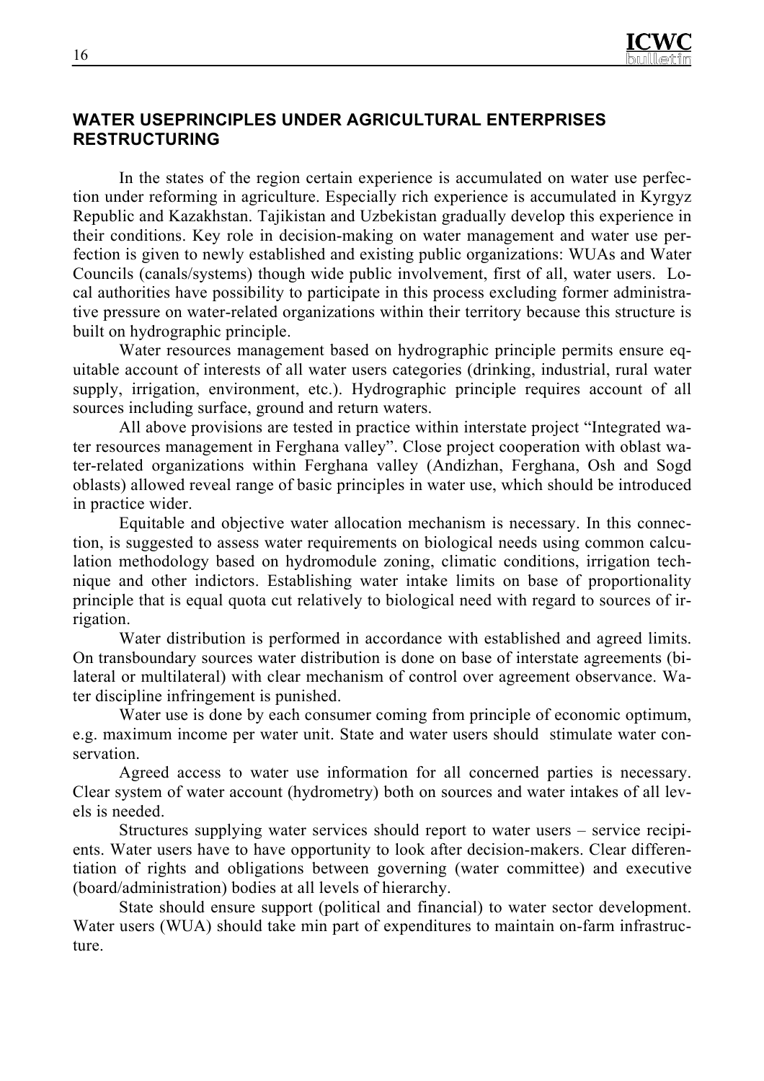

## **WATER USEPRINCIPLES UNDER AGRICULTURAL ENTERPRISES RESTRUCTURING**

In the states of the region certain experience is accumulated on water use perfection under reforming in agriculture. Especially rich experience is accumulated in Kyrgyz Republic and Kazakhstan. Tajikistan and Uzbekistan gradually develop this experience in their conditions. Key role in decision-making on water management and water use perfection is given to newly established and existing public organizations: WUAs and Water Councils (canals/systems) though wide public involvement, first of all, water users. Local authorities have possibility to participate in this process excluding former administrative pressure on water-related organizations within their territory because this structure is built on hydrographic principle.

Water resources management based on hydrographic principle permits ensure equitable account of interests of all water users categories (drinking, industrial, rural water supply, irrigation, environment, etc.). Hydrographic principle requires account of all sources including surface, ground and return waters.

All above provisions are tested in practice within interstate project "Integrated water resources management in Ferghana valley". Close project cooperation with oblast water-related organizations within Ferghana valley (Andizhan, Ferghana, Osh and Sogd oblasts) allowed reveal range of basic principles in water use, which should be introduced in practice wider.

Equitable and objective water allocation mechanism is necessary. In this connection, is suggested to assess water requirements on biological needs using common calculation methodology based on hydromodule zoning, climatic conditions, irrigation technique and other indictors. Establishing water intake limits on base of proportionality principle that is equal quota cut relatively to biological need with regard to sources of irrigation.

Water distribution is performed in accordance with established and agreed limits. On transboundary sources water distribution is done on base of interstate agreements (bilateral or multilateral) with clear mechanism of control over agreement observance. Water discipline infringement is punished.

Water use is done by each consumer coming from principle of economic optimum, e.g. maximum income per water unit. State and water users should stimulate water conservation.

Agreed access to water use information for all concerned parties is necessary. Clear system of water account (hydrometry) both on sources and water intakes of all levels is needed.

Structures supplying water services should report to water users – service recipients. Water users have to have opportunity to look after decision-makers. Clear differentiation of rights and obligations between governing (water committee) and executive (board/administration) bodies at all levels of hierarchy.

State should ensure support (political and financial) to water sector development. Water users (WUA) should take min part of expenditures to maintain on-farm infrastructure.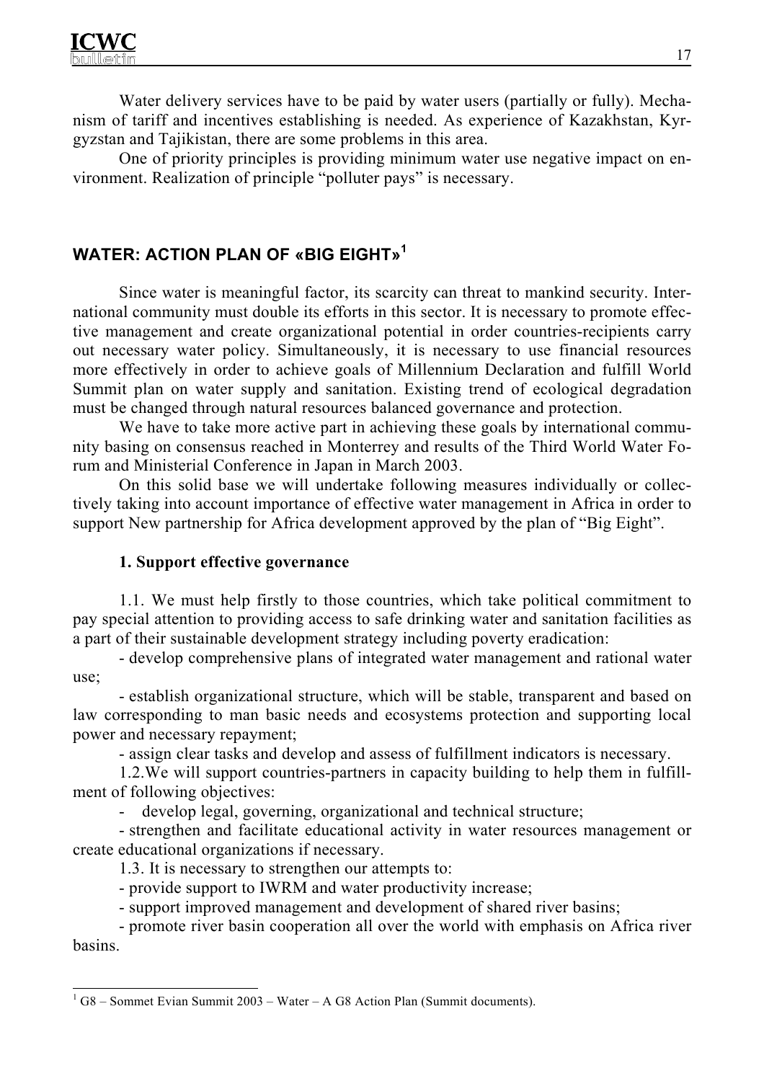Water delivery services have to be paid by water users (partially or fully). Mechanism of tariff and incentives establishing is needed. As experience of Kazakhstan, Kyrgyzstan and Tajikistan, there are some problems in this area.

One of priority principles is providing minimum water use negative impact on environment. Realization of principle "polluter pays" is necessary.

# **WATER: ACTION PLAN OF «BIG EIGHT»<sup>1</sup>**

Since water is meaningful factor, its scarcity can threat to mankind security. International community must double its efforts in this sector. It is necessary to promote effective management and create organizational potential in order countries-recipients carry out necessary water policy. Simultaneously, it is necessary to use financial resources more effectively in order to achieve goals of Millennium Declaration and fulfill World Summit plan on water supply and sanitation. Existing trend of ecological degradation must be changed through natural resources balanced governance and protection.

We have to take more active part in achieving these goals by international community basing on consensus reached in Monterrey and results of the Third World Water Forum and Ministerial Conference in Japan in March 2003.

On this solid base we will undertake following measures individually or collectively taking into account importance of effective water management in Africa in order to support New partnership for Africa development approved by the plan of "Big Eight".

## **1. Support effective governance**

1.1. We must help firstly to those countries, which take political commitment to pay special attention to providing access to safe drinking water and sanitation facilities as a part of their sustainable development strategy including poverty eradication:

- develop comprehensive plans of integrated water management and rational water use;

- establish organizational structure, which will be stable, transparent and based on law corresponding to man basic needs and ecosystems protection and supporting local power and necessary repayment;

- assign clear tasks and develop and assess of fulfillment indicators is necessary.

1.2.We will support countries-partners in capacity building to help them in fulfillment of following objectives:

- develop legal, governing, organizational and technical structure;

- strengthen and facilitate educational activity in water resources management or create educational organizations if necessary.

1.3. It is necessary to strengthen our attempts to:

- provide support to IWRM and water productivity increase;

- support improved management and development of shared river basins;

- promote river basin cooperation all over the world with emphasis on Africa river basins.

 1 G8 – Sommet Evian Summit 2003 – Water – A G8 Action Plan (Summit documents).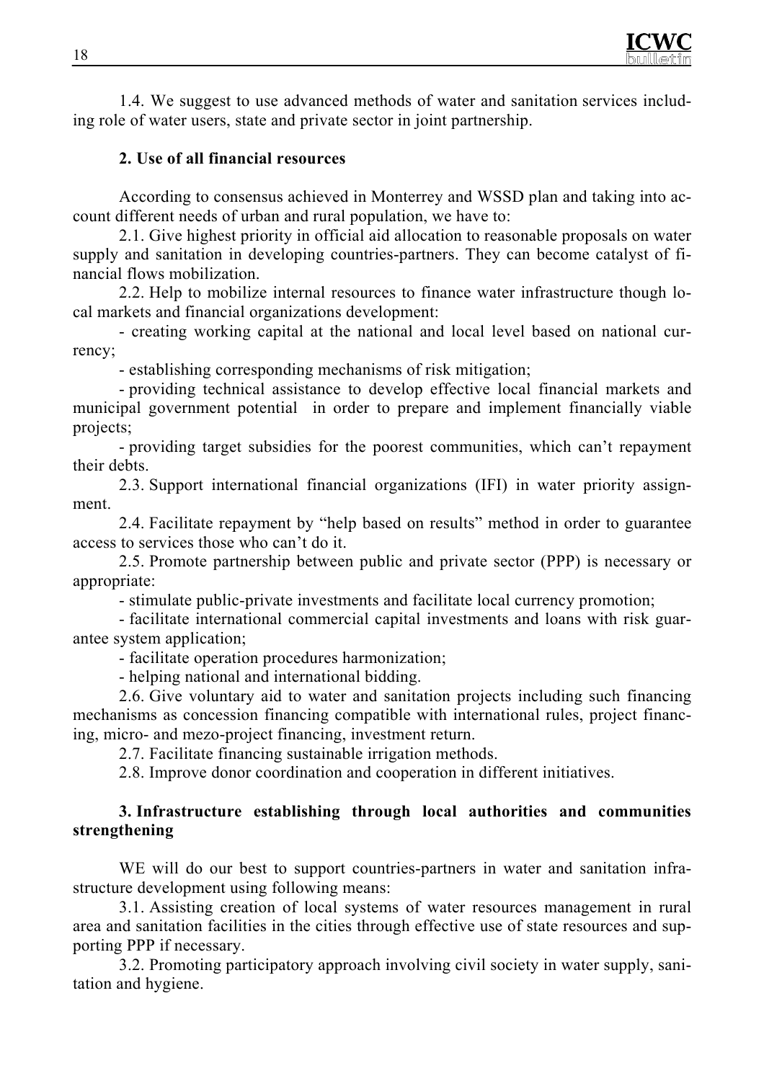1.4. We suggest to use advanced methods of water and sanitation services including role of water users, state and private sector in joint partnership.

## **2. Use of all financial resources**

According to consensus achieved in Monterrey and WSSD plan and taking into account different needs of urban and rural population, we have to:

2.1. Give highest priority in official aid allocation to reasonable proposals on water supply and sanitation in developing countries-partners. They can become catalyst of financial flows mobilization.

2.2. Help to mobilize internal resources to finance water infrastructure though local markets and financial organizations development:

- creating working capital at the national and local level based on national currency;

- establishing corresponding mechanisms of risk mitigation;

- providing technical assistance to develop effective local financial markets and municipal government potential in order to prepare and implement financially viable projects;

- providing target subsidies for the poorest communities, which can't repayment their debts.

2.3. Support international financial organizations (IFI) in water priority assignment.

2.4. Facilitate repayment by "help based on results" method in order to guarantee access to services those who can't do it.

2.5. Promote partnership between public and private sector (PPP) is necessary or appropriate:

- stimulate public-private investments and facilitate local currency promotion;

- facilitate international commercial capital investments and loans with risk guarantee system application;

- facilitate operation procedures harmonization;

- helping national and international bidding.

2.6. Give voluntary aid to water and sanitation projects including such financing mechanisms as concession financing compatible with international rules, project financing, micro- and mezo-project financing, investment return.

2.7. Facilitate financing sustainable irrigation methods.

2.8. Improve donor coordination and cooperation in different initiatives.

## **3. Infrastructure establishing through local authorities and communities strengthening**

WE will do our best to support countries-partners in water and sanitation infrastructure development using following means:

3.1. Assisting creation of local systems of water resources management in rural area and sanitation facilities in the cities through effective use of state resources and supporting PPP if necessary.

3.2. Promoting participatory approach involving civil society in water supply, sanitation and hygiene.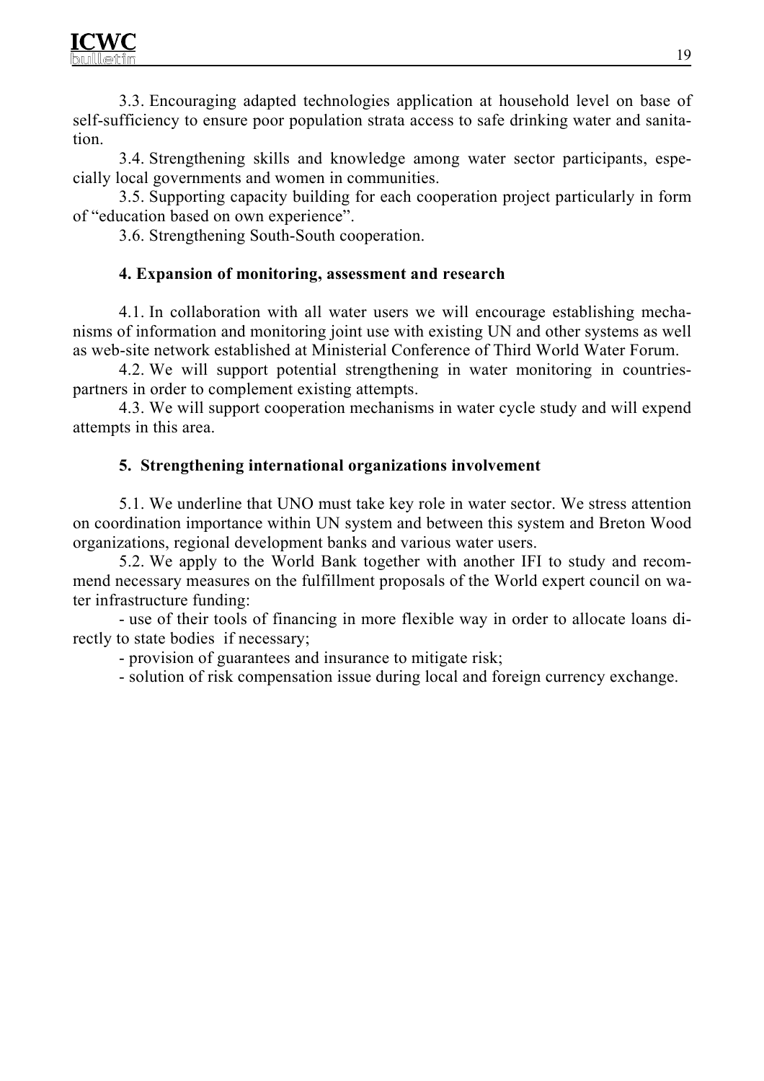3.3. Encouraging adapted technologies application at household level on base of self-sufficiency to ensure poor population strata access to safe drinking water and sanitation.

3.4. Strengthening skills and knowledge among water sector participants, especially local governments and women in communities.

3.5. Supporting capacity building for each cooperation project particularly in form of "education based on own experience".

3.6. Strengthening South-South cooperation.

## **4. Expansion of monitoring, assessment and research**

4.1. In collaboration with all water users we will encourage establishing mechanisms of information and monitoring joint use with existing UN and other systems as well as web-site network established at Ministerial Conference of Third World Water Forum.

4.2. We will support potential strengthening in water monitoring in countriespartners in order to complement existing attempts.

4.3. We will support cooperation mechanisms in water cycle study and will expend attempts in this area.

## **5. Strengthening international organizations involvement**

5.1. We underline that UNO must take key role in water sector. We stress attention on coordination importance within UN system and between this system and Breton Wood organizations, regional development banks and various water users.

5.2. We apply to the World Bank together with another IFI to study and recommend necessary measures on the fulfillment proposals of the World expert council on water infrastructure funding:

- use of their tools of financing in more flexible way in order to allocate loans directly to state bodies if necessary;

- provision of guarantees and insurance to mitigate risk;

- solution of risk compensation issue during local and foreign currency exchange.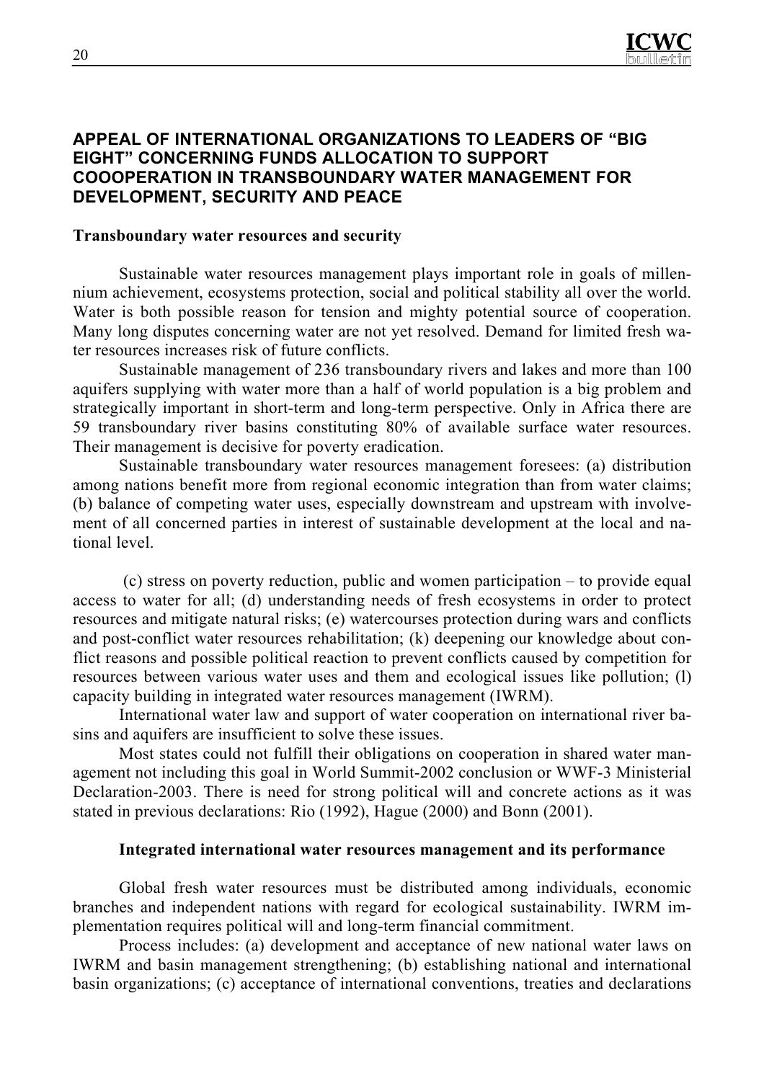

## **APPEAL OF INTERNATIONAL ORGANIZATIONS TO LEADERS OF "BIG EIGHT" CONCERNING FUNDS ALLOCATION TO SUPPORT COOOPERATION IN TRANSBOUNDARY WATER MANAGEMENT FOR DEVELOPMENT, SECURITY AND PEACE**

#### **Transboundary water resources and security**

Sustainable water resources management plays important role in goals of millennium achievement, ecosystems protection, social and political stability all over the world. Water is both possible reason for tension and mighty potential source of cooperation. Many long disputes concerning water are not yet resolved. Demand for limited fresh water resources increases risk of future conflicts.

Sustainable management of 236 transboundary rivers and lakes and more than 100 aquifers supplying with water more than a half of world population is a big problem and strategically important in short-term and long-term perspective. Only in Africa there are 59 transboundary river basins constituting 80% of available surface water resources. Their management is decisive for poverty eradication.

Sustainable transboundary water resources management foresees: (а) distribution among nations benefit more from regional economic integration than from water claims; (b) balance of competing water uses, especially downstream and upstream with involvement of all concerned parties in interest of sustainable development at the local and national level.

 (c) stress on poverty reduction, public and women participation – to provide equal access to water for all; (d) understanding needs of fresh ecosystems in order to protect resources and mitigate natural risks; (e) watercourses protection during wars and conflicts and post-conflict water resources rehabilitation; (k) deepening our knowledge about conflict reasons and possible political reaction to prevent conflicts caused by competition for resources between various water uses and them and ecological issues like pollution; (l) capacity building in integrated water resources management (IWRM).

International water law and support of water cooperation on international river basins and aquifers are insufficient to solve these issues.

Most states could not fulfill their obligations on cooperation in shared water management not including this goal in World Summit-2002 conclusion or WWF-3 Ministerial Declaration-2003. There is need for strong political will and concrete actions as it was stated in previous declarations: Rio (1992), Hague (2000) and Bonn (2001).

#### **Integrated international water resources management and its performance**

Global fresh water resources must be distributed among individuals, economic branches and independent nations with regard for ecological sustainability. IWRM implementation requires political will and long-term financial commitment.

Process includes: (а) development and acceptance of new national water laws on IWRM and basin management strengthening; (b) establishing national and international basin organizations; (c) acceptance of international conventions, treaties and declarations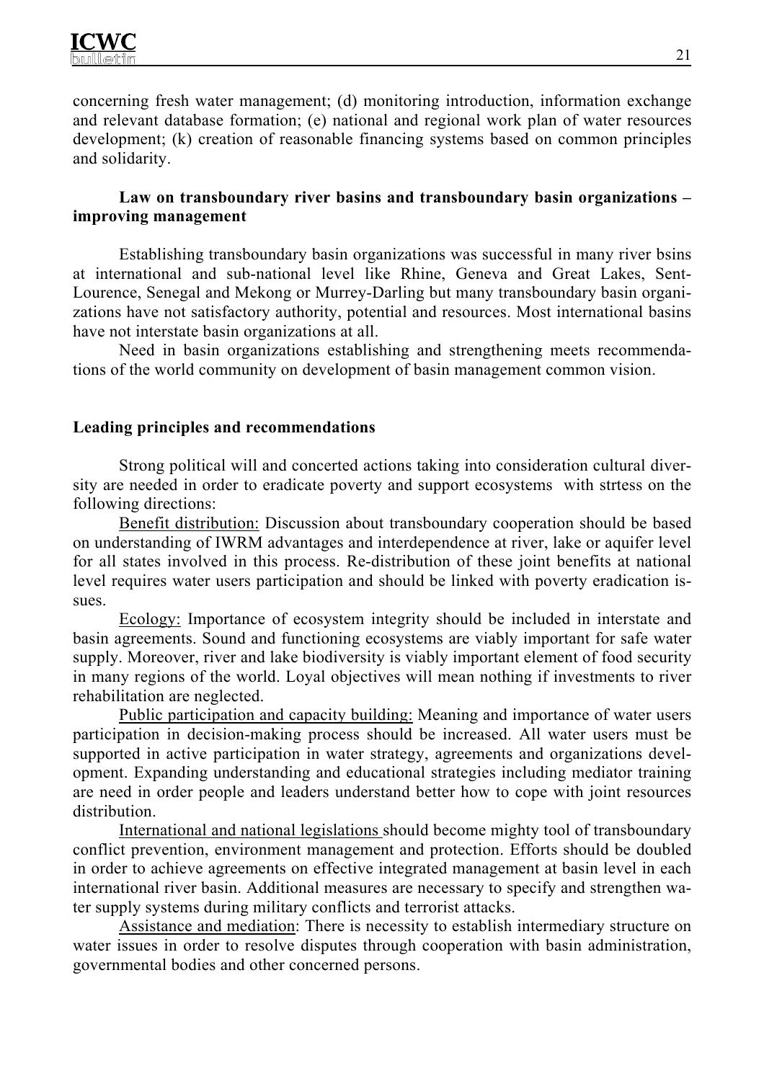concerning fresh water management; (d) monitoring introduction, information exchange and relevant database formation; (e) national and regional work plan of water resources development; (k) creation of reasonable financing systems based on common principles and solidarity.

## **Law on transboundary river basins and transboundary basin organizations – improving management**

Establishing transboundary basin organizations was successful in many river bsins at international and sub-national level like Rhine, Geneva and Great Lakes, Sent-Lourence, Senegal and Mekong or Murrey-Darling but many transboundary basin organizations have not satisfactory authority, potential and resources. Most international basins have not interstate basin organizations at all.

Need in basin organizations establishing and strengthening meets recommendations of the world community on development of basin management common vision.

## **Leading principles and recommendations**

Strong political will and concerted actions taking into consideration cultural diversity are needed in order to eradicate poverty and support ecosystems with strtess on the following directions:

Benefit distribution: Discussion about transboundary cooperation should be based on understanding of IWRM advantages and interdependence at river, lake or aquifer level for all states involved in this process. Re-distribution of these joint benefits at national level requires water users participation and should be linked with poverty eradication issues.

Ecology: Importance of ecosystem integrity should be included in interstate and basin agreements. Sound and functioning ecosystems are viably important for safe water supply. Moreover, river and lake biodiversity is viably important element of food security in many regions of the world. Loyal objectives will mean nothing if investments to river rehabilitation are neglected.

Public participation and capacity building: Meaning and importance of water users participation in decision-making process should be increased. All water users must be supported in active participation in water strategy, agreements and organizations development. Expanding understanding and educational strategies including mediator training are need in order people and leaders understand better how to cope with joint resources distribution.

International and national legislations should become mighty tool of transboundary conflict prevention, environment management and protection. Efforts should be doubled in order to achieve agreements on effective integrated management at basin level in each international river basin. Additional measures are necessary to specify and strengthen water supply systems during military conflicts and terrorist attacks.

Assistance and mediation: There is necessity to establish intermediary structure on water issues in order to resolve disputes through cooperation with basin administration, governmental bodies and other concerned persons.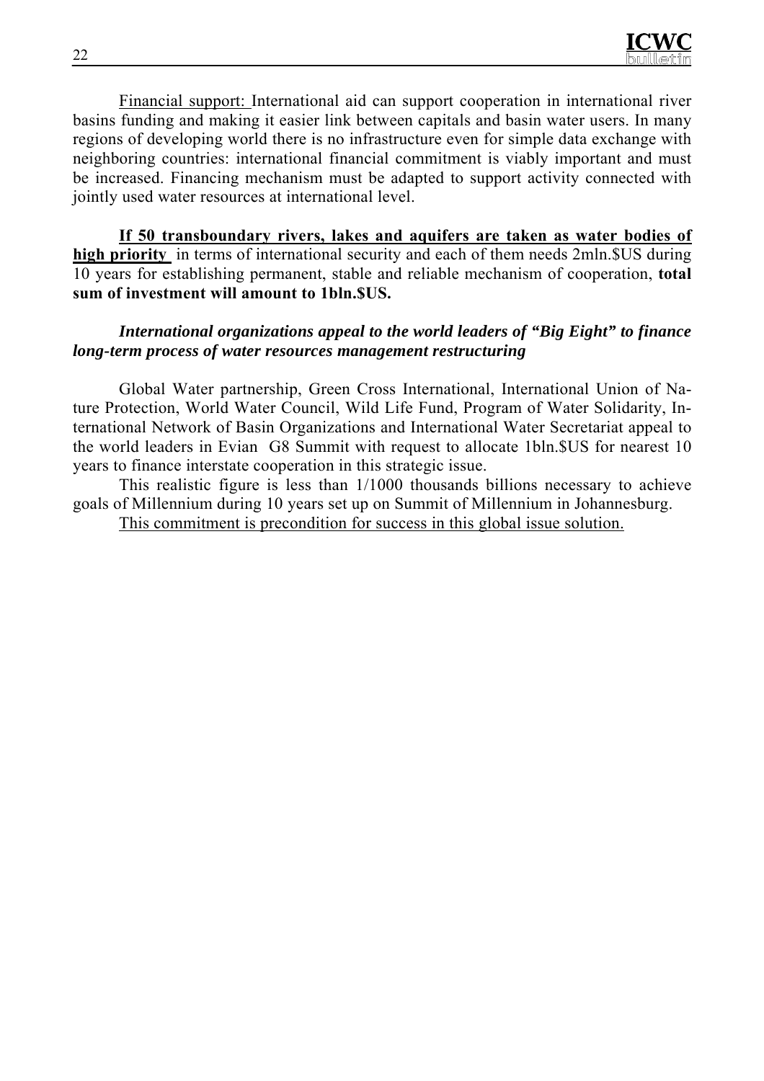Financial support: International aid can support cooperation in international river basins funding and making it easier link between capitals and basin water users. In many regions of developing world there is no infrastructure even for simple data exchange with neighboring countries: international financial commitment is viably important and must be increased. Financing mechanism must be adapted to support activity connected with jointly used water resources at international level.

**If 50 transboundary rivers, lakes and aquifers are taken as water bodies of high priority** in terms of international security and each of them needs 2mln.\$US during 10 years for establishing permanent, stable and reliable mechanism of cooperation, **total sum of investment will amount to 1bln.\$US.**

## *International organizations appeal to the world leaders of "Big Eight" to finance long-term process of water resources management restructuring*

Global Water partnership, Green Cross International, International Union of Nature Protection, World Water Council, Wild Life Fund, Program of Water Solidarity, International Network of Basin Organizations and International Water Secretariat appeal to the world leaders in Evian G8 Summit with request to allocate 1bln.\$US for nearest 10 years to finance interstate cooperation in this strategic issue.

This realistic figure is less than 1/1000 thousands billions necessary to achieve goals of Millennium during 10 years set up on Summit of Millennium in Johannesburg.

This commitment is precondition for success in this global issue solution.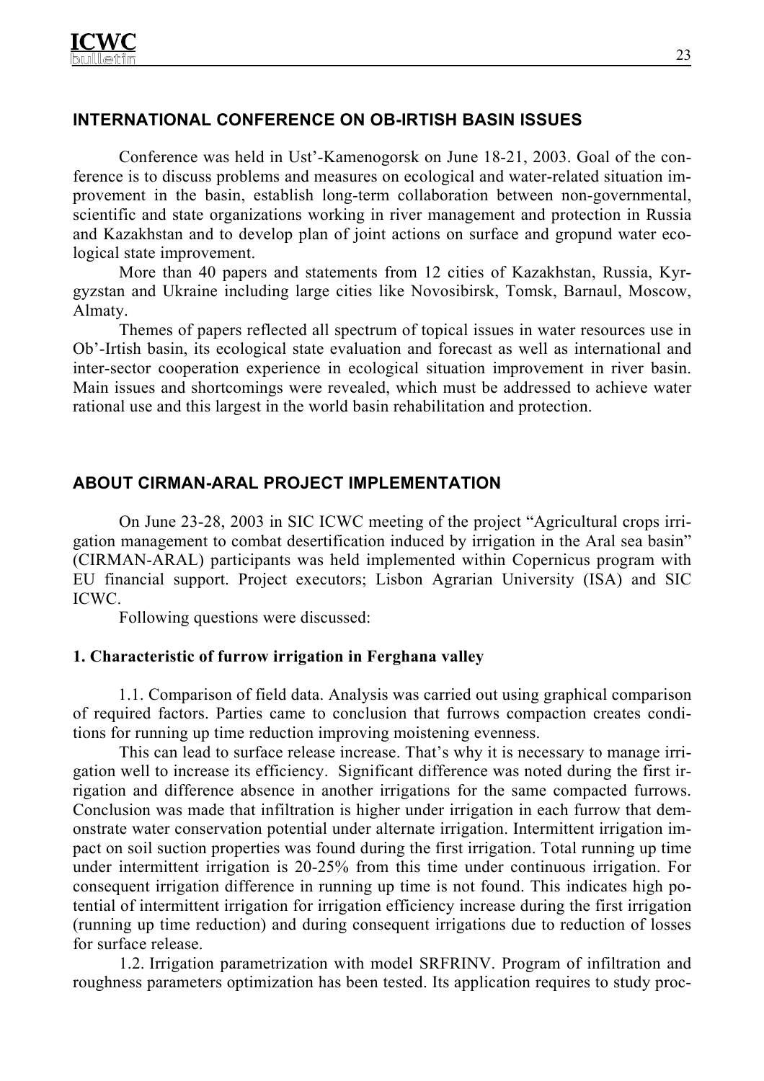## **INTERNATIONAL CONFERENCE ON OB-IRTISH BASIN ISSUES**

Conference was held in Ust'-Kamenogorsk on June 18-21, 2003. Goal of the conference is to discuss problems and measures on ecological and water-related situation improvement in the basin, establish long-term collaboration between non-governmental, scientific and state organizations working in river management and protection in Russia and Kazakhstan and to develop plan of joint actions on surface and gropund water ecological state improvement.

More than 40 papers and statements from 12 cities of Kazakhstan, Russia, Kyrgyzstan and Ukraine including large cities like Novosibirsk, Tomsk, Barnaul, Moscow, Almaty.

Themes of papers reflected all spectrum of topical issues in water resources use in Ob'-Irtish basin, its ecological state evaluation and forecast as well as international and inter-sector cooperation experience in ecological situation improvement in river basin. Main issues and shortcomings were revealed, which must be addressed to achieve water rational use and this largest in the world basin rehabilitation and protection.

## **ABOUT CIRMAN-ARAL PROJECT IMPLEMENTATION**

On June 23-28, 2003 in SIC ICWC meeting of the project "Agricultural crops irrigation management to combat desertification induced by irrigation in the Aral sea basin" (CIRMAN-ARAL) participants was held implemented within Copernicus program with EU financial support. Project executors; Lisbon Agrarian University (ISA) and SIC ICWC.

Following questions were discussed:

## **1. Characteristic of furrow irrigation in Ferghana valley**

1.1. Comparison of field data. Analysis was carried out using graphical comparison of required factors. Parties came to conclusion that furrows compaction creates conditions for running up time reduction improving moistening evenness.

This can lead to surface release increase. That's why it is necessary to manage irrigation well to increase its efficiency. Significant difference was noted during the first irrigation and difference absence in another irrigations for the same compacted furrows. Conclusion was made that infiltration is higher under irrigation in each furrow that demonstrate water conservation potential under alternate irrigation. Intermittent irrigation impact on soil suction properties was found during the first irrigation. Total running up time under intermittent irrigation is 20-25% from this time under continuous irrigation. For consequent irrigation difference in running up time is not found. This indicates high potential of intermittent irrigation for irrigation efficiency increase during the first irrigation (running up time reduction) and during consequent irrigations due to reduction of losses for surface release.

1.2. Irrigation parametrization with model SRFRINV. Program of infiltration and roughness parameters optimization has been tested. Its application requires to study proc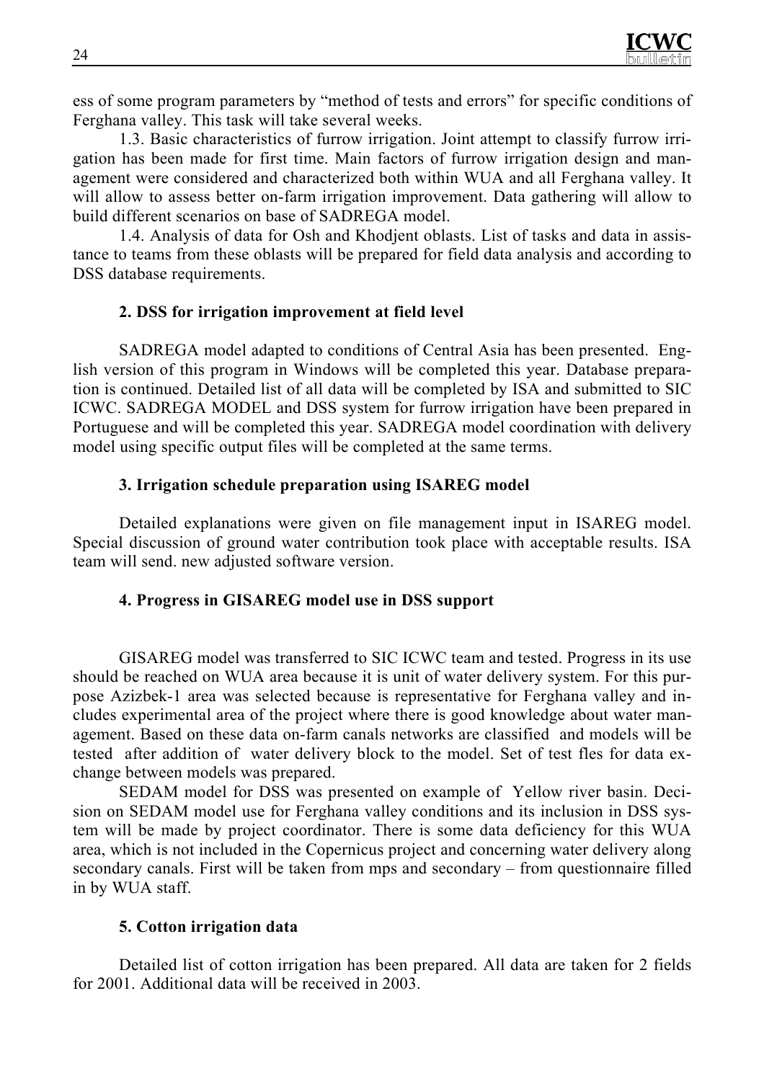ess of some program parameters by "method of tests and errors" for specific conditions of Ferghana valley. This task will take several weeks.

1.3. Basic characteristics of furrow irrigation. Joint attempt to classify furrow irrigation has been made for first time. Main factors of furrow irrigation design and management were considered and characterized both within WUA and all Ferghana valley. It will allow to assess better on-farm irrigation improvement. Data gathering will allow to build different scenarios on base of SADREGA model.

1.4. Analysis of data for Osh and Khodjent oblasts. List of tasks and data in assistance to teams from these oblasts will be prepared for field data analysis and according to DSS database requirements.

## **2. DSS for irrigation improvement at field level**

SADREGA model adapted to conditions of Central Asia has been presented. English version of this program in Windows will be completed this year. Database preparation is continued. Detailed list of all data will be completed by ISA and submitted to SIC ICWC. SADREGA MODEL and DSS system for furrow irrigation have been prepared in Portuguese and will be completed this year. SADREGA model coordination with delivery model using specific output files will be completed at the same terms.

## **3. Irrigation schedule preparation using ISAREG model**

Detailed explanations were given on file management input in ISAREG model. Special discussion of ground water contribution took place with acceptable results. ISA team will send. new adjusted software version.

## **4. Progress in GISAREG model use in DSS support**

GISAREG model was transferred to SIC ICWC team and tested. Progress in its use should be reached on WUA area because it is unit of water delivery system. For this purpose Azizbek-1 area was selected because is representative for Ferghana valley and includes experimental area of the project where there is good knowledge about water management. Based on these data on-farm canals networks are classified and models will be tested after addition of water delivery block to the model. Set of test fles for data exchange between models was prepared.

SEDAM model for DSS was presented on example of Yellow river basin. Decision on SEDAM model use for Ferghana valley conditions and its inclusion in DSS system will be made by project coordinator. There is some data deficiency for this WUA area, which is not included in the Copernicus project and concerning water delivery along secondary canals. First will be taken from mps and secondary – from questionnaire filled in by WUA staff.

## **5. Cotton irrigation data**

Detailed list of cotton irrigation has been prepared. All data are taken for 2 fields for 2001. Additional data will be received in 2003.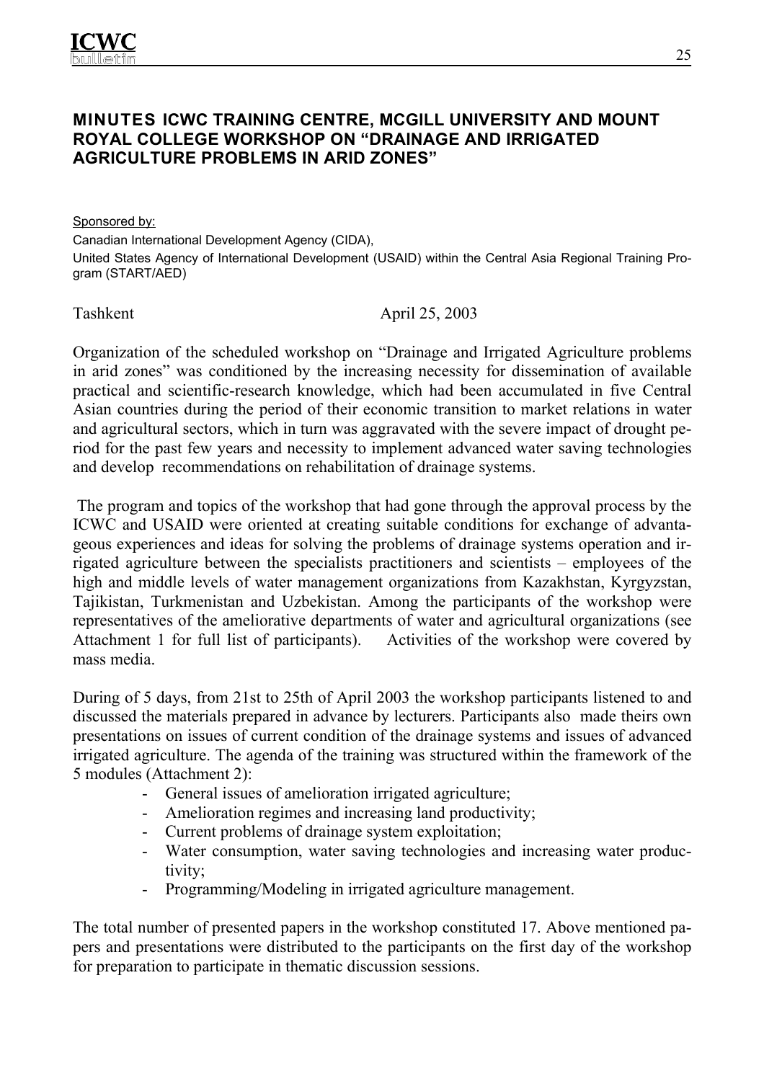## **MINUTES ICWC TRAINING CENTRE, MCGILL UNIVERSITY AND MOUNT ROYAL COLLEGE WORKSHOP ON "DRAINAGE AND IRRIGATED AGRICULTURE PROBLEMS IN ARID ZONES"**

Sponsored by: Canadian International Development Agency (CIDA), United States Agency of International Development (USAID) within the Central Asia Regional Training Program (START/AED)

Tashkent April 25, 2003

Organization of the scheduled workshop on "Drainage and Irrigated Agriculture problems in arid zones" was conditioned by the increasing necessity for dissemination of available practical and scientific-research knowledge, which had been accumulated in five Central Asian countries during the period of their economic transition to market relations in water and agricultural sectors, which in turn was aggravated with the severe impact of drought period for the past few years and necessity to implement advanced water saving technologies and develop recommendations on rehabilitation of drainage systems.

 The program and topics of the workshop that had gone through the approval process by the ICWC and USAID were oriented at creating suitable conditions for exchange of advantageous experiences and ideas for solving the problems of drainage systems operation and irrigated agriculture between the specialists practitioners and scientists – employees of the high and middle levels of water management organizations from Kazakhstan, Kyrgyzstan, Tajikistan, Turkmenistan and Uzbekistan. Among the participants of the workshop were representatives of the ameliorative departments of water and agricultural organizations (see Attachment 1 for full list of participants). Activities of the workshop were covered by mass media.

During of 5 days, from 21st to 25th of April 2003 the workshop participants listened to and discussed the materials prepared in advance by lecturers. Participants also made theirs own presentations on issues of current condition of the drainage systems and issues of advanced irrigated agriculture. The agenda of the training was structured within the framework of the 5 modules (Attachment 2):

- General issues of amelioration irrigated agriculture;
- Amelioration regimes and increasing land productivity;
- Current problems of drainage system exploitation;
- Water consumption, water saving technologies and increasing water productivity;
- Programming/Modeling in irrigated agriculture management.

The total number of presented papers in the workshop constituted 17. Above mentioned papers and presentations were distributed to the participants on the first day of the workshop for preparation to participate in thematic discussion sessions.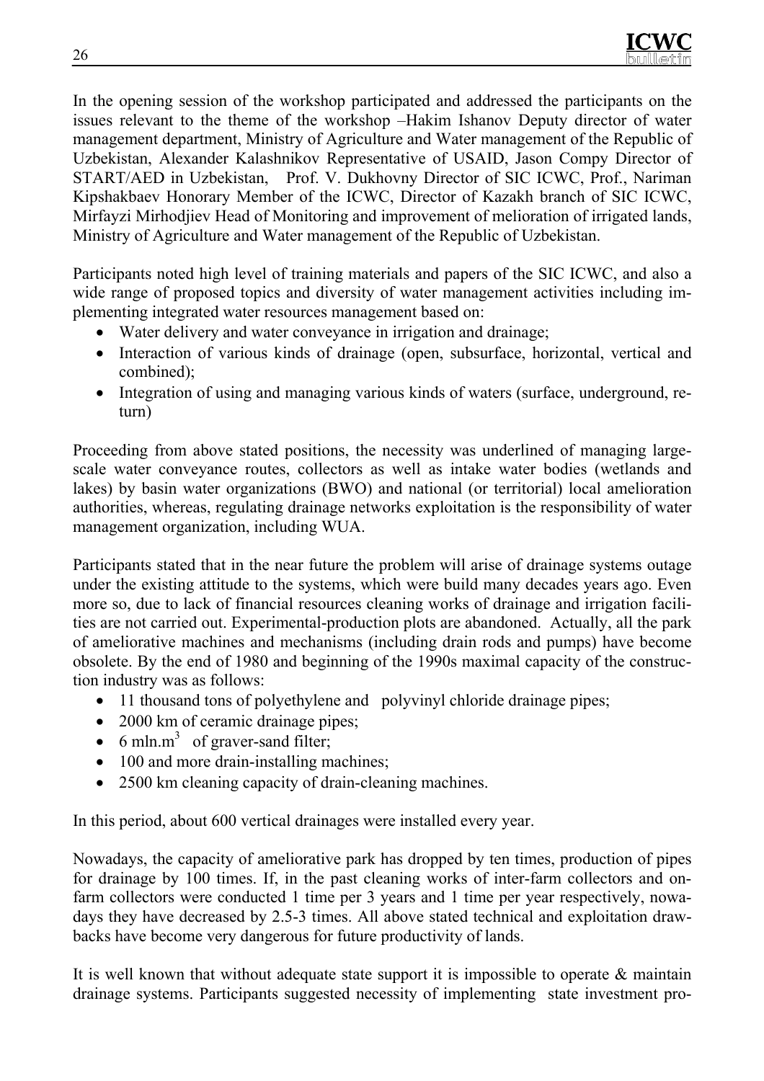In the opening session of the workshop participated and addressed the participants on the issues relevant to the theme of the workshop –Hakim Ishanov Deputy director of water management department, Ministry of Agriculture and Water management of the Republic of Uzbekistan, Alexander Kalashnikov Representative of USAID, Jason Compy Director of START/AED in Uzbekistan, Prof. V. Dukhovny Director of SIC ICWC, Prof., Nariman Kipshakbaev Honorary Member of the ICWC, Director of Kazakh branch of SIC ICWC, Mirfayzi Mirhodjiev Head of Monitoring and improvement of melioration of irrigated lands, Ministry of Agriculture and Water management of the Republic of Uzbekistan.

Participants noted high level of training materials and papers of the SIC ICWC, and also a wide range of proposed topics and diversity of water management activities including implementing integrated water resources management based on:

- Water delivery and water conveyance in irrigation and drainage;
- Interaction of various kinds of drainage (open, subsurface, horizontal, vertical and combined);
- Integration of using and managing various kinds of waters (surface, underground, return)

Proceeding from above stated positions, the necessity was underlined of managing largescale water conveyance routes, collectors as well as intake water bodies (wetlands and lakes) by basin water organizations (BWO) and national (or territorial) local amelioration authorities, whereas, regulating drainage networks exploitation is the responsibility of water management organization, including WUA.

Participants stated that in the near future the problem will arise of drainage systems outage under the existing attitude to the systems, which were build many decades years ago. Even more so, due to lack of financial resources cleaning works of drainage and irrigation facilities are not carried out. Experimental-production plots are abandoned. Actually, all the park of ameliorative machines and mechanisms (including drain rods and pumps) have become obsolete. By the end of 1980 and beginning of the 1990s maximal capacity of the construction industry was as follows:

- 11 thousand tons of polyethylene and polyvinyl chloride drainage pipes;
- 2000 km of ceramic drainage pipes;
- $\bullet$  6 mln.m<sup>3</sup> of graver-sand filter;
- 100 and more drain-installing machines;
- 2500 km cleaning capacity of drain-cleaning machines.

In this period, about 600 vertical drainages were installed every year.

Nowadays, the capacity of ameliorative park has dropped by ten times, production of pipes for drainage by 100 times. If, in the past cleaning works of inter-farm collectors and onfarm collectors were conducted 1 time per 3 years and 1 time per year respectively, nowadays they have decreased by 2.5-3 times. All above stated technical and exploitation drawbacks have become very dangerous for future productivity of lands.

It is well known that without adequate state support it is impossible to operate  $\&$  maintain drainage systems. Participants suggested necessity of implementing state investment pro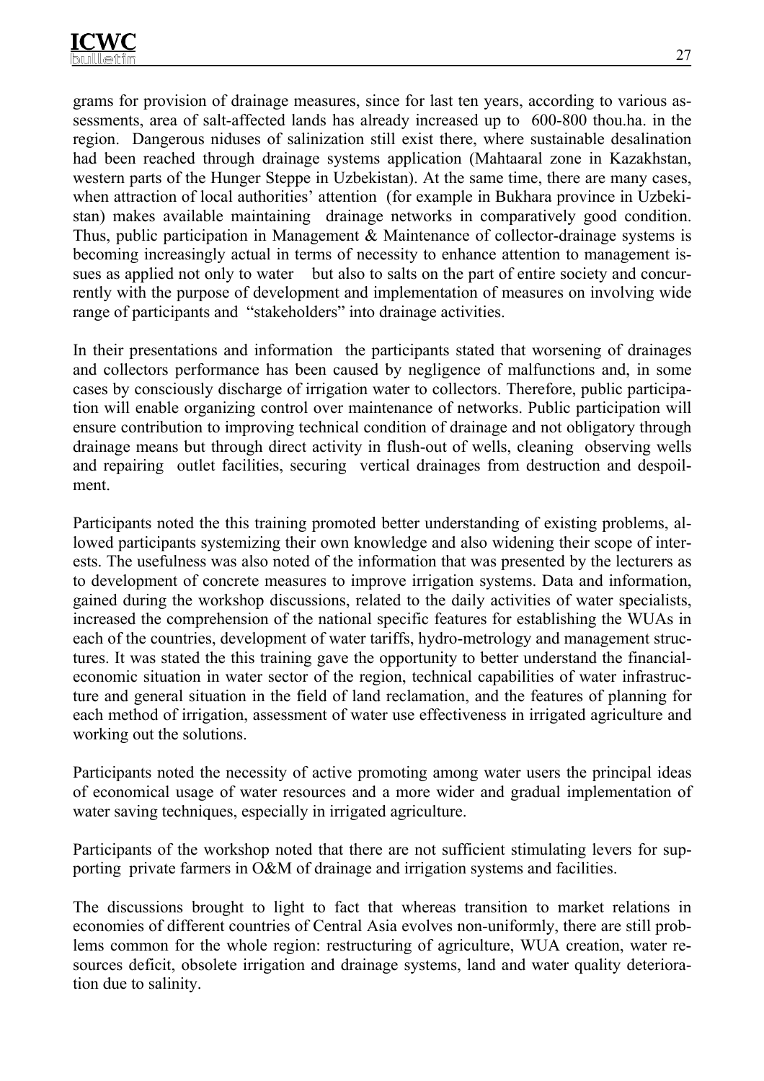grams for provision of drainage measures, since for last ten years, according to various assessments, area of salt-affected lands has already increased up to 600-800 thou.ha. in the region. Dangerous niduses of salinization still exist there, where sustainable desalination had been reached through drainage systems application (Mahtaaral zone in Kazakhstan, western parts of the Hunger Steppe in Uzbekistan). At the same time, there are many cases, when attraction of local authorities' attention (for example in Bukhara province in Uzbekistan) makes available maintaining drainage networks in comparatively good condition. Thus, public participation in Management & Maintenance of collector-drainage systems is becoming increasingly actual in terms of necessity to enhance attention to management issues as applied not only to water but also to salts on the part of entire society and concurrently with the purpose of development and implementation of measures on involving wide range of participants and "stakeholders" into drainage activities.

In their presentations and information the participants stated that worsening of drainages and collectors performance has been caused by negligence of malfunctions and, in some cases by consciously discharge of irrigation water to collectors. Therefore, public participation will enable organizing control over maintenance of networks. Public participation will ensure contribution to improving technical condition of drainage and not obligatory through drainage means but through direct activity in flush-out of wells, cleaning observing wells and repairing outlet facilities, securing vertical drainages from destruction and despoilment.

Participants noted the this training promoted better understanding of existing problems, allowed participants systemizing their own knowledge and also widening their scope of interests. The usefulness was also noted of the information that was presented by the lecturers as to development of concrete measures to improve irrigation systems. Data and information, gained during the workshop discussions, related to the daily activities of water specialists, increased the comprehension of the national specific features for establishing the WUAs in each of the countries, development of water tariffs, hydro-metrology and management structures. It was stated the this training gave the opportunity to better understand the financialeconomic situation in water sector of the region, technical capabilities of water infrastructure and general situation in the field of land reclamation, and the features of planning for each method of irrigation, assessment of water use effectiveness in irrigated agriculture and working out the solutions.

Participants noted the necessity of active promoting among water users the principal ideas of economical usage of water resources and a more wider and gradual implementation of water saving techniques, especially in irrigated agriculture.

Participants of the workshop noted that there are not sufficient stimulating levers for supporting private farmers in O&M of drainage and irrigation systems and facilities.

The discussions brought to light to fact that whereas transition to market relations in economies of different countries of Central Asia evolves non-uniformly, there are still problems common for the whole region: restructuring of agriculture, WUA creation, water resources deficit, obsolete irrigation and drainage systems, land and water quality deterioration due to salinity.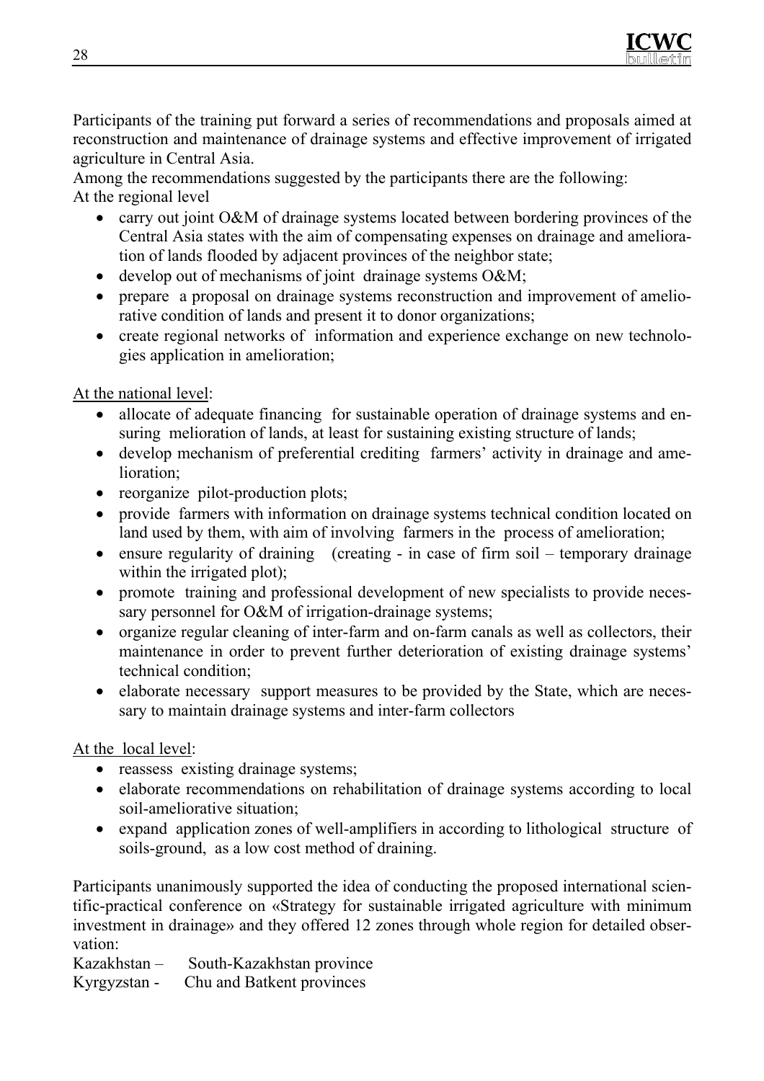

Participants of the training put forward a series of recommendations and proposals aimed at reconstruction and maintenance of drainage systems and effective improvement of irrigated agriculture in Central Asia.

Among the recommendations suggested by the participants there are the following: At the regional level

- carry out joint O&M of drainage systems located between bordering provinces of the Central Asia states with the aim of compensating expenses on drainage and amelioration of lands flooded by adjacent provinces of the neighbor state;
- develop out of mechanisms of joint drainage systems O&M;
- prepare a proposal on drainage systems reconstruction and improvement of ameliorative condition of lands and present it to donor organizations;
- create regional networks of information and experience exchange on new technologies application in amelioration;

At the national level:

- allocate of adequate financing for sustainable operation of drainage systems and ensuring melioration of lands, at least for sustaining existing structure of lands;
- develop mechanism of preferential crediting farmers' activity in drainage and amelioration;
- reorganize pilot-production plots;
- provide farmers with information on drainage systems technical condition located on land used by them, with aim of involving farmers in the process of amelioration;
- ensure regularity of draining (creating in case of firm soil temporary drainage within the irrigated plot);
- promote training and professional development of new specialists to provide necessary personnel for O&M of irrigation-drainage systems;
- organize regular cleaning of inter-farm and on-farm canals as well as collectors, their maintenance in order to prevent further deterioration of existing drainage systems' technical condition;
- elaborate necessary support measures to be provided by the State, which are necessary to maintain drainage systems and inter-farm collectors

## At the local level:

- reassess existing drainage systems;
- elaborate recommendations on rehabilitation of drainage systems according to local soil-ameliorative situation;
- expand application zones of well-amplifiers in according to lithological structure of soils-ground, as a low cost method of draining.

Participants unanimously supported the idea of conducting the proposed international scientific-practical conference on «Strategy for sustainable irrigated agriculture with minimum investment in drainage» and they offered 12 zones through whole region for detailed observation:

Kazakhstan – South-Kazakhstan province

Kyrgyzstan - Chu and Batkent provinces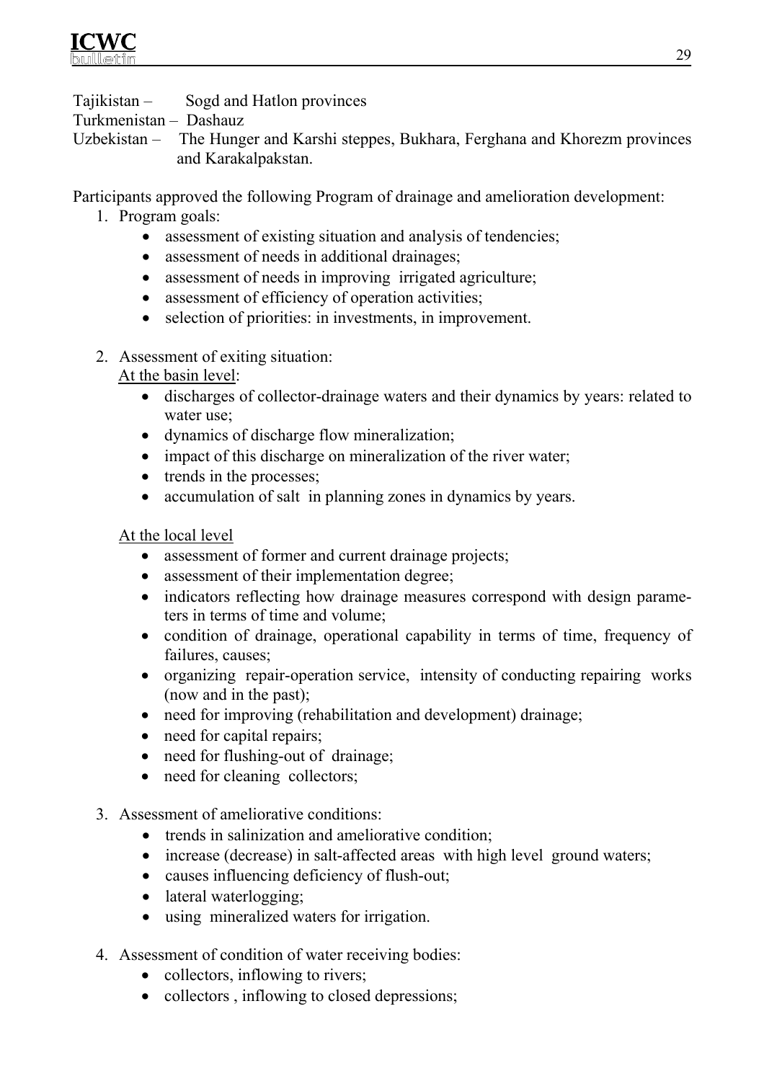Tajikistan – Sogd and Hatlon provinces

Turkmenistan – Dashauz

Uzbekistan – The Hunger and Karshi steppes, Bukhara, Ferghana and Khorezm provinces and Karakalpakstan.

Participants approved the following Program of drainage and amelioration development:

- 1. Program goals:
	- assessment of existing situation and analysis of tendencies;
	- assessment of needs in additional drainages;
	- assessment of needs in improving irrigated agriculture;
	- assessment of efficiency of operation activities;
	- selection of priorities: in investments, in improvement.
- 2. Assessment of exiting situation:

At the basin level:

- discharges of collector-drainage waters and their dynamics by years: related to water use;
- dynamics of discharge flow mineralization;
- impact of this discharge on mineralization of the river water;
- trends in the processes;
- accumulation of salt in planning zones in dynamics by years.

At the local level

- assessment of former and current drainage projects;
- assessment of their implementation degree;
- indicators reflecting how drainage measures correspond with design parameters in terms of time and volume;
- condition of drainage, operational capability in terms of time, frequency of failures, causes;
- organizing repair-operation service, intensity of conducting repairing works (now and in the past);
- need for improving (rehabilitation and development) drainage;
- need for capital repairs;
- need for flushing-out of drainage;
- need for cleaning collectors;
- 3. Assessment of ameliorative conditions:
	- trends in salinization and ameliorative condition;
	- increase (decrease) in salt-affected areas with high level ground waters;
	- causes influencing deficiency of flush-out;
	- lateral waterlogging;
	- using mineralized waters for irrigation.
- 4. Assessment of condition of water receiving bodies:
	- collectors, inflowing to rivers;
	- collectors, inflowing to closed depressions;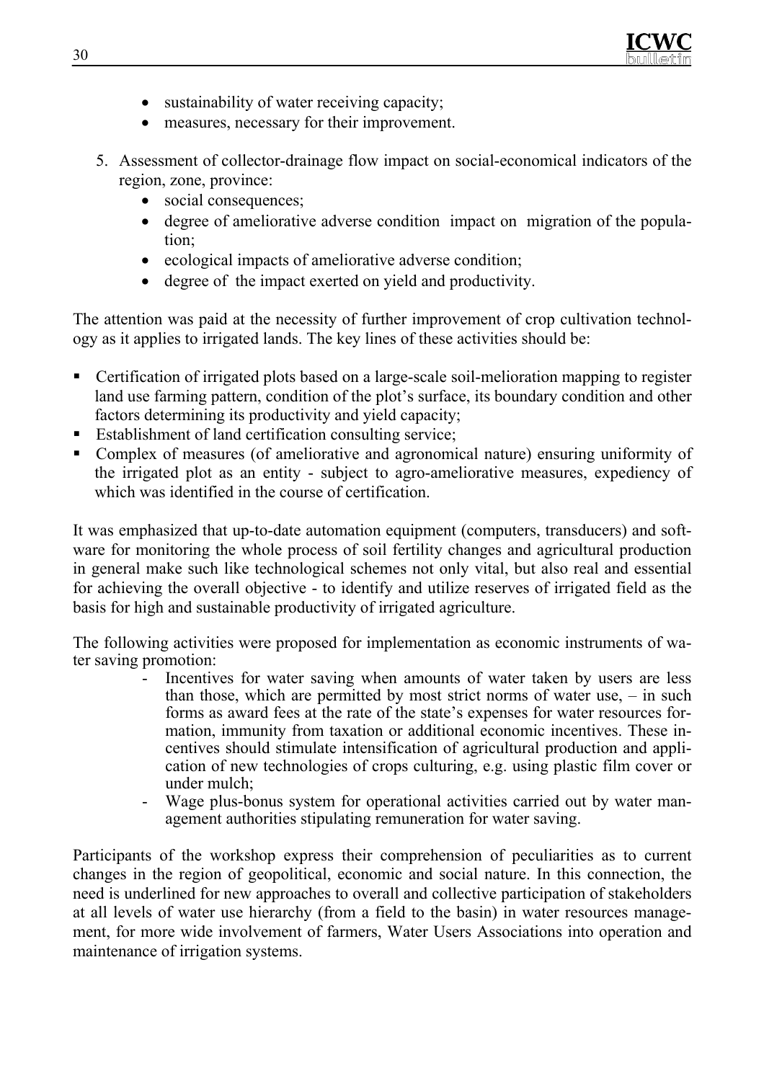

- sustainability of water receiving capacity;
- measures, necessary for their improvement.
- 5. Assessment of collector-drainage flow impact on social-economical indicators of the region, zone, province:
	- social consequences;
	- degree of ameliorative adverse condition impact on migration of the population;
	- ecological impacts of ameliorative adverse condition;
	- degree of the impact exerted on yield and productivity.

The attention was paid at the necessity of further improvement of crop cultivation technology as it applies to irrigated lands. The key lines of these activities should be:

- Certification of irrigated plots based on a large-scale soil-melioration mapping to register land use farming pattern, condition of the plot's surface, its boundary condition and other factors determining its productivity and yield capacity;
- Establishment of land certification consulting service;
- Complex of measures (of ameliorative and agronomical nature) ensuring uniformity of the irrigated plot as an entity - subject to agro-ameliorative measures, expediency of which was identified in the course of certification.

It was emphasized that up-to-date automation equipment (computers, transducers) and software for monitoring the whole process of soil fertility changes and agricultural production in general make such like technological schemes not only vital, but also real and essential for achieving the overall objective - to identify and utilize reserves of irrigated field as the basis for high and sustainable productivity of irrigated agriculture.

The following activities were proposed for implementation as economic instruments of water saving promotion:

- Incentives for water saving when amounts of water taken by users are less than those, which are permitted by most strict norms of water use, – in such forms as award fees at the rate of the state's expenses for water resources formation, immunity from taxation or additional economic incentives. These incentives should stimulate intensification of agricultural production and application of new technologies of crops culturing, e.g. using plastic film cover or under mulch;
- Wage plus-bonus system for operational activities carried out by water management authorities stipulating remuneration for water saving.

Participants of the workshop express their comprehension of peculiarities as to current changes in the region of geopolitical, economic and social nature. In this connection, the need is underlined for new approaches to overall and collective participation of stakeholders at all levels of water use hierarchy (from a field to the basin) in water resources management, for more wide involvement of farmers, Water Users Associations into operation and maintenance of irrigation systems.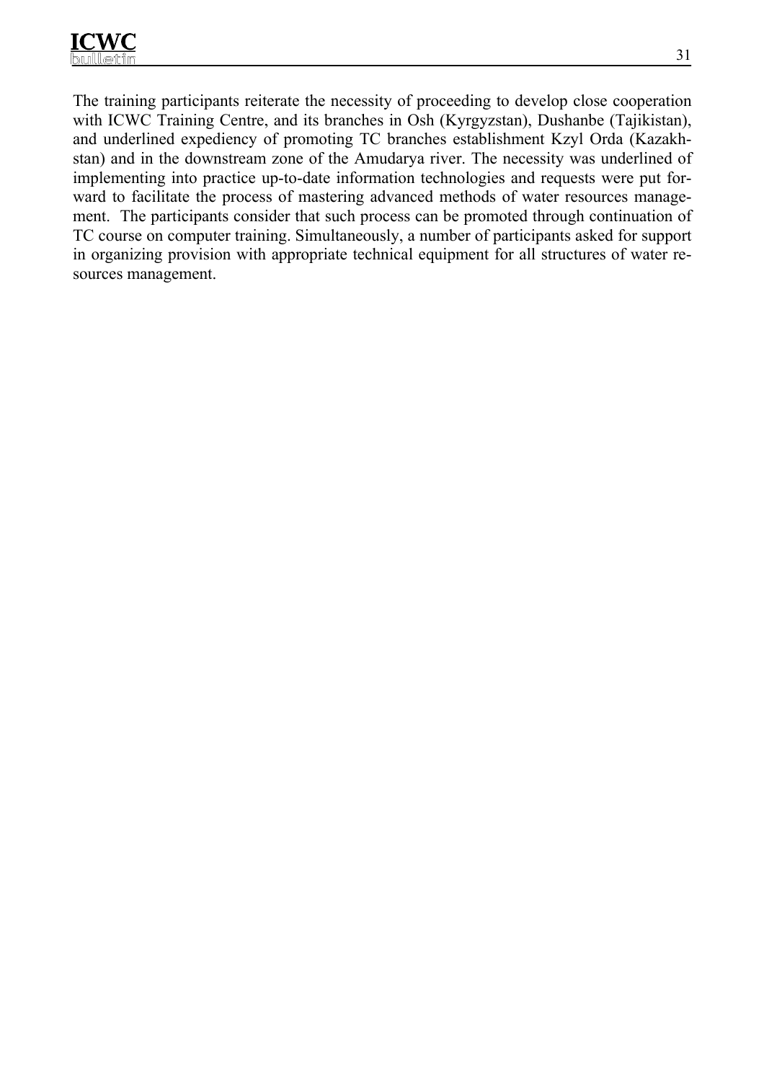The training participants reiterate the necessity of proceeding to develop close cooperation with ICWC Training Centre, and its branches in Osh (Kyrgyzstan), Dushanbe (Tajikistan), and underlined expediency of promoting TC branches establishment Kzyl Orda (Kazakhstan) and in the downstream zone of the Amudarya river. The necessity was underlined of implementing into practice up-to-date information technologies and requests were put forward to facilitate the process of mastering advanced methods of water resources management. The participants consider that such process can be promoted through continuation of TC course on computer training. Simultaneously, a number of participants asked for support in organizing provision with appropriate technical equipment for all structures of water resources management.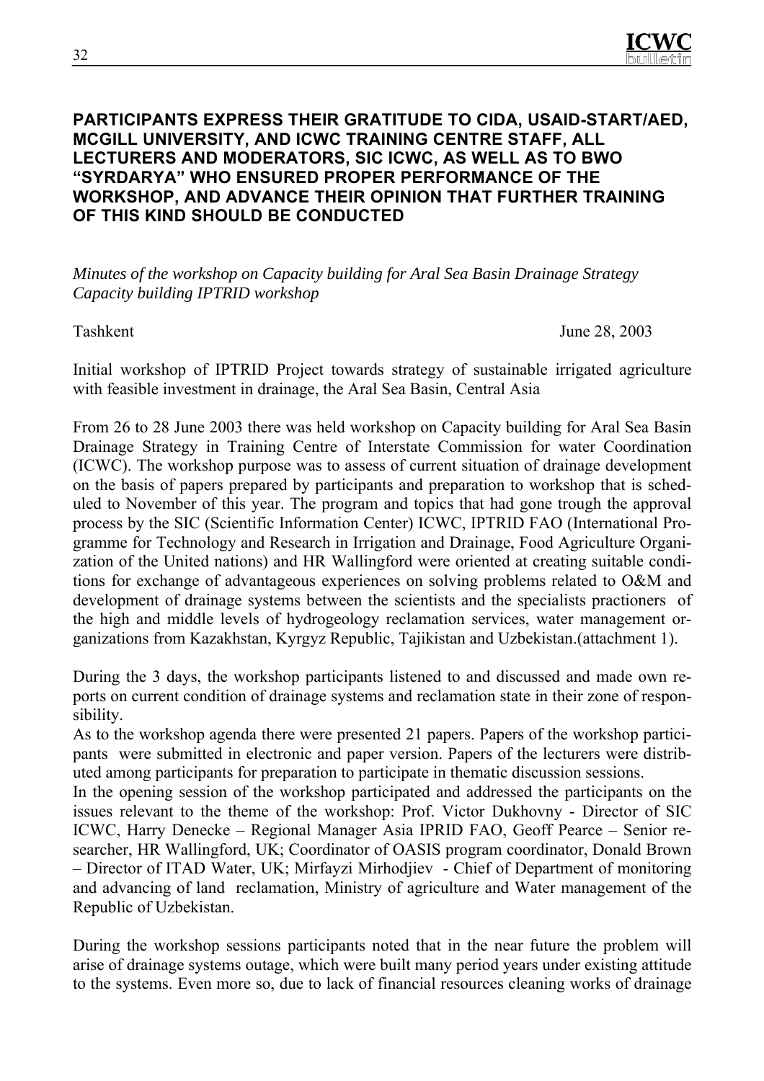## **PARTICIPANTS EXPRESS THEIR GRATITUDE TO CIDA, USAID-START/AED, MCGILL UNIVERSITY, AND ICWC TRAINING CENTRE STAFF, ALL LECTURERS AND MODERATORS, SIC ICWC, AS WELL AS TO BWO "SYRDARYA" WHO ENSURED PROPER PERFORMANCE OF THE WORKSHOP, AND ADVANCE THEIR OPINION THAT FURTHER TRAINING OF THIS KIND SHOULD BE CONDUCTED**

*Minutes of the workshop on Capacity building for Aral Sea Basin Drainage Strategy Capacity building IPTRID workshop* 

Tashkent June 28, 2003

Initial workshop of IPTRID Project towards strategy of sustainable irrigated agriculture with feasible investment in drainage, the Aral Sea Basin, Central Asia

From 26 to 28 June 2003 there was held workshop on Capacity building for Aral Sea Basin Drainage Strategy in Training Centre of Interstate Commission for water Coordination (ICWC). The workshop purpose was to assess of current situation of drainage development on the basis of papers prepared by participants and preparation to workshop that is scheduled to November of this year. The program and topics that had gone trough the approval process by the SIC (Scientific Information Center) ICWC, IPTRID FAO (International Programme for Technology and Research in Irrigation and Drainage, Food Agriculture Organization of the United nations) and HR Wallingford were oriented at creating suitable conditions for exchange of advantageous experiences on solving problems related to O&M and development of drainage systems between the scientists and the specialists practioners of the high and middle levels of hydrogeology reclamation services, water management organizations from Kazakhstan, Kyrgyz Republic, Tajikistan and Uzbekistan.(attachment 1).

During the 3 days, the workshop participants listened to and discussed and made own reports on current condition of drainage systems and reclamation state in their zone of responsibility.

As to the workshop agenda there were presented 21 papers. Papers of the workshop participants were submitted in electronic and paper version. Papers of the lecturers were distributed among participants for preparation to participate in thematic discussion sessions.

In the opening session of the workshop participated and addressed the participants on the issues relevant to the theme of the workshop: Prof. Victor Dukhovny - Director of SIC ICWC, Harry Denecke – Regional Manager Asia IPRID FAO, Geoff Pearce – Senior researcher, HR Wallingford, UK; Coordinator of OASIS program coordinator, Donald Brown – Director of ITAD Water, UK; Mirfayzi Mirhodjiev - Chief of Department of monitoring and advancing of land reclamation, Ministry of agriculture and Water management of the Republic of Uzbekistan.

During the workshop sessions participants noted that in the near future the problem will arise of drainage systems outage, which were built many period years under existing attitude to the systems. Even more so, due to lack of financial resources cleaning works of drainage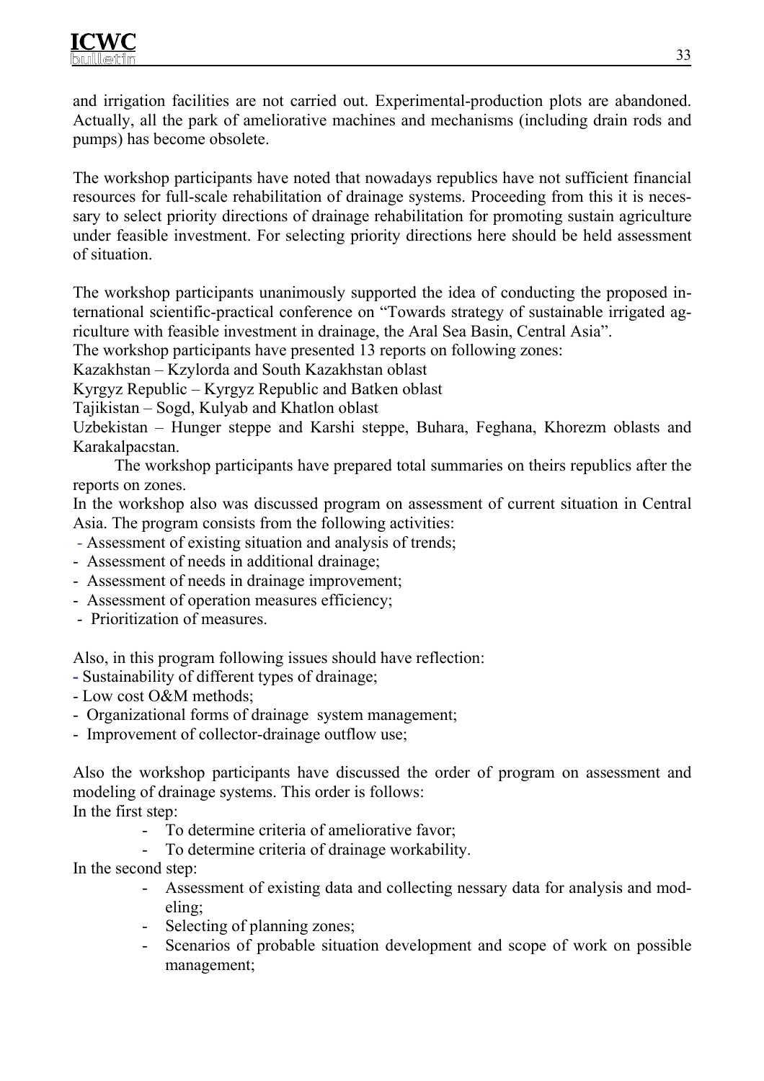and irrigation facilities are not carried out. Experimental-production plots are abandoned. Actually, all the park of ameliorative machines and mechanisms (including drain rods and pumps) has become obsolete.

The workshop participants have noted that nowadays republics have not sufficient financial resources for full-scale rehabilitation of drainage systems. Proceeding from this it is necessary to select priority directions of drainage rehabilitation for promoting sustain agriculture under feasible investment. For selecting priority directions here should be held assessment of situation.

The workshop participants unanimously supported the idea of conducting the proposed international scientific-practical conference on "Towards strategy of sustainable irrigated agriculture with feasible investment in drainage, the Aral Sea Basin, Central Asia".

The workshop participants have presented 13 reports on following zones:

Kazakhstan – Kzylorda and South Kazakhstan oblast

Kyrgyz Republic – Kyrgyz Republic and Batken oblast

Tajikistan – Sogd, Kulyab and Khatlon oblast

Uzbekistan – Hunger steppe and Karshi steppe, Buhara, Feghana, Khorezm oblasts and Karakalpacstan.

 The workshop participants have prepared total summaries on theirs republics after the reports on zones.

In the workshop also was discussed program on assessment of current situation in Central Asia. The program consists from the following activities:

- Assessment of existing situation and analysis of trends;
- Assessment of needs in additional drainage;
- Assessment of needs in drainage improvement;
- Assessment of operation measures efficiency;
- Prioritization of measures.

Also, in this program following issues should have reflection:

- **-** Sustainability of different types of drainage;
- Low cost O&M methods;
- Organizational forms of drainage system management;
- Improvement of collector-drainage outflow use;

Also the workshop participants have discussed the order of program on assessment and modeling of drainage systems. This order is follows:

In the first step:

- To determine criteria of ameliorative favor;
- To determine criteria of drainage workability.

In the second step:

- Assessment of existing data and collecting nessary data for analysis and modeling;
- Selecting of planning zones;
- Scenarios of probable situation development and scope of work on possible management;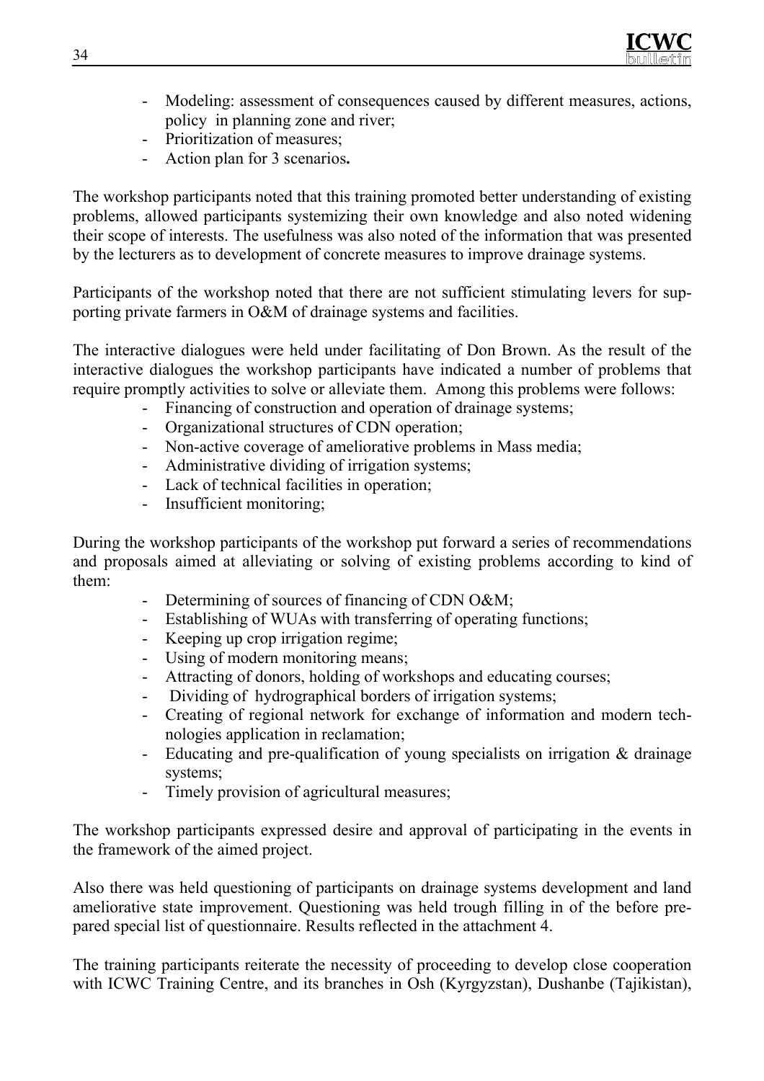

- Modeling: assessment of consequences caused by different measures, actions, policy in planning zone and river;
- Prioritization of measures;
- Action plan for 3 scenarios**.**

The workshop participants noted that this training promoted better understanding of existing problems, allowed participants systemizing their own knowledge and also noted widening their scope of interests. The usefulness was also noted of the information that was presented by the lecturers as to development of concrete measures to improve drainage systems.

Participants of the workshop noted that there are not sufficient stimulating levers for supporting private farmers in O&M of drainage systems and facilities.

The interactive dialogues were held under facilitating of Don Brown. As the result of the interactive dialogues the workshop participants have indicated a number of problems that require promptly activities to solve or alleviate them. Among this problems were follows:

- Financing of construction and operation of drainage systems;
- Organizational structures of CDN operation;
- Non-active coverage of ameliorative problems in Mass media;
- Administrative dividing of irrigation systems;
- Lack of technical facilities in operation;
- Insufficient monitoring;

During the workshop participants of the workshop put forward a series of recommendations and proposals aimed at alleviating or solving of existing problems according to kind of them:

- Determining of sources of financing of CDN O&M;
- Establishing of WUAs with transferring of operating functions;
- Keeping up crop irrigation regime;
- Using of modern monitoring means;
- Attracting of donors, holding of workshops and educating courses;
- Dividing of hydrographical borders of irrigation systems;
- Creating of regional network for exchange of information and modern technologies application in reclamation;
- Educating and pre-qualification of young specialists on irrigation  $\&$  drainage systems;
- Timely provision of agricultural measures;

The workshop participants expressed desire and approval of participating in the events in the framework of the aimed project.

Also there was held questioning of participants on drainage systems development and land ameliorative state improvement. Questioning was held trough filling in of the before prepared special list of questionnaire. Results reflected in the attachment 4.

The training participants reiterate the necessity of proceeding to develop close cooperation with ICWC Training Centre, and its branches in Osh (Kyrgyzstan), Dushanbe (Tajikistan),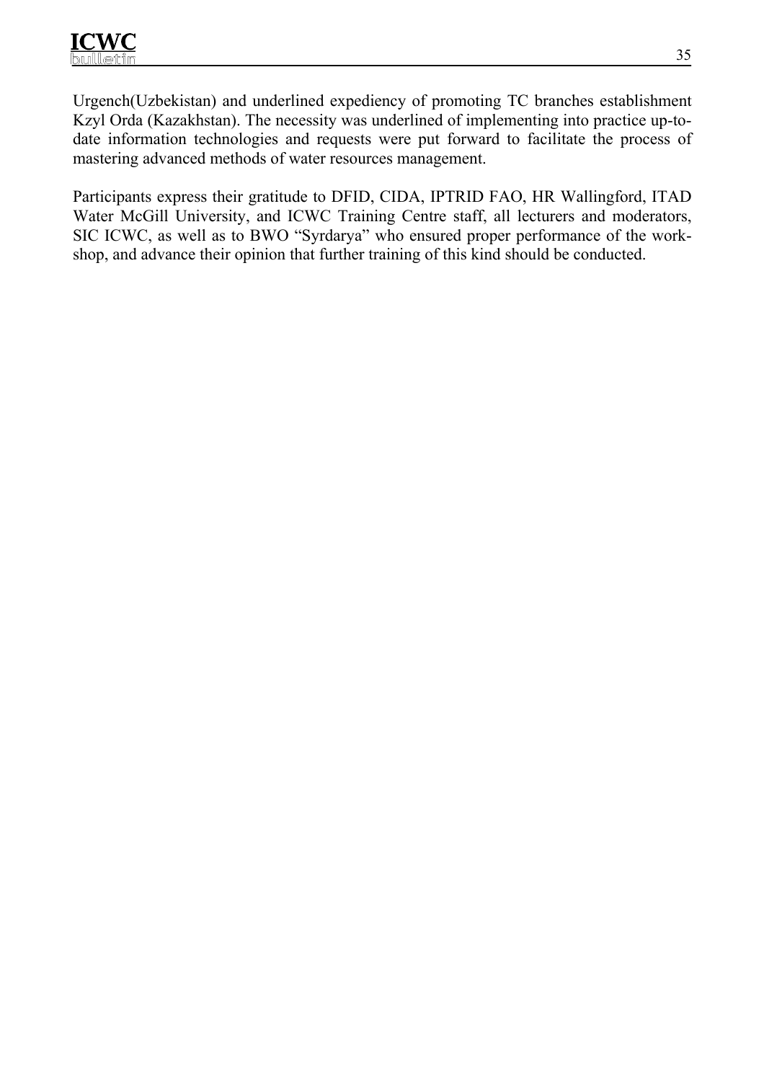

Urgench(Uzbekistan) and underlined expediency of promoting TC branches establishment Kzyl Orda (Kazakhstan). The necessity was underlined of implementing into practice up-todate information technologies and requests were put forward to facilitate the process of mastering advanced methods of water resources management.

Participants express their gratitude to DFID, CIDA, IPTRID FAO, HR Wallingford, ITAD Water McGill University, and ICWC Training Centre staff, all lecturers and moderators, SIC ICWC, as well as to BWO "Syrdarya" who ensured proper performance of the workshop, and advance their opinion that further training of this kind should be conducted.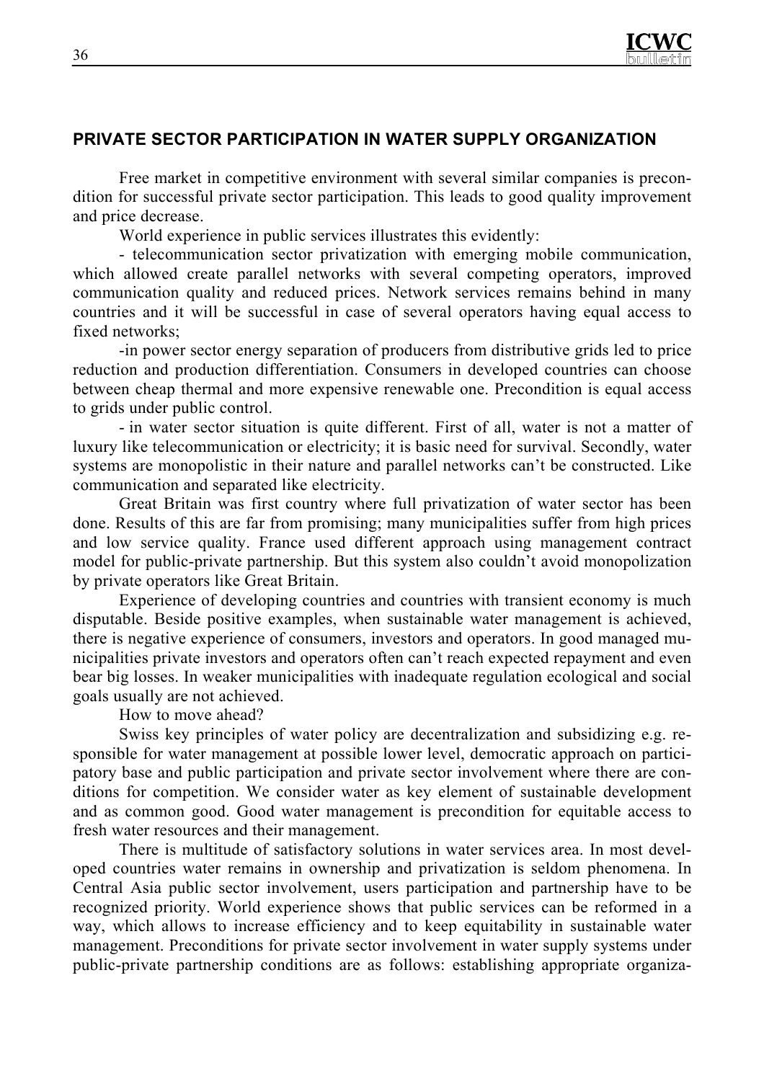

## **PRIVATE SECTOR PARTICIPATION IN WATER SUPPLY ORGANIZATION**

Free market in competitive environment with several similar companies is precondition for successful private sector participation. This leads to good quality improvement and price decrease.

World experience in public services illustrates this evidently:

- telecommunication sector privatization with emerging mobile communication, which allowed create parallel networks with several competing operators, improved communication quality and reduced prices. Network services remains behind in many countries and it will be successful in case of several operators having equal access to fixed networks;

-in power sector energy separation of producers from distributive grids led to price reduction and production differentiation. Consumers in developed countries can choose between cheap thermal and more expensive renewable one. Precondition is equal access to grids under public control.

- in water sector situation is quite different. First of all, water is not a matter of luxury like telecommunication or electricity; it is basic need for survival. Secondly, water systems are monopolistic in their nature and parallel networks can't be constructed. Like communication and separated like electricity.

Great Britain was first country where full privatization of water sector has been done. Results of this are far from promising; many municipalities suffer from high prices and low service quality. France used different approach using management contract model for public-private partnership. But this system also couldn't avoid monopolization by private operators like Great Britain.

Experience of developing countries and countries with transient economy is much disputable. Beside positive examples, when sustainable water management is achieved, there is negative experience of consumers, investors and operators. In good managed municipalities private investors and operators often can't reach expected repayment and even bear big losses. In weaker municipalities with inadequate regulation ecological and social goals usually are not achieved.

How to move ahead?

Swiss key principles of water policy are decentralization and subsidizing e.g. responsible for water management at possible lower level, democratic approach on participatory base and public participation and private sector involvement where there are conditions for competition. We consider water as key element of sustainable development and as common good. Good water management is precondition for equitable access to fresh water resources and their management.

There is multitude of satisfactory solutions in water services area. In most developed countries water remains in ownership and privatization is seldom phenomena. In Central Asia public sector involvement, users participation and partnership have to be recognized priority. World experience shows that public services can be reformed in a way, which allows to increase efficiency and to keep equitability in sustainable water management. Preconditions for private sector involvement in water supply systems under public-private partnership conditions are as follows: establishing appropriate organiza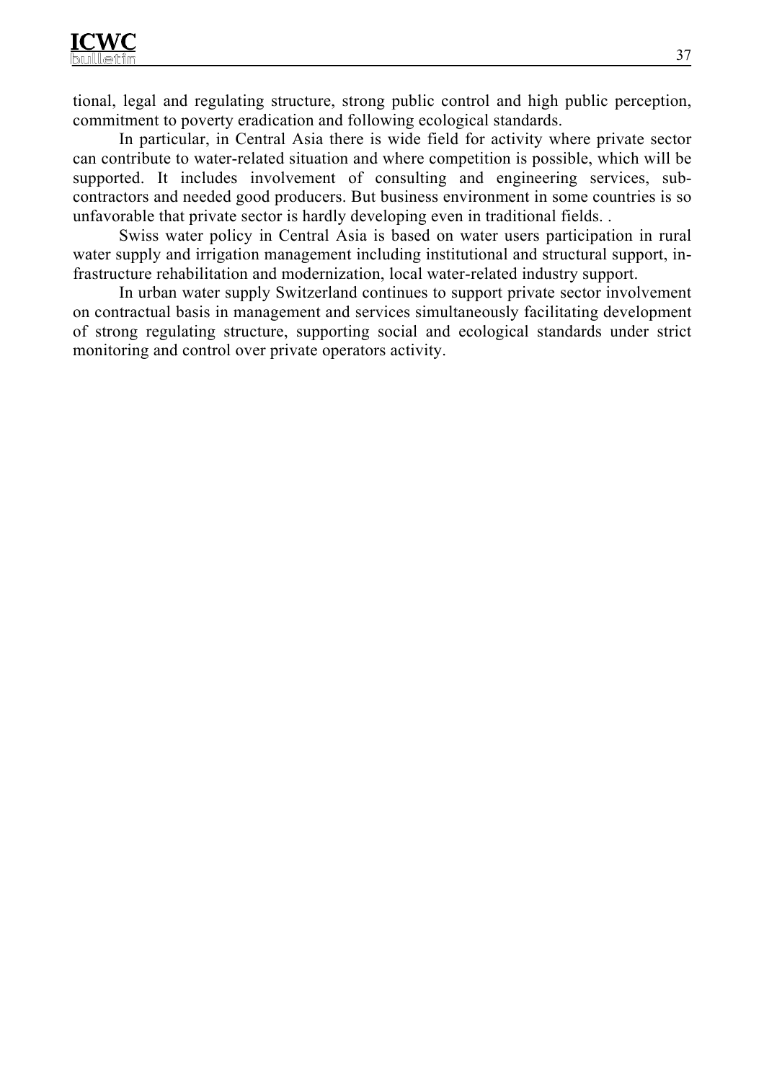tional, legal and regulating structure, strong public control and high public perception, commitment to poverty eradication and following ecological standards.

In particular, in Central Asia there is wide field for activity where private sector can contribute to water-related situation and where competition is possible, which will be supported. It includes involvement of consulting and engineering services, subcontractors and needed good producers. But business environment in some countries is so unfavorable that private sector is hardly developing even in traditional fields. .

Swiss water policy in Central Asia is based on water users participation in rural water supply and irrigation management including institutional and structural support, infrastructure rehabilitation and modernization, local water-related industry support.

In urban water supply Switzerland continues to support private sector involvement on contractual basis in management and services simultaneously facilitating development of strong regulating structure, supporting social and ecological standards under strict monitoring and control over private operators activity.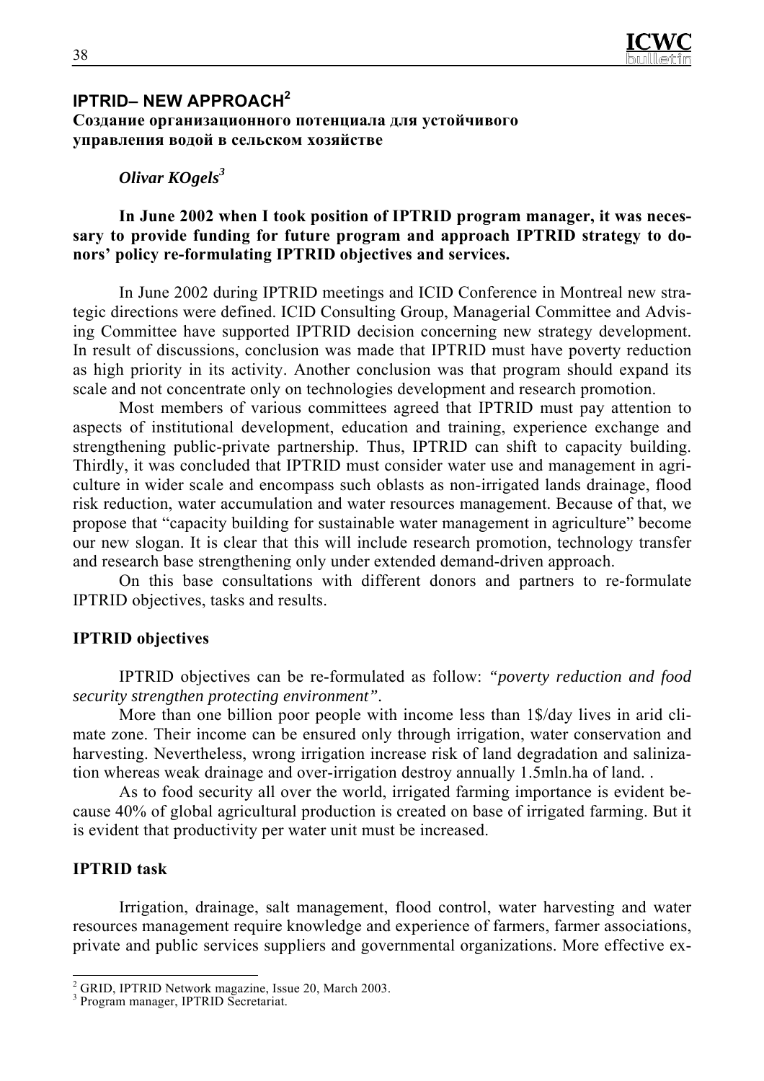## **IPTRID– NEW APPROACH<sup>2</sup>**

**Создание организационного потенциала для устойчивого управления водой в сельском хозяйстве**

*Olivar KOgels<sup>3</sup>*

## **In June 2002 when I took position of IPTRID program manager, it was necessary to provide funding for future program and approach IPTRID strategy to donors' policy re-formulating IPTRID objectives and services.**

In June 2002 during IPTRID meetings and ICID Conference in Montreal new strategic directions were defined. ICID Consulting Group, Managerial Committee and Advising Committee have supported IPTRID decision concerning new strategy development. In result of discussions, conclusion was made that IPTRID must have poverty reduction as high priority in its activity. Another conclusion was that program should expand its scale and not concentrate only on technologies development and research promotion.

Most members of various committees agreed that IPTRID must pay attention to aspects of institutional development, education and training, experience exchange and strengthening public-private partnership. Thus, IPTRID can shift to capacity building. Thirdly, it was concluded that IPTRID must consider water use and management in agriculture in wider scale and encompass such oblasts as non-irrigated lands drainage, flood risk reduction, water accumulation and water resources management. Because of that, we propose that "capacity building for sustainable water management in agriculture" become our new slogan. It is clear that this will include research promotion, technology transfer and research base strengthening only under extended demand-driven approach.

On this base consultations with different donors and partners to re-formulate IPTRID objectives, tasks and results.

## **IPTRID objectives**

IPTRID objectives can be re-formulated as follow: *"poverty reduction and food security strengthen protecting environment".* 

More than one billion poor people with income less than 1\$/day lives in arid climate zone. Their income can be ensured only through irrigation, water conservation and harvesting. Nevertheless, wrong irrigation increase risk of land degradation and salinization whereas weak drainage and over-irrigation destroy annually 1.5mln.ha of land. .

As to food security all over the world, irrigated farming importance is evident because 40% of global agricultural production is created on base of irrigated farming. But it is evident that productivity per water unit must be increased.

#### **IPTRID task**

Irrigation, drainage, salt management, flood control, water harvesting and water resources management require knowledge and experience of farmers, farmer associations, private and public services suppliers and governmental organizations. More effective ex-

 2 GRID, IPTRID Network magazine, Issue 20, March 2003.

<sup>3</sup> Program manager, IPTRID Secretariat.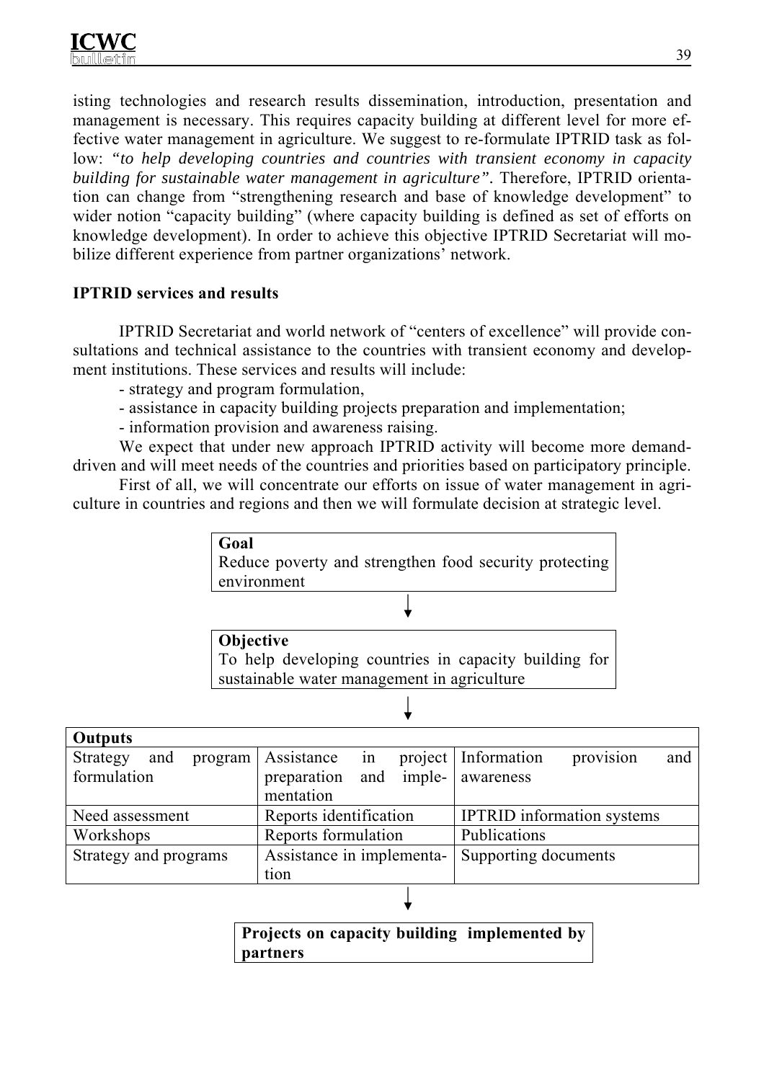isting technologies and research results dissemination, introduction, presentation and management is necessary. This requires capacity building at different level for more effective water management in agriculture. We suggest to re-formulate IPTRID task as follow: *"to help developing countries and countries with transient economy in capacity building for sustainable water management in agriculture".* Therefore, IPTRID orientation can change from "strengthening research and base of knowledge development" to wider notion "capacity building" (where capacity building is defined as set of efforts on knowledge development). In order to achieve this objective IPTRID Secretariat will mobilize different experience from partner organizations' network.

## **IPTRID services and results**

IPTRID Secretariat and world network of "centers of excellence" will provide consultations and technical assistance to the countries with transient economy and development institutions. These services and results will include:

- strategy and program formulation,

- assistance in capacity building projects preparation and implementation;

- information provision and awareness raising.

We expect that under new approach IPTRID activity will become more demanddriven and will meet needs of the countries and priorities based on participatory principle.

First of all, we will concentrate our efforts on issue of water management in agriculture in countries and regions and then we will formulate decision at strategic level.

| Goal<br>Reduce poverty and strengthen food security protecting<br>environment |
|-------------------------------------------------------------------------------|
|                                                                               |

**Objective**  To help developing countries in capacity building for sustainable water management in agriculture

| <b>Outputs</b>             |                             |                                   |  |  |  |
|----------------------------|-----------------------------|-----------------------------------|--|--|--|
| and<br>Strategy<br>program | Assistance<br>project<br>in | provision<br>Information<br>and   |  |  |  |
| formulation                | and imple-<br>preparation   | awareness                         |  |  |  |
|                            | mentation                   |                                   |  |  |  |
| Need assessment            | Reports identification      | <b>IPTRID</b> information systems |  |  |  |
| Workshops                  | Reports formulation         | Publications                      |  |  |  |
| Strategy and programs      | Assistance in implementa-   | Supporting documents              |  |  |  |
|                            | tion                        |                                   |  |  |  |
|                            |                             |                                   |  |  |  |

**Projects on capacity building implemented by partners**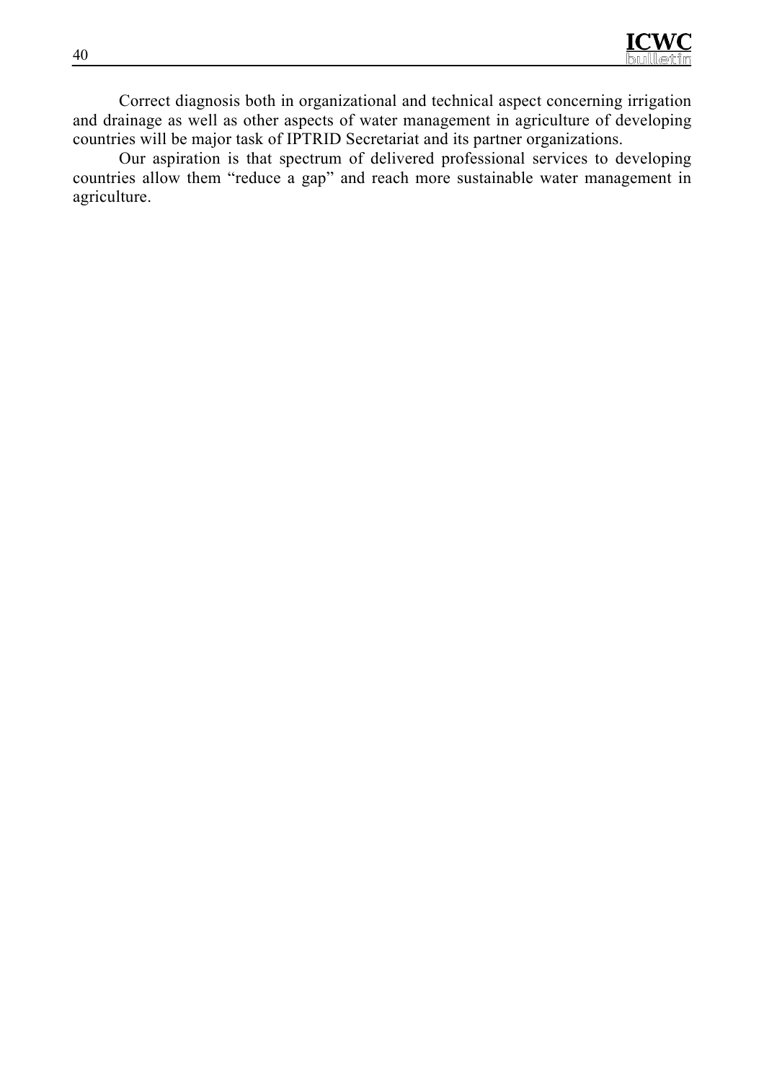Correct diagnosis both in organizational and technical aspect concerning irrigation and drainage as well as other aspects of water management in agriculture of developing countries will be major task of IPTRID Secretariat and its partner organizations.

Our aspiration is that spectrum of delivered professional services to developing countries allow them "reduce a gap" and reach more sustainable water management in agriculture.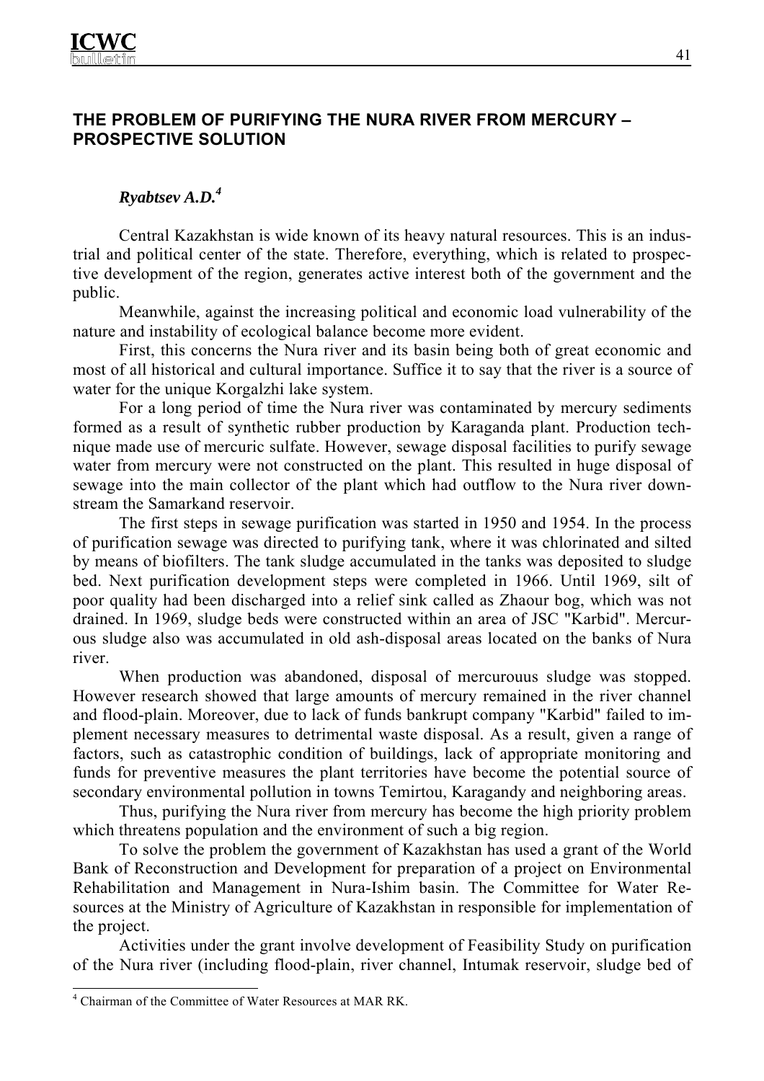## **THE PROBLEM OF PURIFYING THE NURA RIVER FROM MERCURY – PROSPECTIVE SOLUTION**

## *Ryabtsev A.D.4*

Central Kazakhstan is wide known of its heavy natural resources. This is an industrial and political center of the state. Therefore, everything, which is related to prospective development of the region, generates active interest both of the government and the public.

Meanwhile, against the increasing political and economic load vulnerability of the nature and instability of ecological balance become more evident.

First, this concerns the Nura river and its basin being both of great economic and most of all historical and cultural importance. Suffice it to say that the river is a source of water for the unique Korgalzhi lake system.

For a long period of time the Nura river was contaminated by mercury sediments formed as a result of synthetic rubber production by Karaganda plant. Production technique made use of mercuric sulfate. However, sewage disposal facilities to purify sewage water from mercury were not constructed on the plant. This resulted in huge disposal of sewage into the main collector of the plant which had outflow to the Nura river downstream the Samarkand reservoir.

The first steps in sewage purification was started in 1950 and 1954. In the process of purification sewage was directed to purifying tank, where it was chlorinated and silted by means of biofilters. The tank sludge accumulated in the tanks was deposited to sludge bed. Next purification development steps were completed in 1966. Until 1969, silt of poor quality had been discharged into a relief sink called as Zhaour bog, which was not drained. In 1969, sludge beds were constructed within an area of JSC "Karbid". Mercurous sludge also was accumulated in old ash-disposal areas located on the banks of Nura river.

When production was abandoned, disposal of mercurouus sludge was stopped. However research showed that large amounts of mercury remained in the river channel and flood-plain. Moreover, due to lack of funds bankrupt company "Karbid" failed to implement necessary measures to detrimental waste disposal. As a result, given a range of factors, such as catastrophic condition of buildings, lack of appropriate monitoring and funds for preventive measures the plant territories have become the potential source of secondary environmental pollution in towns Temirtou, Karagandy and neighboring areas.

Thus, purifying the Nura river from mercury has become the high priority problem which threatens population and the environment of such a big region.

To solve the problem the government of Kazakhstan has used a grant of the World Bank of Reconstruction and Development for preparation of a project on Environmental Rehabilitation and Management in Nura-Ishim basin. The Committee for Water Resources at the Ministry of Agriculture of Kazakhstan in responsible for implementation of the project.

Activities under the grant involve development of Feasibility Study on purification of the Nura river (including flood-plain, river channel, Intumak reservoir, sludge bed of

 4 Chairman of the Committee of Water Resources at MAR RK.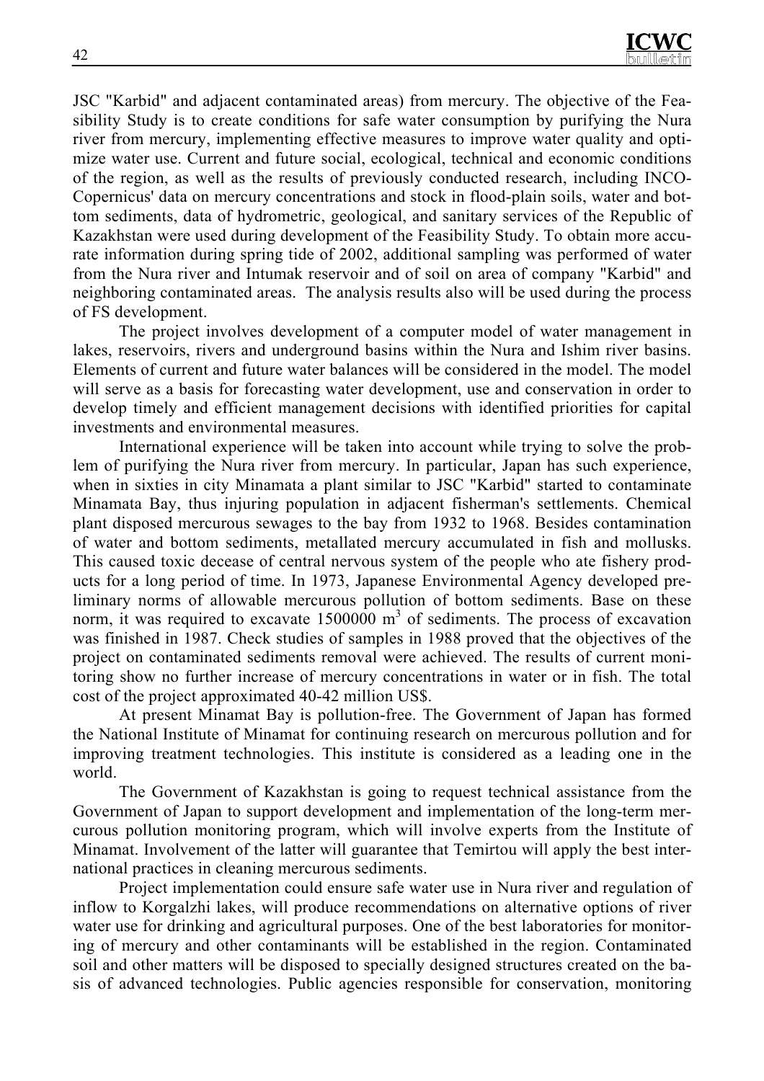JSC "Karbid" and adjacent contaminated areas) from mercury. The objective of the Feasibility Study is to create conditions for safe water consumption by purifying the Nura river from mercury, implementing effective measures to improve water quality and optimize water use. Current and future social, ecological, technical and economic conditions of the region, as well as the results of previously conducted research, including INCO-Copernicus' data on mercury concentrations and stock in flood-plain soils, water and bottom sediments, data of hydrometric, geological, and sanitary services of the Republic of Kazakhstan were used during development of the Feasibility Study. To obtain more accurate information during spring tide of 2002, additional sampling was performed of water from the Nura river and Intumak reservoir and of soil on area of company "Karbid" and neighboring contaminated areas. The analysis results also will be used during the process of FS development.

The project involves development of a computer model of water management in lakes, reservoirs, rivers and underground basins within the Nura and Ishim river basins. Elements of current and future water balances will be considered in the model. The model will serve as a basis for forecasting water development, use and conservation in order to develop timely and efficient management decisions with identified priorities for capital investments and environmental measures.

International experience will be taken into account while trying to solve the problem of purifying the Nura river from mercury. In particular, Japan has such experience, when in sixties in city Minamata a plant similar to JSC "Karbid" started to contaminate Minamata Bay, thus injuring population in adjacent fisherman's settlements. Chemical plant disposed mercurous sewages to the bay from 1932 to 1968. Besides contamination of water and bottom sediments, metallated mercury accumulated in fish and mollusks. This caused toxic decease of central nervous system of the people who ate fishery products for a long period of time. In 1973, Japanese Environmental Agency developed preliminary norms of allowable mercurous pollution of bottom sediments. Base on these norm, it was required to excavate  $1500000 \text{ m}^3$  of sediments. The process of excavation was finished in 1987. Check studies of samples in 1988 proved that the objectives of the project on contaminated sediments removal were achieved. The results of current monitoring show no further increase of mercury concentrations in water or in fish. The total cost of the project approximated 40-42 million US\$.

At present Minamat Bay is pollution-free. The Government of Japan has formed the National Institute of Minamat for continuing research on mercurous pollution and for improving treatment technologies. This institute is considered as a leading one in the world.

The Government of Kazakhstan is going to request technical assistance from the Government of Japan to support development and implementation of the long-term mercurous pollution monitoring program, which will involve experts from the Institute of Minamat. Involvement of the latter will guarantee that Temirtou will apply the best international practices in cleaning mercurous sediments.

Project implementation could ensure safe water use in Nura river and regulation of inflow to Korgalzhi lakes, will produce recommendations on alternative options of river water use for drinking and agricultural purposes. One of the best laboratories for monitoring of mercury and other contaminants will be established in the region. Contaminated soil and other matters will be disposed to specially designed structures created on the basis of advanced technologies. Public agencies responsible for conservation, monitoring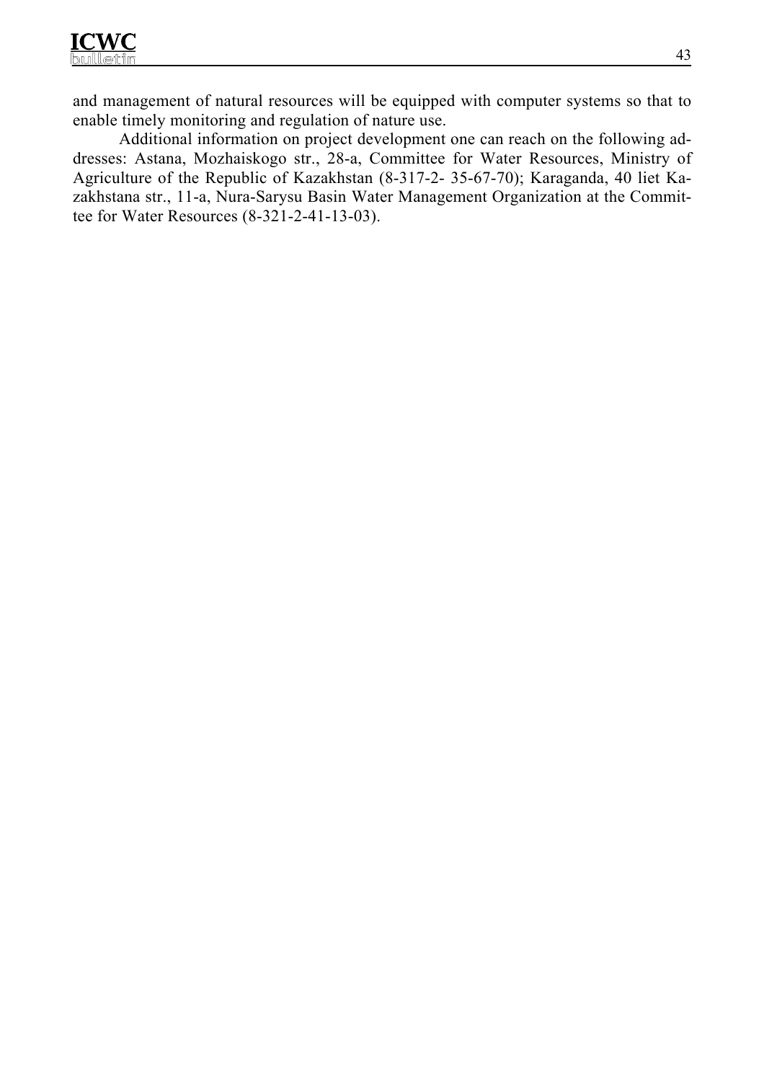and management of natural resources will be equipped with computer systems so that to enable timely monitoring and regulation of nature use.

Additional information on project development one can reach on the following addresses: Astana, Mozhaiskogo str., 28-a, Committee for Water Resources, Ministry of Agriculture of the Republic of Kazakhstan (8-317-2- 35-67-70); Karaganda, 40 liet Kazakhstana str., 11-a, Nura-Sarysu Basin Water Management Organization at the Committee for Water Resources (8-321-2-41-13-03).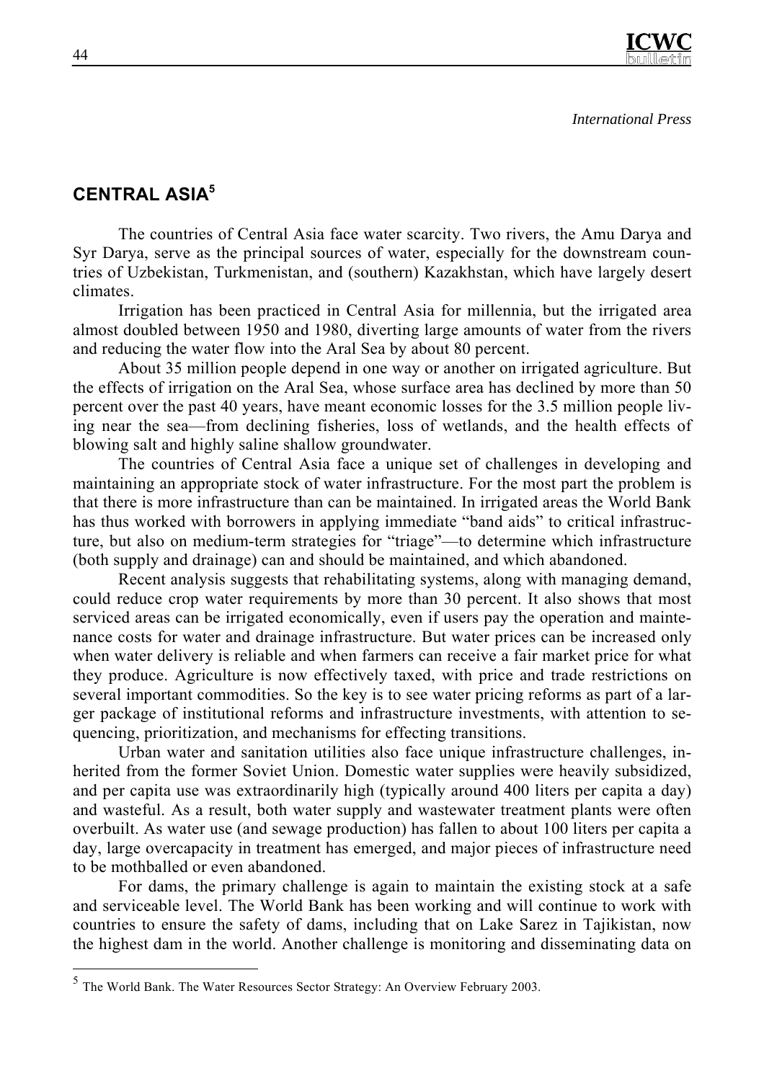# **CENTRAL ASIA<sup>5</sup>**

The countries of Central Asia face water scarcity. Two rivers, the Amu Darya and Syr Darya, serve as the principal sources of water, especially for the downstream countries of Uzbekistan, Turkmenistan, and (southern) Kazakhstan, which have largely desert climates.

Irrigation has been practiced in Central Asia for millennia, but the irrigated area almost doubled between 1950 and 1980, diverting large amounts of water from the rivers and reducing the water flow into the Aral Sea by about 80 percent.

About 35 million people depend in one way or another on irrigated agriculture. But the effects of irrigation on the Aral Sea, whose surface area has declined by more than 50 percent over the past 40 years, have meant economic losses for the 3.5 million people living near the sea—from declining fisheries, loss of wetlands, and the health effects of blowing salt and highly saline shallow groundwater.

The countries of Central Asia face a unique set of challenges in developing and maintaining an appropriate stock of water infrastructure. For the most part the problem is that there is more infrastructure than can be maintained. In irrigated areas the World Bank has thus worked with borrowers in applying immediate "band aids" to critical infrastructure, but also on medium-term strategies for "triage"—to determine which infrastructure (both supply and drainage) can and should be maintained, and which abandoned.

Recent analysis suggests that rehabilitating systems, along with managing demand, could reduce crop water requirements by more than 30 percent. It also shows that most serviced areas can be irrigated economically, even if users pay the operation and maintenance costs for water and drainage infrastructure. But water prices can be increased only when water delivery is reliable and when farmers can receive a fair market price for what they produce. Agriculture is now effectively taxed, with price and trade restrictions on several important commodities. So the key is to see water pricing reforms as part of a larger package of institutional reforms and infrastructure investments, with attention to sequencing, prioritization, and mechanisms for effecting transitions.

Urban water and sanitation utilities also face unique infrastructure challenges, inherited from the former Soviet Union. Domestic water supplies were heavily subsidized, and per capita use was extraordinarily high (typically around 400 liters per capita a day) and wasteful. As a result, both water supply and wastewater treatment plants were often overbuilt. As water use (and sewage production) has fallen to about 100 liters per capita a day, large overcapacity in treatment has emerged, and major pieces of infrastructure need to be mothballed or even abandoned.

For dams, the primary challenge is again to maintain the existing stock at a safe and serviceable level. The World Bank has been working and will continue to work with countries to ensure the safety of dams, including that on Lake Sarez in Tajikistan, now the highest dam in the world. Another challenge is monitoring and disseminating data on

 $\overline{a}$ 

 $<sup>5</sup>$  The World Bank. The Water Resources Sector Strategy: An Overview February 2003.</sup>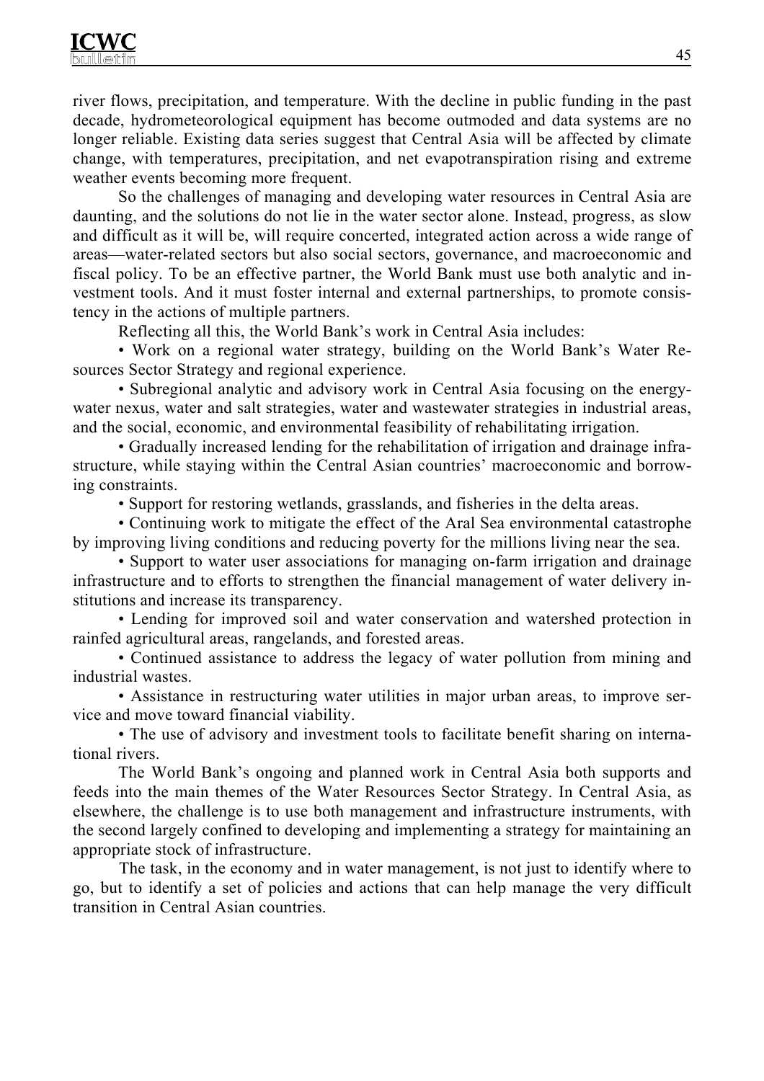river flows, precipitation, and temperature. With the decline in public funding in the past decade, hydrometeorological equipment has become outmoded and data systems are no longer reliable. Existing data series suggest that Central Asia will be affected by climate change, with temperatures, precipitation, and net evapotranspiration rising and extreme weather events becoming more frequent.

So the challenges of managing and developing water resources in Central Asia are daunting, and the solutions do not lie in the water sector alone. Instead, progress, as slow and difficult as it will be, will require concerted, integrated action across a wide range of areas—water-related sectors but also social sectors, governance, and macroeconomic and fiscal policy. To be an effective partner, the World Bank must use both analytic and investment tools. And it must foster internal and external partnerships, to promote consistency in the actions of multiple partners.

Reflecting all this, the World Bank's work in Central Asia includes:

• Work on a regional water strategy, building on the World Bank's Water Resources Sector Strategy and regional experience.

• Subregional analytic and advisory work in Central Asia focusing on the energywater nexus, water and salt strategies, water and wastewater strategies in industrial areas, and the social, economic, and environmental feasibility of rehabilitating irrigation.

• Gradually increased lending for the rehabilitation of irrigation and drainage infrastructure, while staying within the Central Asian countries' macroeconomic and borrowing constraints.

• Support for restoring wetlands, grasslands, and fisheries in the delta areas.

• Continuing work to mitigate the effect of the Aral Sea environmental catastrophe by improving living conditions and reducing poverty for the millions living near the sea.

• Support to water user associations for managing on-farm irrigation and drainage infrastructure and to efforts to strengthen the financial management of water delivery institutions and increase its transparency.

• Lending for improved soil and water conservation and watershed protection in rainfed agricultural areas, rangelands, and forested areas.

• Continued assistance to address the legacy of water pollution from mining and industrial wastes.

• Assistance in restructuring water utilities in major urban areas, to improve service and move toward financial viability.

• The use of advisory and investment tools to facilitate benefit sharing on international rivers.

The World Bank's ongoing and planned work in Central Asia both supports and feeds into the main themes of the Water Resources Sector Strategy. In Central Asia, as elsewhere, the challenge is to use both management and infrastructure instruments, with the second largely confined to developing and implementing a strategy for maintaining an appropriate stock of infrastructure.

The task, in the economy and in water management, is not just to identify where to go, but to identify a set of policies and actions that can help manage the very difficult transition in Central Asian countries.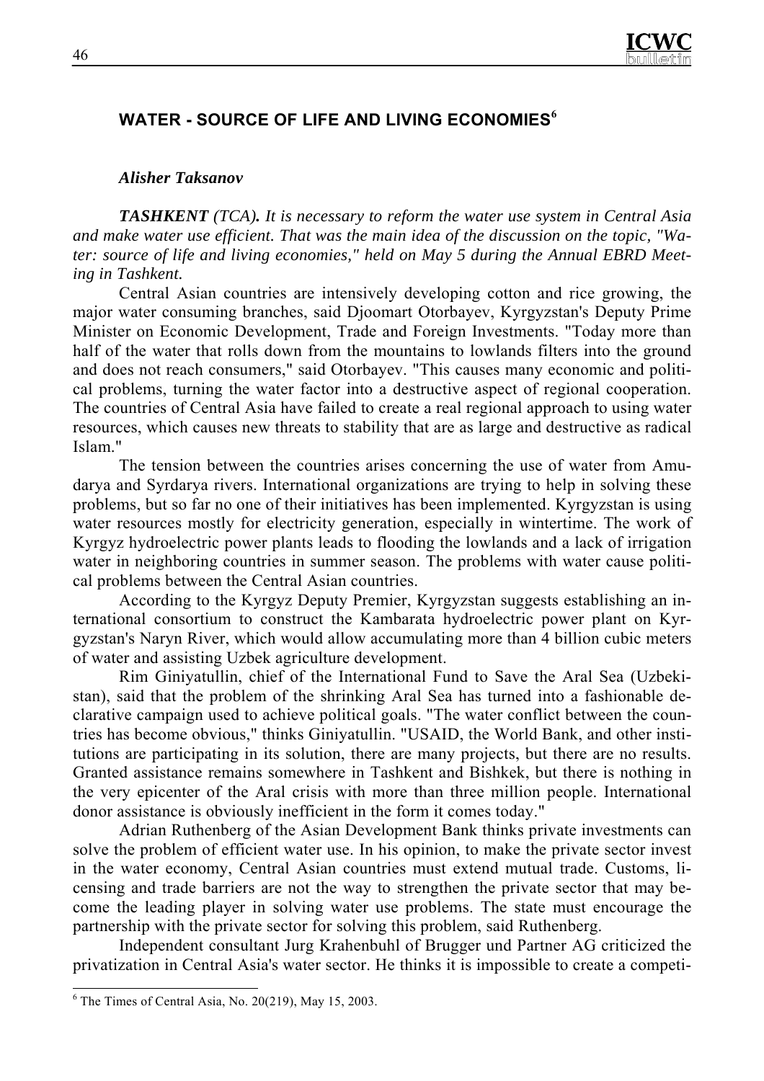# **WATER - SOURCE OF LIFE AND LIVING ECONOMIES<sup>6</sup>**

## *Alisher Taksanov*

*TASHKENT (TCA). It is necessary to reform the water use system in Central Asia and make water use efficient. That was the main idea of the discussion on the topic, "Water: source of life and living economies," held on May 5 during the Annual EBRD Meeting in Tashkent.* 

Central Asian countries are intensively developing cotton and rice growing, the major water consuming branches, said Djoomart Otorbayev, Kyrgyzstan's Deputy Prime Minister on Economic Development, Trade and Foreign Investments. "Today more than half of the water that rolls down from the mountains to lowlands filters into the ground and does not reach consumers," said Otorbayev. "This causes many economic and political problems, turning the water factor into a destructive aspect of regional cooperation. The countries of Central Asia have failed to create a real regional approach to using water resources, which causes new threats to stability that are as large and destructive as radical Islam."

The tension between the countries arises concerning the use of water from Amudarya and Syrdarya rivers. International organizations are trying to help in solving these problems, but so far no one of their initiatives has been implemented. Kyrgyzstan is using water resources mostly for electricity generation, especially in wintertime. The work of Kyrgyz hydroelectric power plants leads to flooding the lowlands and a lack of irrigation water in neighboring countries in summer season. The problems with water cause political problems between the Central Asian countries.

According to the Kyrgyz Deputy Premier, Kyrgyzstan suggests establishing an international consortium to construct the Kambarata hydroelectric power plant on Kyrgyzstan's Naryn River, which would allow accumulating more than 4 billion cubic meters of water and assisting Uzbek agriculture development.

Rim Giniyatullin, chief of the International Fund to Save the Aral Sea (Uzbekistan), said that the problem of the shrinking Aral Sea has turned into a fashionable declarative campaign used to achieve political goals. "The water conflict between the countries has become obvious," thinks Giniyatullin. "USAID, the World Bank, and other institutions are participating in its solution, there are many projects, but there are no results. Granted assistance remains somewhere in Tashkent and Bishkek, but there is nothing in the very epicenter of the Aral crisis with more than three million people. International donor assistance is obviously inefficient in the form it comes today."

Adrian Ruthenberg of the Asian Development Bank thinks private investments can solve the problem of efficient water use. In his opinion, to make the private sector invest in the water economy, Central Asian countries must extend mutual trade. Customs, licensing and trade barriers are not the way to strengthen the private sector that may become the leading player in solving water use problems. The state must encourage the partnership with the private sector for solving this problem, said Ruthenberg.

Independent consultant Jurg Krahenbuhl of Brugger und Partner AG criticized the privatization in Central Asia's water sector. He thinks it is impossible to create a competi-

 6 The Times of Central Asia, No. 20(219), May 15, 2003.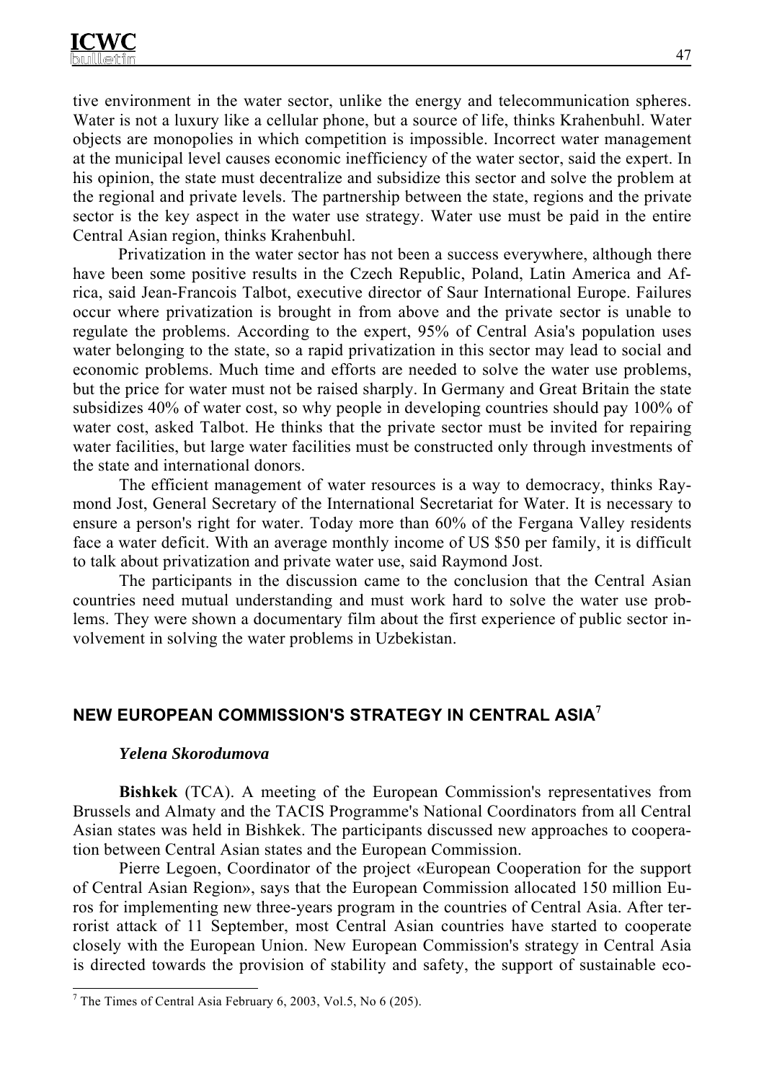tive environment in the water sector, unlike the energy and telecommunication spheres. Water is not a luxury like a cellular phone, but a source of life, thinks Krahenbuhl. Water objects are monopolies in which competition is impossible. Incorrect water management at the municipal level causes economic inefficiency of the water sector, said the expert. In his opinion, the state must decentralize and subsidize this sector and solve the problem at the regional and private levels. The partnership between the state, regions and the private sector is the key aspect in the water use strategy. Water use must be paid in the entire Central Asian region, thinks Krahenbuhl.

Privatization in the water sector has not been a success everywhere, although there have been some positive results in the Czech Republic, Poland, Latin America and Africa, said Jean-Francois Talbot, executive director of Saur International Europe. Failures occur where privatization is brought in from above and the private sector is unable to regulate the problems. According to the expert, 95% of Central Asia's population uses water belonging to the state, so a rapid privatization in this sector may lead to social and economic problems. Much time and efforts are needed to solve the water use problems, but the price for water must not be raised sharply. In Germany and Great Britain the state subsidizes 40% of water cost, so why people in developing countries should pay 100% of water cost, asked Talbot. He thinks that the private sector must be invited for repairing water facilities, but large water facilities must be constructed only through investments of the state and international donors.

The efficient management of water resources is a way to democracy, thinks Raymond Jost, General Secretary of the International Secretariat for Water. It is necessary to ensure a person's right for water. Today more than 60% of the Fergana Valley residents face a water deficit. With an average monthly income of US \$50 per family, it is difficult to talk about privatization and private water use, said Raymond Jost.

The participants in the discussion came to the conclusion that the Central Asian countries need mutual understanding and must work hard to solve the water use problems. They were shown a documentary film about the first experience of public sector involvement in solving the water problems in Uzbekistan.

## **NEW EUROPEAN COMMISSION'S STRATEGY IN CENTRAL ASIA<sup>7</sup>**

#### *Yelena Skorodumova*

**Bishkek** (ТСА). A meeting of the European Commission's representatives from Brussels and Almaty and the TACIS Programme's National Coordinators from all Central Asian states was held in Bishkek. The participants discussed new approaches to cooperation between Central Asian states and the European Commission.

Pierre Legoen, Coordinator of the project «European Cooperation for the support of Central Asian Region», says that the European Commission allocated 150 million Euros for implementing new three-years program in the countries of Central Asia. After terrorist attack of 11 September, most Central Asian countries have started to cooperate closely with the European Union. New European Commission's strategy in Central Asia is directed towards the provision of stability and safety, the support of sustainable eco-

 $\overline{a}$ <sup>7</sup> The Times of Central Asia February 6, 2003, Vol.5, No 6 (205).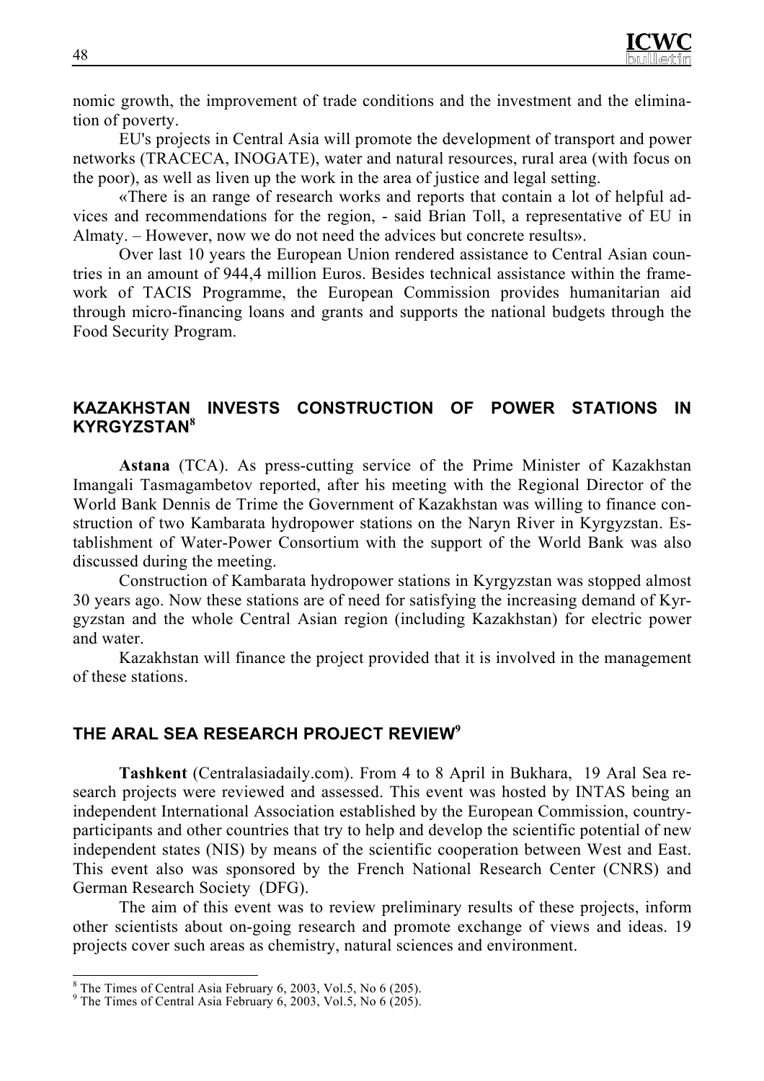nomic growth, the improvement of trade conditions and the investment and the elimination of poverty.

EU's projects in Central Asia will promote the development of transport and power networks (TRACECA, INOGATE), water and natural resources, rural area (with focus on the poor), as well as liven up the work in the area of justice and legal setting.

«There is an range of research works and reports that contain a lot of helpful advices and recommendations for the region, - said Brian Toll, a representative of EU in Almaty. – However, now we do not need the advices but concrete results».

Over last 10 years the European Union rendered assistance to Central Asian countries in an amount of 944,4 million Euros. Besides technical assistance within the framework of TACIS Programme, the European Commission provides humanitarian aid through micro-financing loans and grants and supports the national budgets through the Food Security Program.

## **KAZAKHSTAN INVESTS CONSTRUCTION OF POWER STATIONS IN KYRGYZSTAN<sup>8</sup>**

**Astana** (ТСА). As press-cutting service of the Prime Minister of Kazakhstan Imangali Tasmagambetov reported, after his meeting with the Regional Director of the World Bank Dennis de Trime the Government of Kazakhstan was willing to finance construction of two Kambarata hydropower stations on the Naryn River in Kyrgyzstan. Establishment of Water-Power Consortium with the support of the World Bank was also discussed during the meeting.

Construction of Kambarata hydropower stations in Kyrgyzstan was stopped almost 30 years ago. Now these stations are of need for satisfying the increasing demand of Kyrgyzstan and the whole Central Asian region (including Kazakhstan) for electric power and water.

Kazakhstan will finance the project provided that it is involved in the management of these stations.

## **THE ARAL SEA RESEARCH PROJECT REVIEW<sup>9</sup>**

**Tashkent** (Centralasiadaily.com). From 4 to 8 April in Bukhara, 19 Aral Sea research projects were reviewed and assessed. This event was hosted by INTAS being an independent International Association established by the European Commission, countryparticipants and other countries that try to help and develop the scientific potential of new independent states (NIS) by means of the scientific cooperation between West and East. This event also was sponsored by the French National Research Center (CNRS) and German Research Society (DFG).

The aim of this event was to review preliminary results of these projects, inform other scientists about on-going research and promote exchange of views and ideas. 19 projects cover such areas as chemistry, natural sciences and environment.

 $\frac{8}{3}$  The Times of Central Asia February 6, 2003, Vol.5, No 6 (205).

<sup>&</sup>lt;sup>9</sup> The Times of Central Asia February 6, 2003, Vol.5, No 6 (205).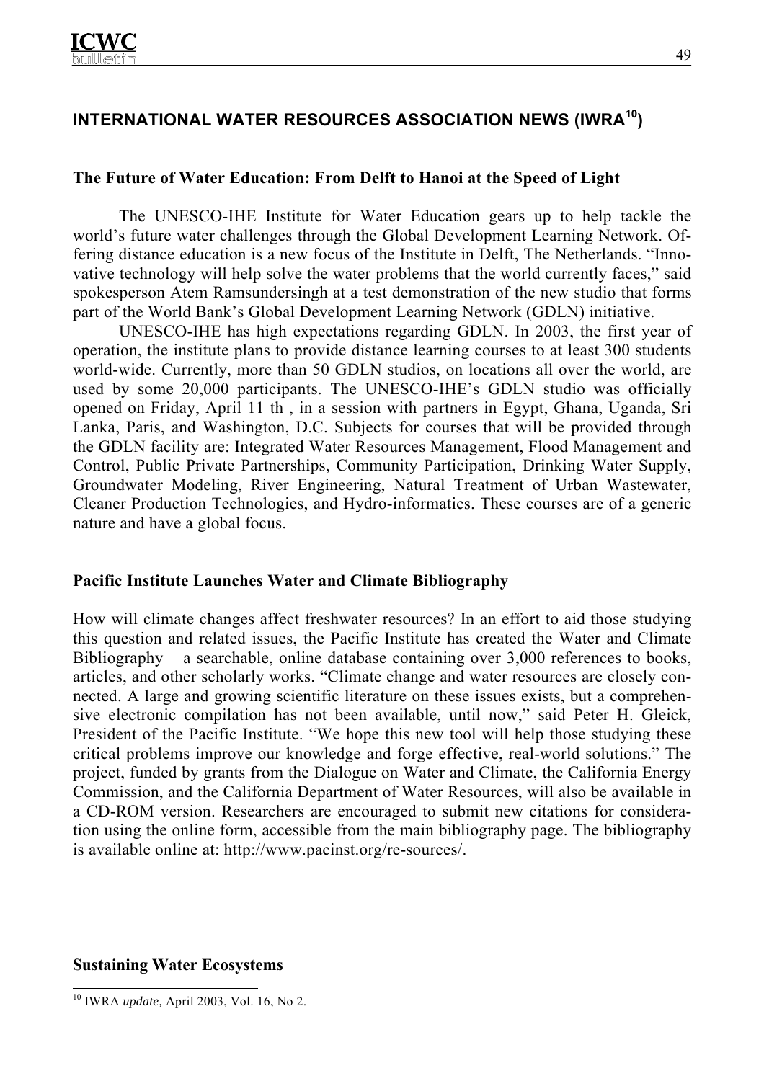# **INTERNATIONAL WATER RESOURCES ASSOCIATION NEWS (IWRA10)**

## **The Future of Water Education: From Delft to Hanoi at the Speed of Light**

The UNESCO-IHE Institute for Water Education gears up to help tackle the world's future water challenges through the Global Development Learning Network. Offering distance education is a new focus of the Institute in Delft, The Netherlands. "Innovative technology will help solve the water problems that the world currently faces," said spokesperson Atem Ramsundersingh at a test demonstration of the new studio that forms part of the World Bank's Global Development Learning Network (GDLN) initiative.

UNESCO-IHE has high expectations regarding GDLN. In 2003, the first year of operation, the institute plans to provide distance learning courses to at least 300 students world-wide. Currently, more than 50 GDLN studios, on locations all over the world, are used by some 20,000 participants. The UNESCO-IHE's GDLN studio was officially opened on Friday, April 11 th , in a session with partners in Egypt, Ghana, Uganda, Sri Lanka, Paris, and Washington, D.C. Subjects for courses that will be provided through the GDLN facility are: Integrated Water Resources Management, Flood Management and Control, Public Private Partnerships, Community Participation, Drinking Water Supply, Groundwater Modeling, River Engineering, Natural Treatment of Urban Wastewater, Cleaner Production Technologies, and Hydro-informatics. These courses are of a generic nature and have a global focus.

## **Pacific Institute Launches Water and Climate Bibliography**

How will climate changes affect freshwater resources? In an effort to aid those studying this question and related issues, the Pacific Institute has created the Water and Climate Bibliography – a searchable, online database containing over 3,000 references to books, articles, and other scholarly works. "Climate change and water resources are closely connected. A large and growing scientific literature on these issues exists, but a comprehensive electronic compilation has not been available, until now," said Peter H. Gleick, President of the Pacific Institute. "We hope this new tool will help those studying these critical problems improve our knowledge and forge effective, real-world solutions." The project, funded by grants from the Dialogue on Water and Climate, the California Energy Commission, and the California Department of Water Resources, will also be available in a CD-ROM version. Researchers are encouraged to submit new citations for consideration using the online form, accessible from the main bibliography page. The bibliography is available online at: http://www.pacinst.org/re-sources/.

## **Sustaining Water Ecosystems**

 $\overline{1}$ 10 IWRA *update,* April 2003, Vol. 16, No 2.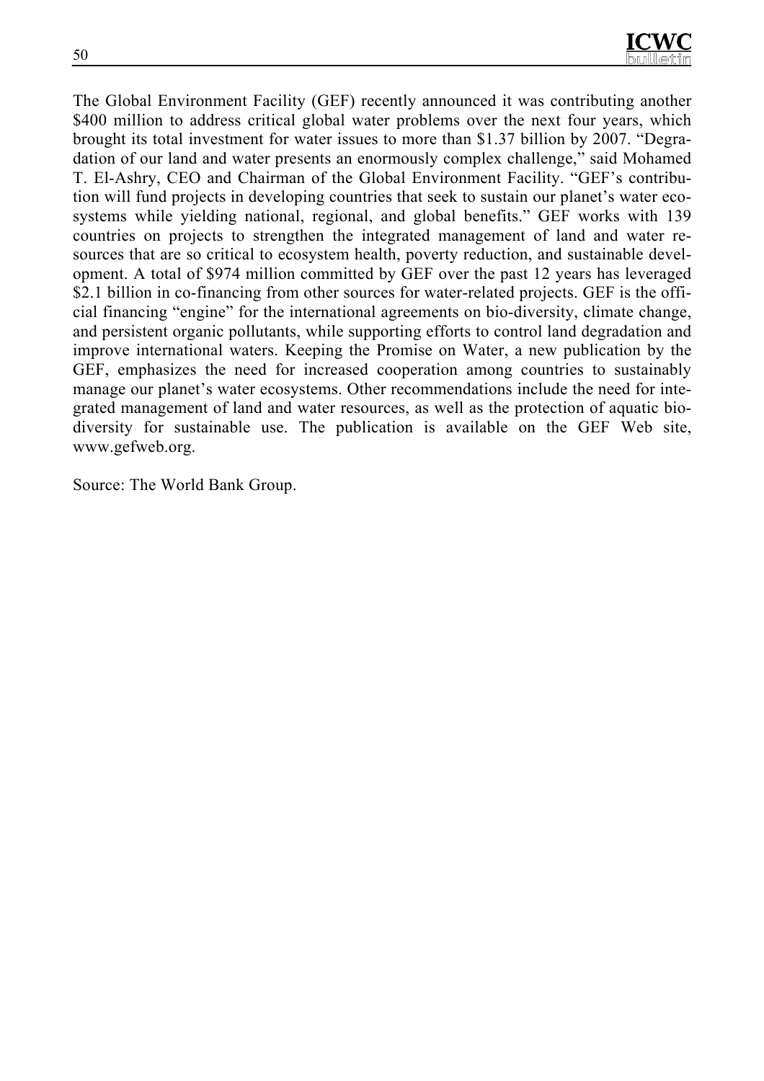The Global Environment Facility (GEF) recently announced it was contributing another \$400 million to address critical global water problems over the next four years, which brought its total investment for water issues to more than \$1.37 billion by 2007. "Degradation of our land and water presents an enormously complex challenge," said Mohamed T. El-Ashry, CEO and Chairman of the Global Environment Facility. "GEF's contribution will fund projects in developing countries that seek to sustain our planet's water ecosystems while yielding national, regional, and global benefits." GEF works with 139 countries on projects to strengthen the integrated management of land and water resources that are so critical to ecosystem health, poverty reduction, and sustainable development. A total of \$974 million committed by GEF over the past 12 years has leveraged \$2.1 billion in co-financing from other sources for water-related projects. GEF is the official financing "engine" for the international agreements on bio-diversity, climate change, and persistent organic pollutants, while supporting efforts to control land degradation and improve international waters. Keeping the Promise on Water, a new publication by the GEF, emphasizes the need for increased cooperation among countries to sustainably manage our planet's water ecosystems. Other recommendations include the need for integrated management of land and water resources, as well as the protection of aquatic biodiversity for sustainable use. The publication is available on the GEF Web site, www.gefweb.org.

Source: The World Bank Group.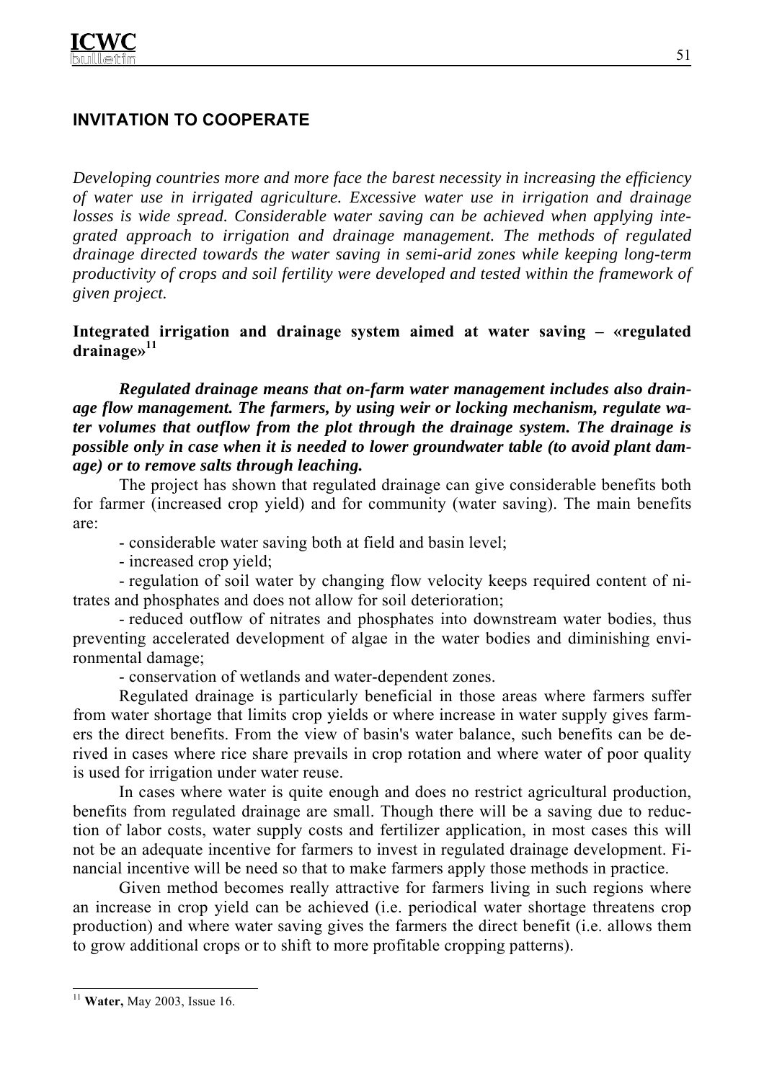# **INVITATION TO COOPERATE**

*Developing countries more and more face the barest necessity in increasing the efficiency of water use in irrigated agriculture. Excessive water use in irrigation and drainage losses is wide spread. Considerable water saving can be achieved when applying integrated approach to irrigation and drainage management. The methods of regulated drainage directed towards the water saving in semi-arid zones while keeping long-term productivity of crops and soil fertility were developed and tested within the framework of given project.* 

## **Integrated irrigation and drainage system aimed at water saving – «regulated drainage»<sup>11</sup>**

*Regulated drainage means that on-farm water management includes also drainage flow management. The farmers, by using weir or locking mechanism, regulate water volumes that outflow from the plot through the drainage system. The drainage is possible only in case when it is needed to lower groundwater table (to avoid plant damage) or to remove salts through leaching.* 

The project has shown that regulated drainage can give considerable benefits both for farmer (increased crop yield) and for community (water saving). The main benefits are:

- considerable water saving both at field and basin level;

- increased crop yield;

- regulation of soil water by changing flow velocity keeps required content of nitrates and phosphates and does not allow for soil deterioration;

- reduced outflow of nitrates and phosphates into downstream water bodies, thus preventing accelerated development of algae in the water bodies and diminishing environmental damage;

- conservation of wetlands and water-dependent zones.

Regulated drainage is particularly beneficial in those areas where farmers suffer from water shortage that limits crop yields or where increase in water supply gives farmers the direct benefits. From the view of basin's water balance, such benefits can be derived in cases where rice share prevails in crop rotation and where water of poor quality is used for irrigation under water reuse.

In cases where water is quite enough and does no restrict agricultural production, benefits from regulated drainage are small. Though there will be a saving due to reduction of labor costs, water supply costs and fertilizer application, in most cases this will not be an adequate incentive for farmers to invest in regulated drainage development. Financial incentive will be need so that to make farmers apply those methods in practice.

Given method becomes really attractive for farmers living in such regions where an increase in crop yield can be achieved (i.e. periodical water shortage threatens crop production) and where water saving gives the farmers the direct benefit (i.e. allows them to grow additional crops or to shift to more profitable cropping patterns).

 $\overline{1}$ <sup>11</sup> **Water,** May 2003, Issue 16.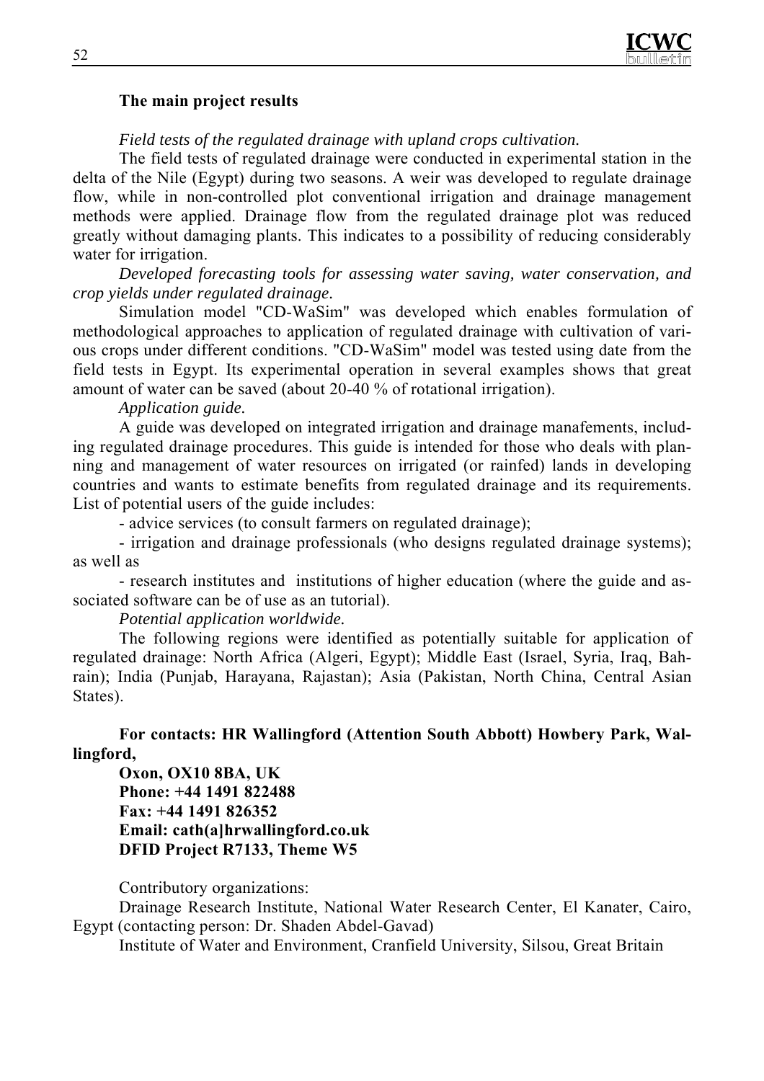## **The main project results**

## *Field tests of the regulated drainage with upland crops cultivation.*

The field tests of regulated drainage were conducted in experimental station in the delta of the Nile (Egypt) during two seasons. A weir was developed to regulate drainage flow, while in non-controlled plot conventional irrigation and drainage management methods were applied. Drainage flow from the regulated drainage plot was reduced greatly without damaging plants. This indicates to a possibility of reducing considerably water for irrigation.

*Developed forecasting tools for assessing water saving, water conservation, and crop yields under regulated drainage.* 

Simulation model "CD-WaSim" was developed which enables formulation of methodological approaches to application of regulated drainage with cultivation of various crops under different conditions. "CD-WaSim" model was tested using date from the field tests in Egypt. Its experimental operation in several examples shows that great amount of water can be saved (about 20-40 % of rotational irrigation).

*Application guide.* 

A guide was developed on integrated irrigation and drainage manafements, including regulated drainage procedures. This guide is intended for those who deals with planning and management of water resources on irrigated (or rainfed) lands in developing countries and wants to estimate benefits from regulated drainage and its requirements. List of potential users of the guide includes:

- advice services (to consult farmers on regulated drainage);

- irrigation and drainage professionals (who designs regulated drainage systems); as well as

- research institutes and institutions of higher education (where the guide and associated software can be of use as an tutorial).

*Potential application worldwide.* 

The following regions were identified as potentially suitable for application of regulated drainage: North Africa (Algeri, Egypt); Middle East (Israel, Syria, Iraq, Bahrain); India (Punjab, Harayana, Rajastan); Asia (Pakistan, North China, Central Asian States).

**For contacts: HR Wallingford (Attention South Abbott) Howbery Park, Wallingford,** 

**Oxon, OX10 8BA, UK Phone: +44 1491 822488 Fax: +44 1491 826352 Email: cath(a]hrwallingford.co.uk DFID Project R7133, Theme W5**

Contributory organizations:

Drainage Research Institute, National Water Research Center, El Kanater, Cairo, Egypt (contacting person: Dr. Shaden Abdel-Gavad)

Institute of Water and Environment, Cranfield University, Silsou, Great Britain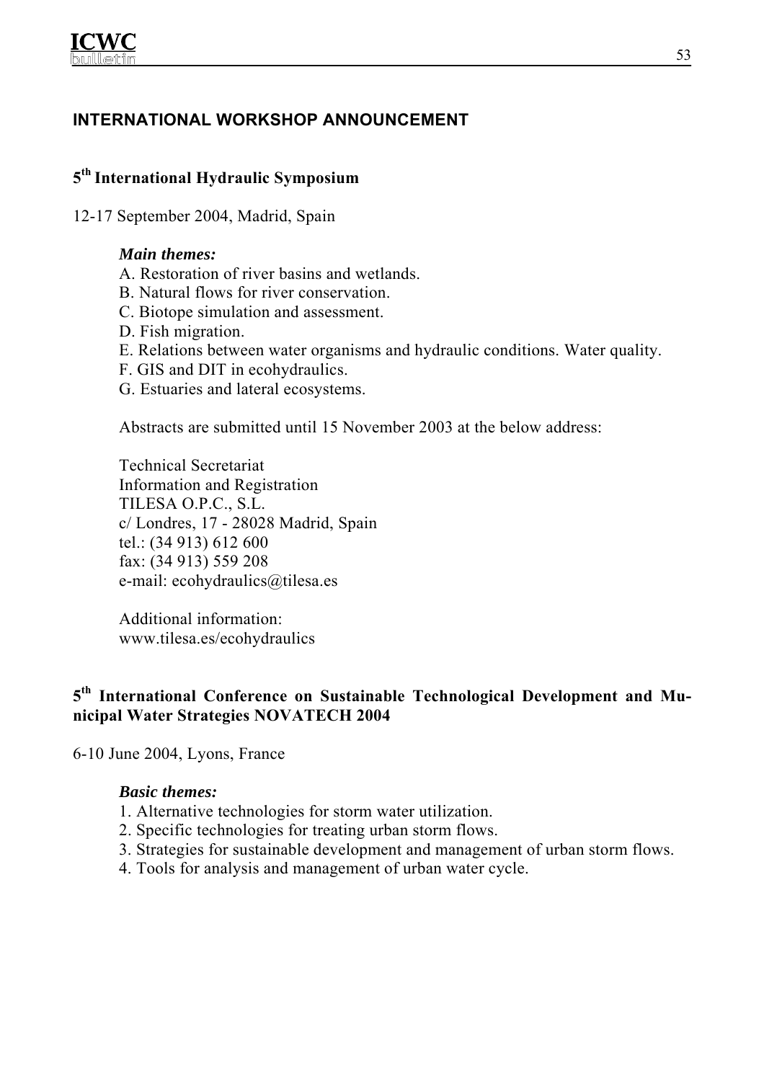

# **INTERNATIONAL WORKSHOP ANNOUNCEMENT**

# **5th International Hydraulic Symposium**

12-17 September 2004, Madrid, Spain

#### *Main themes:*

- А. Restoration of river basins and wetlands.
- В. Natural flows for river conservation.
- С. Biotope simulation and assessment.
- D. Fish migration.
- E. Relations between water organisms and hydraulic conditions. Water quality.
- F. GIS and DIT in ecohydraulics.
- G. Estuaries and lateral ecosystems.

Abstracts are submitted until 15 November 2003 at the below address:

Technical Secretariat Information and Registration TILESA O.P.C., S.L. c/ Londres, 17 - 28028 Madrid, Spain tel.: (34 913) 612 600 fax: (34 913) 559 208 e-mail: ecohydraulics@tilesa.es

Additional information: www.tilesa.es/ecohydraulics

## **5th International Conference on Sustainable Technological Development and Municipal Water Strategies NOVATECH 2004**

6-10 June 2004, Lyons, France

#### *Basic themes:*

- 1. Alternative technologies for storm water utilization.
- 2. Specific technologies for treating urban storm flows.
- 3. Strategies for sustainable development and management of urban storm flows.
- 4. Tools for analysis and management of urban water cycle.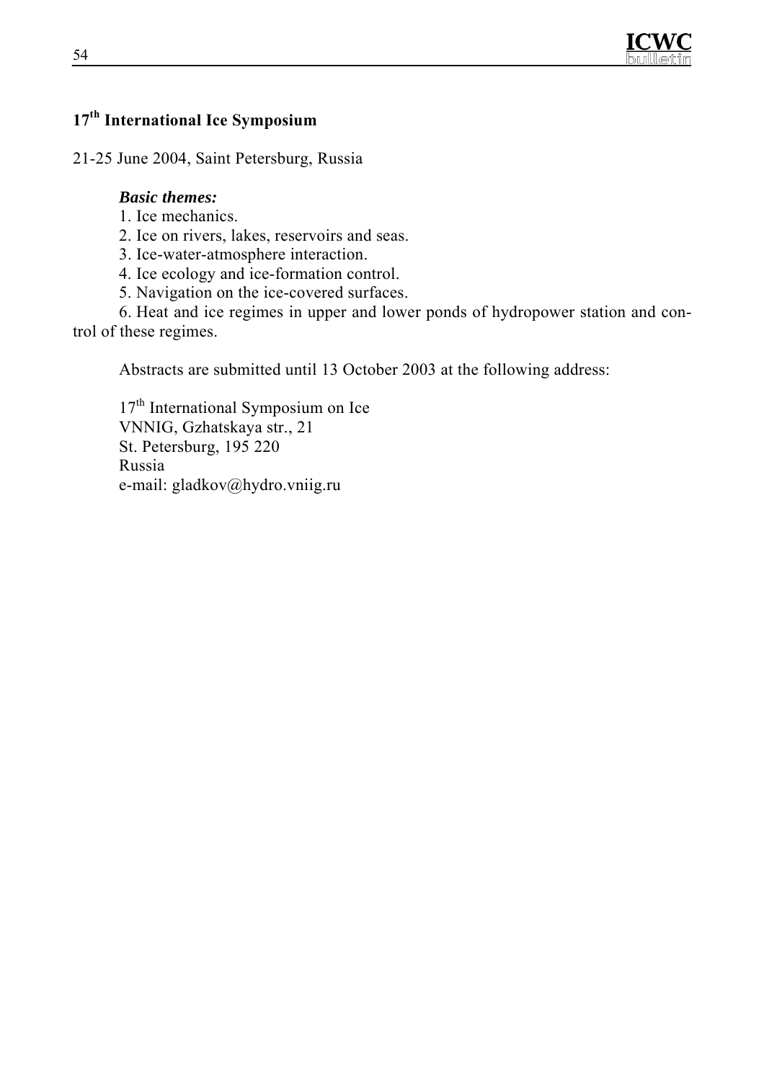

# **17th International Ice Symposium**

21-25 June 2004, Saint Petersburg, Russia

## *Basic themes:*

1. Ice mechanics.

2. Ice on rivers, lakes, reservoirs and seas.

3. Ice-water-atmosphere interaction.

4. Ice ecology and ice-formation control.

5. Navigation on the ice-covered surfaces.

6. Heat and ice regimes in upper and lower ponds of hydropower station and control of these regimes.

Abstracts are submitted until 13 October 2003 at the following address:

17<sup>th</sup> International Symposium on Ice VNNIG, Gzhatskaya str., 21 St. Petersburg, 195 220 Russia e-mail: gladkov@hydro.vniig.ru